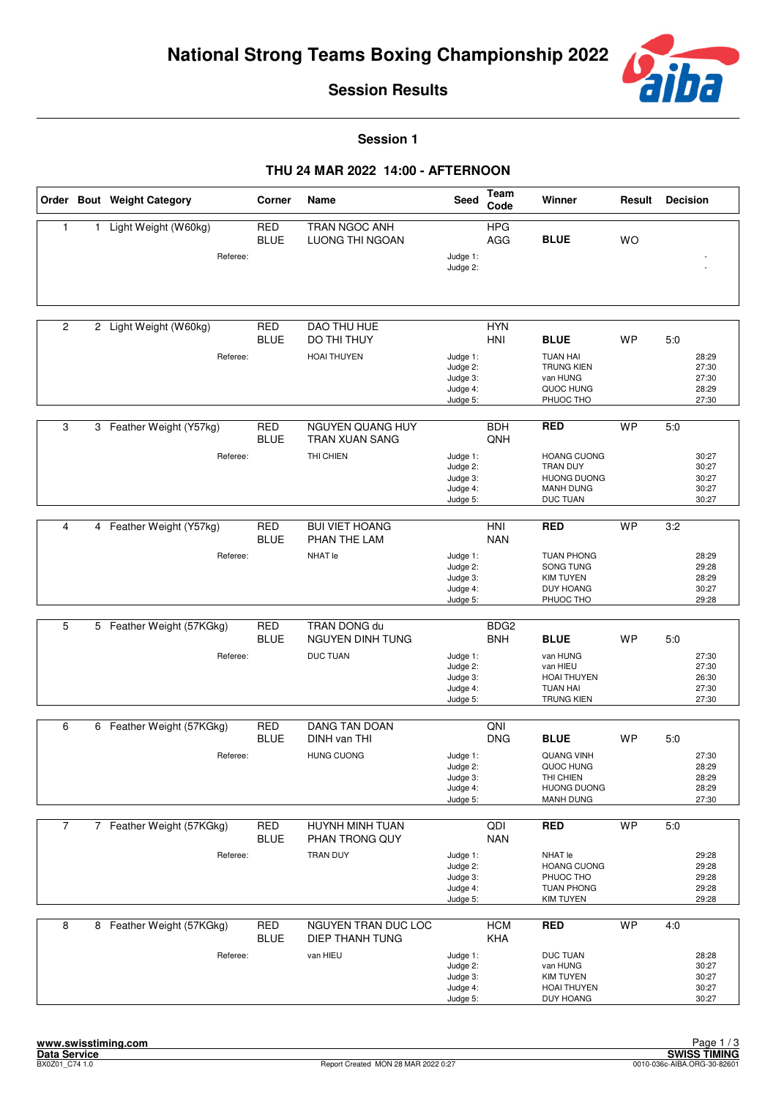

**Session 1**

|                |    | Order Bout Weight Category            | Corner                    | Name                                                      | <b>Seed</b>                                              | Team<br>Code                   | Winner                                                                                               | Result    | <b>Decision</b>                                  |
|----------------|----|---------------------------------------|---------------------------|-----------------------------------------------------------|----------------------------------------------------------|--------------------------------|------------------------------------------------------------------------------------------------------|-----------|--------------------------------------------------|
| $\mathbf{1}$   | 1. | Light Weight (W60kg)<br>Referee:      | <b>RED</b><br><b>BLUE</b> | TRAN NGOC ANH<br><b>LUONG THI NGOAN</b>                   | Judge 1:<br>Judge 2:                                     | <b>HPG</b><br>AGG              | <b>BLUE</b>                                                                                          | <b>WO</b> |                                                  |
| 2              |    | 2 Light Weight (W60kg)<br>Referee:    | <b>RED</b><br><b>BLUE</b> | <b>DAO THU HUE</b><br>DO THI THUY<br><b>HOAI THUYEN</b>   | Judge 1:<br>Judge 2:<br>Judge 3:<br>Judge 4:<br>Judge 5: | <b>HYN</b><br><b>HNI</b>       | <b>BLUE</b><br><b>TUAN HAI</b><br><b>TRUNG KIEN</b><br>van HUNG<br>QUOC HUNG<br>PHUOC THO            | <b>WP</b> | 5:0<br>28:29<br>27:30<br>27:30<br>28:29<br>27:30 |
| 3              |    | 3 Feather Weight (Y57kg)<br>Referee:  | <b>RED</b><br><b>BLUE</b> | NGUYEN QUANG HUY<br>TRAN XUAN SANG<br>THI CHIEN           | Judge 1:<br>Judge 2:<br>Judge 3:<br>Judge 4:<br>Judge 5: | <b>BDH</b><br>QNH              | <b>RED</b><br><b>HOANG CUONG</b><br>TRAN DUY<br><b>HUONG DUONG</b><br><b>MANH DUNG</b><br>DUC TUAN   | <b>WP</b> | 5:0<br>30:27<br>30:27<br>30:27<br>30:27<br>30:27 |
| 4              |    | 4 Feather Weight (Y57kg)<br>Referee:  | <b>RED</b><br><b>BLUE</b> | <b>BUI VIET HOANG</b><br>PHAN THE LAM<br>NHAT le          | Judge 1:<br>Judge 2:<br>Judge 3:<br>Judge 4:<br>Judge 5: | HNI<br><b>NAN</b>              | <b>RED</b><br><b>TUAN PHONG</b><br>SONG TUNG<br><b>KIM TUYEN</b><br><b>DUY HOANG</b><br>PHUOC THO    | <b>WP</b> | 3:2<br>28:29<br>29:28<br>28:29<br>30:27<br>29:28 |
| 5              |    | 5 Feather Weight (57KGkg)<br>Referee: | RED<br><b>BLUE</b>        | TRAN DONG du<br>NGUYEN DINH TUNG<br><b>DUC TUAN</b>       | Judge 1:<br>Judge 2:<br>Judge 3:<br>Judge 4:<br>Judge 5: | BDG <sub>2</sub><br><b>BNH</b> | <b>BLUE</b><br>van HUNG<br>van HIEU<br><b>HOAI THUYEN</b><br><b>TUAN HAI</b><br><b>TRUNG KIEN</b>    | <b>WP</b> | 5:0<br>27:30<br>27:30<br>26:30<br>27:30<br>27:30 |
| 6              |    | 6 Feather Weight (57KGkg)<br>Referee: | <b>RED</b><br><b>BLUE</b> | <b>DANG TAN DOAN</b><br>DINH van THI<br><b>HUNG CUONG</b> | Judge 1:<br>Judge 2:<br>Judge 3:<br>Judge 4:<br>Judge 5: | QNI<br><b>DNG</b>              | <b>BLUE</b><br><b>QUANG VINH</b><br>QUOC HUNG<br>THI CHIEN<br><b>HUONG DUONG</b><br><b>MANH DUNG</b> | <b>WP</b> | 5:0<br>27:30<br>28:29<br>28:29<br>28:29<br>27:30 |
| $\overline{7}$ |    | 7 Feather Weight (57KGkg)<br>Referee: | <b>RED</b><br><b>BLUE</b> | HUYNH MINH TUAN<br>PHAN TRONG QUY<br>TRAN DUY             | Judge 1:<br>Judge 2:<br>Judge 3:<br>Judge 4:<br>Judge 5: | QDI<br><b>NAN</b>              | <b>RED</b><br>NHAT le<br><b>HOANG CUONG</b><br>PHUOC THO<br><b>TUAN PHONG</b><br><b>KIM TUYEN</b>    | <b>WP</b> | 5:0<br>29:28<br>29:28<br>29:28<br>29:28<br>29:28 |
| 8              |    | 8 Feather Weight (57KGkg)<br>Referee: | <b>RED</b><br><b>BLUE</b> | NGUYEN TRAN DUC LOC<br><b>DIEP THANH TUNG</b><br>van HIEU | Judge 1:<br>Judge 2:<br>Judge 3:<br>Judge 4:<br>Judge 5: | <b>HCM</b><br>KHA              | <b>RED</b><br><b>DUC TUAN</b><br>van HUNG<br><b>KIM TUYEN</b><br><b>HOAI THUYEN</b><br>DUY HOANG     | <b>WP</b> | 4:0<br>28:28<br>30:27<br>30:27<br>30:27<br>30:27 |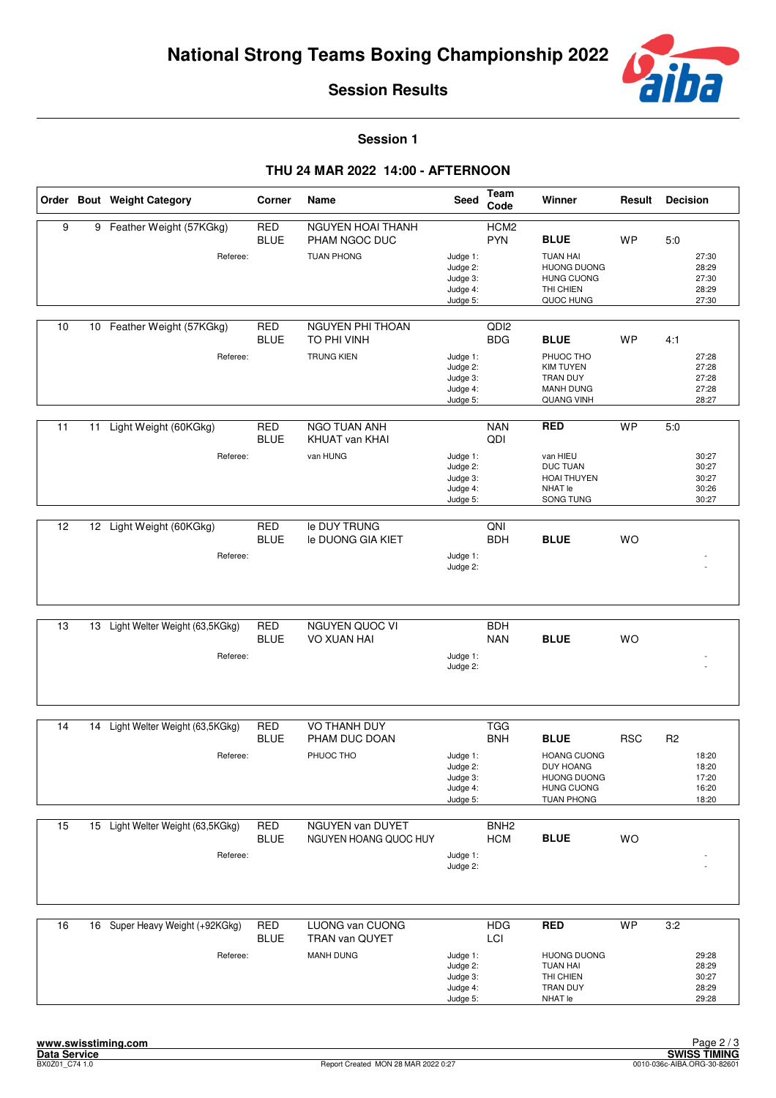

**Session 1**

|    |    | Order Bout Weight Category                    | Corner                    | Name                                                    | Seed                                                     | Team<br>Code                   | Winner                                                                                                         | Result     | <b>Decision</b> |                                           |
|----|----|-----------------------------------------------|---------------------------|---------------------------------------------------------|----------------------------------------------------------|--------------------------------|----------------------------------------------------------------------------------------------------------------|------------|-----------------|-------------------------------------------|
| 9  | 9  | Feather Weight (57KGkg)<br>Referee:           | <b>RED</b><br><b>BLUE</b> | NGUYEN HOAI THANH<br>PHAM NGOC DUC<br><b>TUAN PHONG</b> | Judge 1:<br>Judge 2:<br>Judge 3:<br>Judge 4:<br>Judge 5: | HCM <sub>2</sub><br><b>PYN</b> | <b>BLUE</b><br><b>TUAN HAI</b><br><b>HUONG DUONG</b><br><b>HUNG CUONG</b><br>THI CHIEN<br>QUOC HUNG            | WP         | 5:0             | 27:30<br>28:29<br>27:30<br>28:29<br>27:30 |
| 10 |    | 10 Feather Weight (57KGkg)<br>Referee:        | <b>RED</b><br><b>BLUE</b> | NGUYEN PHI THOAN<br>TO PHI VINH<br><b>TRUNG KIEN</b>    | Judge 1:<br>Judge 2:<br>Judge 3:<br>Judge 4:<br>Judge 5: | QD <sub>12</sub><br><b>BDG</b> | <b>BLUE</b><br>PHUOC THO<br><b>KIM TUYEN</b><br>TRAN DUY<br><b>MANH DUNG</b><br>QUANG VINH                     | <b>WP</b>  | 4:1             | 27:28<br>27:28<br>27:28<br>27:28<br>28:27 |
| 11 | 11 | Light Weight (60KGkg)<br>Referee:             | <b>RED</b><br><b>BLUE</b> | NGO TUAN ANH<br>KHUAT van KHAI<br>van HUNG              | Judge 1:<br>Judge 2:<br>Judge 3:<br>Judge 4:<br>Judge 5: | <b>NAN</b><br>QDI              | <b>RED</b><br>van HIEU<br><b>DUC TUAN</b><br>HOAI THUYEN<br>NHAT le<br>SONG TUNG                               | <b>WP</b>  | 5:0             | 30:27<br>30:27<br>30:27<br>30:26<br>30:27 |
| 12 |    | 12 Light Weight (60KGkg)<br>Referee:          | <b>RED</b><br><b>BLUE</b> | le DUY TRUNG<br>le DUONG GIA KIET                       | Judge 1:<br>Judge 2:                                     | QNI<br><b>BDH</b>              | <b>BLUE</b>                                                                                                    | <b>WO</b>  |                 |                                           |
| 13 | 13 | Light Welter Weight (63,5KGkg)<br>Referee:    | <b>RED</b><br><b>BLUE</b> | NGUYEN QUOC VI<br>VO XUAN HAI                           | Judge 1:<br>Judge 2:                                     | <b>BDH</b><br><b>NAN</b>       | <b>BLUE</b>                                                                                                    | <b>WO</b>  |                 |                                           |
| 14 | 14 | Light Welter Weight (63,5KGkg)<br>Referee:    | <b>RED</b><br><b>BLUE</b> | VO THANH DUY<br>PHAM DUC DOAN<br>PHUOC THO              | Judge 1:<br>Judge 2:<br>Judge 3:<br>Judge 4:<br>Judge 5: | <b>TGG</b><br><b>BNH</b>       | <b>BLUE</b><br><b>HOANG CUONG</b><br>DUY HOANG<br><b>HUONG DUONG</b><br><b>HUNG CUONG</b><br><b>TUAN PHONG</b> | <b>RSC</b> | R <sub>2</sub>  | 18:20<br>18:20<br>17:20<br>16:20<br>18:20 |
| 15 |    | 15 Light Welter Weight (63,5KGkg)<br>Referee: | <b>RED</b><br><b>BLUE</b> | NGUYEN van DUYET<br>NGUYEN HOANG QUOC HUY               | Judge 1:<br>Judge 2:                                     | BNH <sub>2</sub><br><b>HCM</b> | <b>BLUE</b>                                                                                                    | WO         |                 |                                           |
| 16 |    | 16 Super Heavy Weight (+92KGkg)<br>Referee:   | <b>RED</b><br><b>BLUE</b> | LUONG van CUONG<br>TRAN van QUYET<br><b>MANH DUNG</b>   | Judge 1:<br>Judge 2:<br>Judge 3:<br>Judge 4:<br>Judge 5: | <b>HDG</b><br>LCI              | <b>RED</b><br><b>HUONG DUONG</b><br><b>TUAN HAI</b><br>THI CHIEN<br>TRAN DUY<br>NHAT le                        | <b>WP</b>  | 3:2             | 29:28<br>28:29<br>30:27<br>28:29<br>29:28 |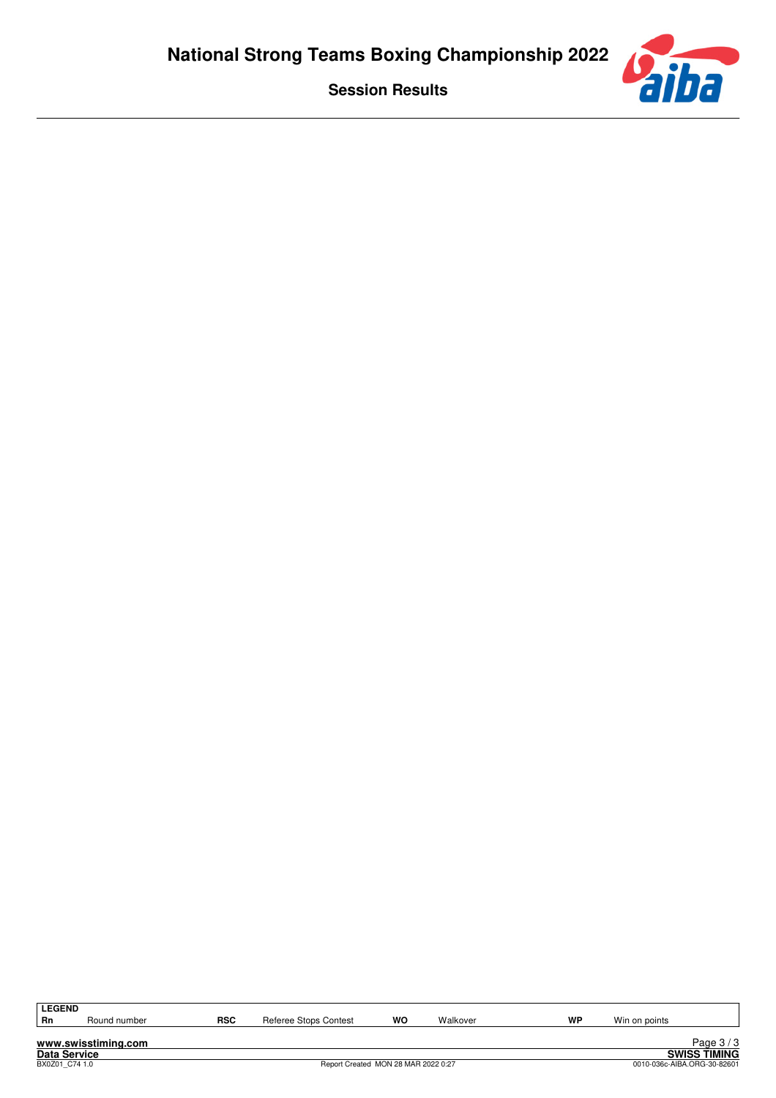

| <b>LEGEND</b> |              |            |                                   |    |          |    |      |
|---------------|--------------|------------|-----------------------------------|----|----------|----|------|
| Rn            | Round number | <b>RSC</b> | Referee .<br>a Stops C<br>Contest | WO | Walkover | WP | Win. |
|               |              |            |                                   |    |          |    |      |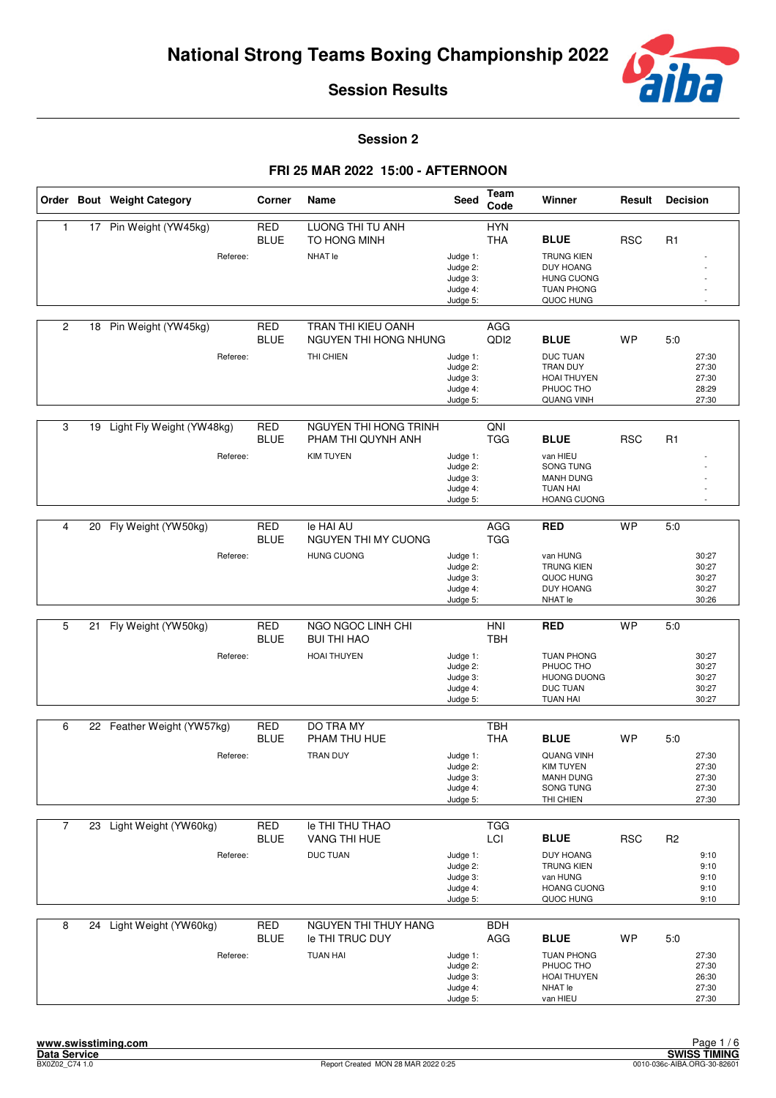

**Session 2**

|                |    | Order Bout Weight Category | Corner                    | Name                                        | <b>Seed</b>                                              | Team<br>Code             | Winner                                                                                       | Result     | <b>Decision</b>                           |
|----------------|----|----------------------------|---------------------------|---------------------------------------------|----------------------------------------------------------|--------------------------|----------------------------------------------------------------------------------------------|------------|-------------------------------------------|
| 1              |    | 17 Pin Weight (YW45kg)     | <b>RED</b><br><b>BLUE</b> | LUONG THI TU ANH<br>TO HONG MINH            |                                                          | <b>HYN</b><br><b>THA</b> | <b>BLUE</b>                                                                                  | <b>RSC</b> | R <sub>1</sub>                            |
|                |    | Referee:                   |                           | NHAT le                                     | Judge 1:<br>Judge 2:<br>Judge 3:<br>Judge 4:<br>Judge 5: |                          | <b>TRUNG KIEN</b><br><b>DUY HOANG</b><br><b>HUNG CUONG</b><br><b>TUAN PHONG</b><br>QUOC HUNG |            |                                           |
| $\overline{2}$ | 18 | Pin Weight (YW45kg)        | <b>RED</b><br><b>BLUE</b> | TRAN THI KIEU OANH<br>NGUYEN THI HONG NHUNG |                                                          | AGG<br>QD <sub>12</sub>  | <b>BLUE</b>                                                                                  | <b>WP</b>  | 5.0                                       |
|                |    | Referee:                   |                           | THI CHIEN                                   | Judge 1:<br>Judge 2:<br>Judge 3:<br>Judge 4:<br>Judge 5: |                          | <b>DUC TUAN</b><br><b>TRAN DUY</b><br><b>HOAI THUYEN</b><br>PHUOC THO<br>QUANG VINH          |            | 27:30<br>27:30<br>27:30<br>28:29<br>27:30 |
| 3              | 19 | Light Fly Weight (YW48kg)  | <b>RED</b><br><b>BLUE</b> | NGUYEN THI HONG TRINH<br>PHAM THI QUYNH ANH |                                                          | QNI<br><b>TGG</b>        | <b>BLUE</b>                                                                                  | <b>RSC</b> | R <sub>1</sub>                            |
|                |    | Referee:                   |                           | <b>KIM TUYEN</b>                            | Judge 1:<br>Judge 2:<br>Judge 3:<br>Judge 4:<br>Judge 5: |                          | van HIEU<br>SONG TUNG<br><b>MANH DUNG</b><br><b>TUAN HAI</b><br><b>HOANG CUONG</b>           |            |                                           |
| 4              | 20 | Fly Weight (YW50kg)        | <b>RED</b>                | le HAI AU                                   |                                                          | AGG                      | <b>RED</b>                                                                                   | <b>WP</b>  | 5.0                                       |
|                |    |                            | <b>BLUE</b>               | NGUYEN THI MY CUONG                         |                                                          | <b>TGG</b>               |                                                                                              |            |                                           |
|                |    | Referee:                   |                           | <b>HUNG CUONG</b>                           | Judge 1:<br>Judge 2:<br>Judge 3:<br>Judge 4:<br>Judge 5: |                          | van HUNG<br><b>TRUNG KIEN</b><br>QUOC HUNG<br><b>DUY HOANG</b><br>NHAT le                    |            | 30:27<br>30:27<br>30:27<br>30:27<br>30:26 |
| 5              | 21 | Fly Weight (YW50kg)        | <b>RED</b>                | NGO NGOC LINH CHI                           |                                                          | HNI                      | <b>RED</b>                                                                                   | <b>WP</b>  | 5.0                                       |
|                |    |                            | <b>BLUE</b>               | <b>BUI THI HAO</b>                          |                                                          | <b>TBH</b>               |                                                                                              |            |                                           |
|                |    | Referee:                   |                           | <b>HOAI THUYEN</b>                          | Judge 1:<br>Judge 2:<br>Judge 3:<br>Judge 4:<br>Judge 5: |                          | <b>TUAN PHONG</b><br>PHUOC THO<br><b>HUONG DUONG</b><br>DUC TUAN<br><b>TUAN HAI</b>          |            | 30:27<br>30:27<br>30:27<br>30:27<br>30:27 |
| 6              |    | 22 Feather Weight (YW57kg) | <b>RED</b>                | DO TRA MY                                   |                                                          | <b>TBH</b>               |                                                                                              |            |                                           |
|                |    |                            | <b>BLUE</b>               | PHAM THU HUE                                |                                                          | <b>THA</b>               | <b>BLUE</b>                                                                                  | <b>WP</b>  | 5:0                                       |
|                |    | Referee:                   |                           | <b>TRAN DUY</b>                             | Judge 1:<br>Judge 2:<br>Judge 3:<br>Judge 4:<br>Judge 5: |                          | <b>QUANG VINH</b><br><b>KIM TUYEN</b><br><b>MANH DUNG</b><br>SONG TUNG<br>THI CHIEN          |            | 27:30<br>27:30<br>27:30<br>27:30<br>27:30 |
| $\overline{7}$ |    | 23 Light Weight (YW60kg)   | <b>RED</b><br><b>BLUE</b> | Ie THI THU THAO<br>VANG THI HUE             |                                                          | <b>TGG</b><br>LCI        | <b>BLUE</b>                                                                                  | <b>RSC</b> | R <sub>2</sub>                            |
|                |    | Referee:                   |                           | <b>DUC TUAN</b>                             | Judge 1:<br>Judge 2:<br>Judge 3:<br>Judge 4:<br>Judge 5: |                          | <b>DUY HOANG</b><br><b>TRUNG KIEN</b><br>van HUNG<br><b>HOANG CUONG</b><br>QUOC HUNG         |            | 9:10<br>9:10<br>9:10<br>9:10<br>9:10      |
| 8              |    | 24 Light Weight (YW60kg)   | <b>RED</b><br><b>BLUE</b> | NGUYEN THI THUY HANG<br>le THI TRUC DUY     |                                                          | <b>BDH</b><br>AGG        | <b>BLUE</b>                                                                                  | WP         | 5:0                                       |
|                |    | Referee:                   |                           | <b>TUAN HAI</b>                             | Judge 1:<br>Judge 2:<br>Judge 3:<br>Judge 4:<br>Judge 5: |                          | <b>TUAN PHONG</b><br>PHUOC THO<br><b>HOAI THUYEN</b><br>NHAT le<br>van HIEU                  |            | 27:30<br>27:30<br>26:30<br>27:30<br>27:30 |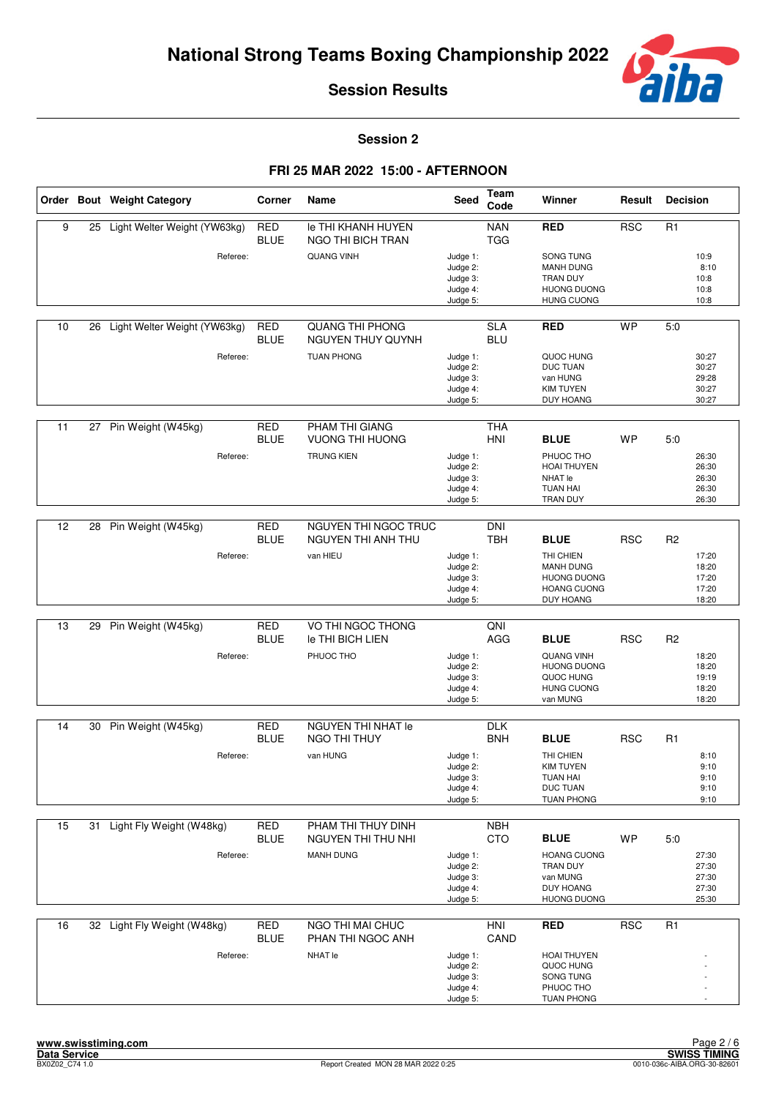

**Session 2**

|    |    | Order Bout Weight Category   | Corner                    | Name                                               | <b>Seed</b>                                              | Team<br>Code             | Winner                                                                                   | Result     | <b>Decision</b> |                                           |
|----|----|------------------------------|---------------------------|----------------------------------------------------|----------------------------------------------------------|--------------------------|------------------------------------------------------------------------------------------|------------|-----------------|-------------------------------------------|
| 9  | 25 | Light Welter Weight (YW63kg) | <b>RED</b><br><b>BLUE</b> | <b>Ie THI KHANH HUYEN</b><br>NGO THI BICH TRAN     |                                                          | <b>NAN</b><br><b>TGG</b> | <b>RED</b>                                                                               | <b>RSC</b> | R1              |                                           |
|    |    | Referee:                     |                           | <b>QUANG VINH</b>                                  | Judge 1:<br>Judge 2:<br>Judge 3:<br>Judge 4:<br>Judge 5: |                          | SONG TUNG<br><b>MANH DUNG</b><br>TRAN DUY<br><b>HUONG DUONG</b><br><b>HUNG CUONG</b>     |            |                 | 10:9<br>8:10<br>10:8<br>10:8<br>10:8      |
| 10 | 26 | Light Welter Weight (YW63kg) | <b>RED</b><br><b>BLUE</b> | <b>QUANG THI PHONG</b><br><b>NGUYEN THUY QUYNH</b> |                                                          | <b>SLA</b><br><b>BLU</b> | <b>RED</b>                                                                               | <b>WP</b>  | 5:0             |                                           |
|    |    | Referee:                     |                           | <b>TUAN PHONG</b>                                  | Judge 1:<br>Judge 2:<br>Judge 3:<br>Judge 4:<br>Judge 5: |                          | QUOC HUNG<br><b>DUC TUAN</b><br>van HUNG<br><b>KIM TUYEN</b><br>DUY HOANG                |            |                 | 30:27<br>30:27<br>29:28<br>30:27<br>30:27 |
|    |    |                              |                           |                                                    |                                                          |                          |                                                                                          |            |                 |                                           |
| 11 |    | 27 Pin Weight (W45kg)        | <b>RED</b><br><b>BLUE</b> | PHAM THI GIANG<br>VUONG THI HUONG                  |                                                          | <b>THA</b><br><b>HNI</b> | <b>BLUE</b>                                                                              | WP         | 5:0             |                                           |
|    |    | Referee:                     |                           | <b>TRUNG KIEN</b>                                  | Judge 1:<br>Judge 2:<br>Judge 3:<br>Judge 4:<br>Judge 5: |                          | PHUOC THO<br><b>HOAI THUYEN</b><br>NHAT le<br><b>TUAN HAI</b><br>TRAN DUY                |            |                 | 26:30<br>26:30<br>26:30<br>26:30<br>26:30 |
|    |    |                              |                           |                                                    |                                                          |                          |                                                                                          |            |                 |                                           |
| 12 | 28 | Pin Weight (W45kg)           | <b>RED</b><br><b>BLUE</b> | NGUYEN THI NGOC TRUC<br><b>NGUYEN THI ANH THU</b>  |                                                          | <b>DNI</b><br><b>TBH</b> | <b>BLUE</b>                                                                              | <b>RSC</b> | R <sub>2</sub>  |                                           |
|    |    | Referee:                     |                           | van HIEU                                           | Judge 1:<br>Judge 2:<br>Judge 3:<br>Judge 4:<br>Judge 5: |                          | THI CHIEN<br><b>MANH DUNG</b><br><b>HUONG DUONG</b><br><b>HOANG CUONG</b><br>DUY HOANG   |            |                 | 17:20<br>18:20<br>17:20<br>17:20<br>18:20 |
|    |    |                              |                           |                                                    |                                                          |                          |                                                                                          |            |                 |                                           |
| 13 | 29 | Pin Weight (W45kg)           | <b>RED</b><br><b>BLUE</b> | VO THI NGOC THONG<br>le THI BICH LIEN              |                                                          | QNI<br>AGG               | <b>BLUE</b>                                                                              | <b>RSC</b> | R <sub>2</sub>  |                                           |
|    |    | Referee:                     |                           | PHUOC THO                                          | Judge 1:<br>Judge 2:<br>Judge 3:<br>Judge 4:<br>Judge 5: |                          | <b>QUANG VINH</b><br><b>HUONG DUONG</b><br>QUOC HUNG<br><b>HUNG CUONG</b><br>van MUNG    |            |                 | 18:20<br>18:20<br>19:19<br>18:20<br>18:20 |
| 14 |    | 30 Pin Weight (W45kg)        | <b>RED</b>                | <b>NGUYEN THI NHAT le</b>                          |                                                          | <b>DLK</b>               |                                                                                          |            |                 |                                           |
|    |    |                              | <b>BLUE</b>               | NGO THI THUY                                       |                                                          | <b>BNH</b>               | <b>BLUE</b>                                                                              | <b>RSC</b> | R <sub>1</sub>  |                                           |
|    |    | Referee:                     |                           | van HUNG                                           | Judge 1:<br>Judge 2:<br>Judge 3:<br>Judge 4:<br>Judge 5: |                          | THI CHIEN<br><b>KIM TUYEN</b><br><b>TUAN HAI</b><br><b>DUC TUAN</b><br><b>TUAN PHONG</b> |            |                 | 8:10<br>9:10<br>9:10<br>9:10<br>9:10      |
| 15 | 31 | Light Fly Weight (W48kg)     | <b>RED</b><br><b>BLUE</b> | PHAM THI THUY DINH<br>NGUYEN THI THU NHI           |                                                          | <b>NBH</b><br><b>CTO</b> | <b>BLUE</b>                                                                              | <b>WP</b>  | 5:0             |                                           |
|    |    | Referee:                     |                           | <b>MANH DUNG</b>                                   | Judge 1:<br>Judge 2:<br>Judge 3:<br>Judge 4:<br>Judge 5: |                          | <b>HOANG CUONG</b><br>TRAN DUY<br>van MUNG<br><b>DUY HOANG</b><br><b>HUONG DUONG</b>     |            |                 | 27:30<br>27:30<br>27:30<br>27:30<br>25:30 |
| 16 |    | 32 Light Fly Weight (W48kg)  | <b>RED</b><br><b>BLUE</b> | NGO THI MAI CHUC<br>PHAN THI NGOC ANH              |                                                          | <b>HNI</b><br>CAND       | <b>RED</b>                                                                               | <b>RSC</b> | R <sub>1</sub>  |                                           |
|    |    | Referee:                     |                           | NHAT le                                            | Judge 1:<br>Judge 2:<br>Judge 3:<br>Judge 4:<br>Judge 5: |                          | <b>HOAI THUYEN</b><br>QUOC HUNG<br>SONG TUNG<br>PHUOC THO<br><b>TUAN PHONG</b>           |            |                 |                                           |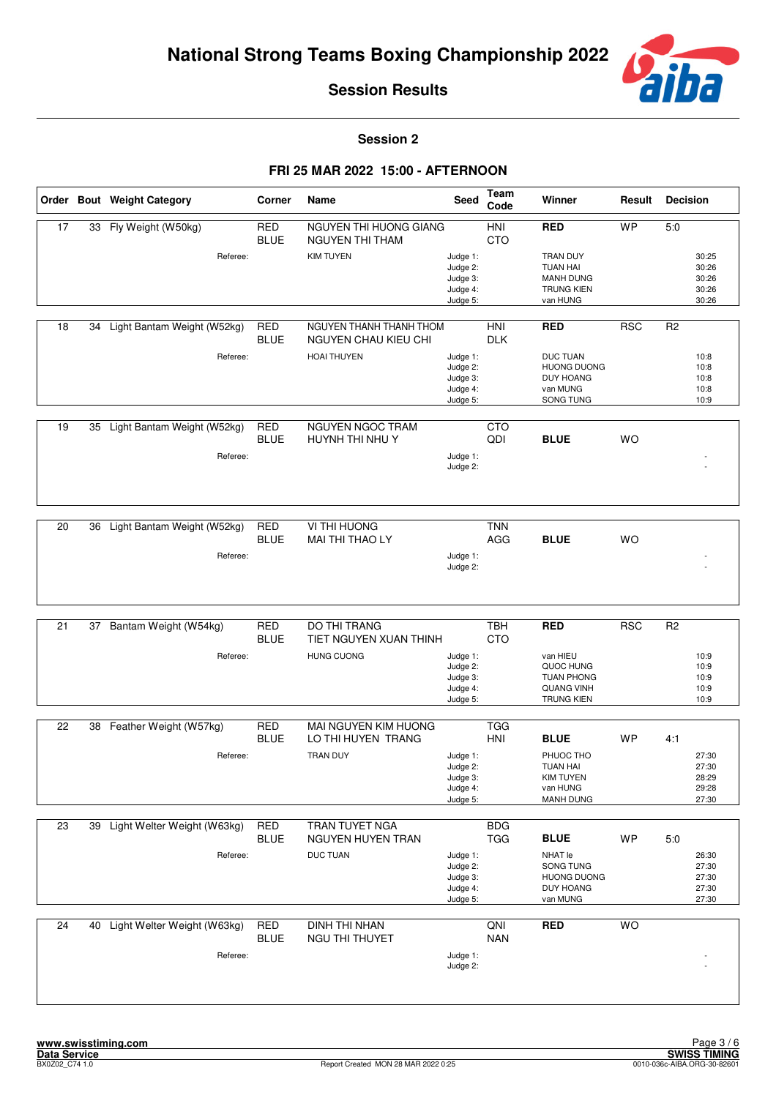

**Session 2**

|    |    | Order Bout Weight Category  | Corner                    | Name                                                   | Seed                                                     | Team<br>Code      | Winner                                                                                    | Result     | <b>Decision</b>                                  |
|----|----|-----------------------------|---------------------------|--------------------------------------------------------|----------------------------------------------------------|-------------------|-------------------------------------------------------------------------------------------|------------|--------------------------------------------------|
| 17 |    | 33 Fly Weight (W50kg)       | <b>RED</b><br><b>BLUE</b> | NGUYEN THI HUONG GIANG<br>NGUYEN THI THAM              |                                                          | HNI<br><b>CTO</b> | <b>RED</b>                                                                                | <b>WP</b>  | 5:0                                              |
|    |    | Referee:                    |                           | <b>KIM TUYEN</b>                                       | Judge 1:<br>Judge 2:<br>Judge 3:<br>Judge 4:<br>Judge 5: |                   | <b>TRAN DUY</b><br><b>TUAN HAI</b><br><b>MANH DUNG</b><br><b>TRUNG KIEN</b><br>van HUNG   |            | 30:25<br>30:26<br>30:26<br>30:26<br>30:26        |
| 18 | 34 | Light Bantam Weight (W52kg) | <b>RED</b><br><b>BLUE</b> | NGUYEN THANH THANH THOM<br><b>NGUYEN CHAU KIEU CHI</b> |                                                          | HNI<br><b>DLK</b> | <b>RED</b>                                                                                | <b>RSC</b> | R <sub>2</sub>                                   |
|    |    | Referee:                    |                           | <b>HOAI THUYEN</b>                                     | Judge 1:<br>Judge 2:<br>Judge 3:<br>Judge 4:<br>Judge 5: |                   | <b>DUC TUAN</b><br><b>HUONG DUONG</b><br><b>DUY HOANG</b><br>van MUNG<br>SONG TUNG        |            | 10:8<br>10:8<br>10:8<br>10:8<br>10:9             |
| 19 | 35 | Light Bantam Weight (W52kg) | <b>RED</b><br><b>BLUE</b> | <b>NGUYEN NGOC TRAM</b><br>HUYNH THI NHU Y             |                                                          | <b>CTO</b><br>QDI | <b>BLUE</b>                                                                               | <b>WO</b>  |                                                  |
|    |    | Referee:                    |                           |                                                        | Judge 1:<br>Judge 2:                                     |                   |                                                                                           |            |                                                  |
| 20 | 36 | Light Bantam Weight (W52kg) | <b>RED</b>                | VI THI HUONG<br>MAI THI THAO LY                        |                                                          | <b>TNN</b>        |                                                                                           |            |                                                  |
|    |    | Referee:                    | <b>BLUE</b>               |                                                        | Judge 1:<br>Judge 2:                                     | AGG               | <b>BLUE</b>                                                                               | <b>WO</b>  |                                                  |
| 21 | 37 | Bantam Weight (W54kg)       | <b>RED</b>                | DO THI TRANG                                           |                                                          | <b>TBH</b>        | <b>RED</b>                                                                                | <b>RSC</b> | R <sub>2</sub>                                   |
|    |    | Referee:                    | <b>BLUE</b>               | TIET NGUYEN XUAN THINH<br><b>HUNG CUONG</b>            |                                                          | <b>CTO</b>        | van HIEU                                                                                  |            | 10:9                                             |
|    |    |                             |                           |                                                        | Judge 1:<br>Judge 2:<br>Judge 3:<br>Judge 4:<br>Judge 5: |                   | QUOC HUNG<br><b>TUAN PHONG</b><br><b>QUANG VINH</b><br><b>TRUNG KIEN</b>                  |            | 10:9<br>10:9<br>10:9<br>10:9                     |
| 22 | 38 | Feather Weight (W57kg)      | <b>RED</b>                | MAI NGUYEN KIM HUONG                                   |                                                          | <b>TGG</b>        |                                                                                           |            |                                                  |
|    |    | Referee:                    | <b>BLUE</b>               | LO THI HUYEN TRANG<br><b>TRAN DUY</b>                  | Judge 1:                                                 | <b>HNI</b>        | <b>BLUE</b><br>PHUOC THO                                                                  | <b>WP</b>  | 4:1<br>27:30                                     |
|    |    |                             |                           |                                                        | Judge 2:<br>Judge 3:<br>Judge 4:<br>Judge 5:             |                   | <b>TUAN HAI</b><br><b>KIM TUYEN</b><br>van HUNG<br><b>MANH DUNG</b>                       |            | 27:30<br>28:29<br>29:28<br>27:30                 |
| 23 | 39 | Light Welter Weight (W63kg) | RED                       | TRAN TUYET NGA                                         |                                                          | <b>BDG</b>        |                                                                                           |            |                                                  |
|    |    | Referee:                    | <b>BLUE</b>               | NGUYEN HUYEN TRAN<br><b>DUC TUAN</b>                   | Judge 1:<br>Judge 2:<br>Judge 3:<br>Judge 4:<br>Judge 5: | <b>TGG</b>        | <b>BLUE</b><br>NHAT le<br>SONG TUNG<br><b>HUONG DUONG</b><br><b>DUY HOANG</b><br>van MUNG | <b>WP</b>  | 5:0<br>26:30<br>27:30<br>27:30<br>27:30<br>27:30 |
|    |    |                             |                           |                                                        |                                                          |                   |                                                                                           |            |                                                  |
| 24 | 40 | Light Welter Weight (W63kg) | <b>RED</b><br><b>BLUE</b> | <b>DINH THI NHAN</b><br>NGU THI THUYET                 |                                                          | QNI<br><b>NAN</b> | <b>RED</b>                                                                                | WO         |                                                  |
|    |    | Referee:                    |                           |                                                        | Judge 1:<br>Judge 2:                                     |                   |                                                                                           |            |                                                  |
|    |    |                             |                           |                                                        |                                                          |                   |                                                                                           |            |                                                  |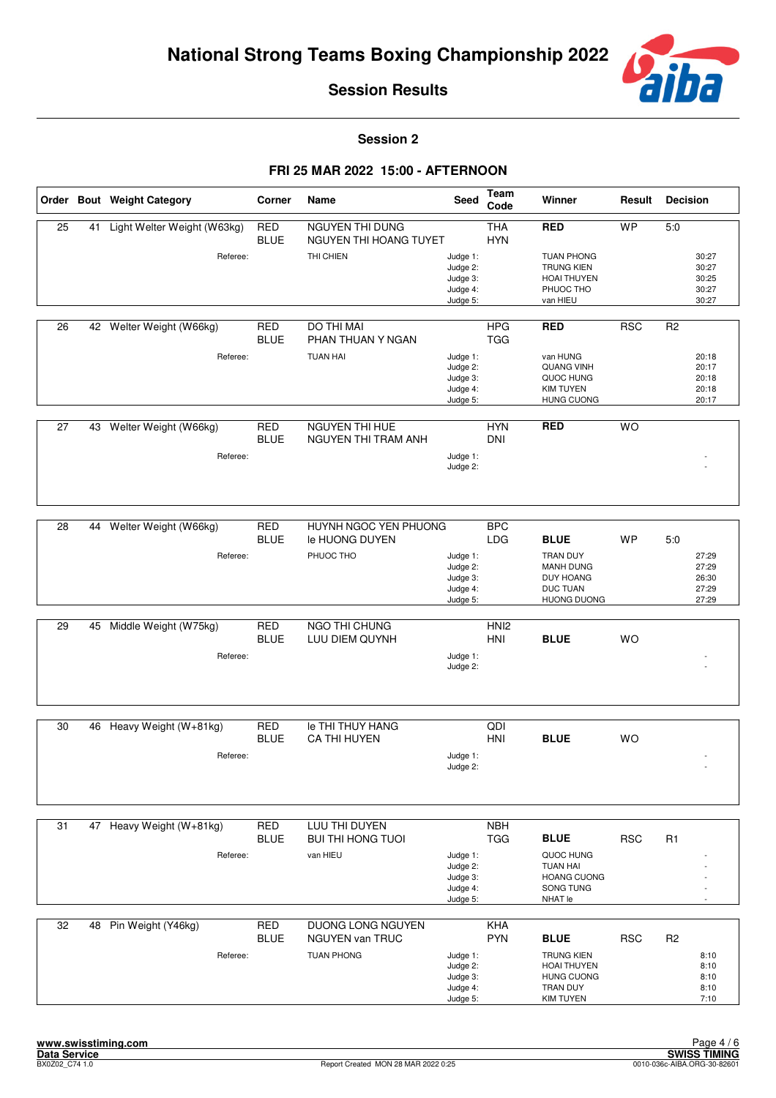

**Session 2**

|                 |    | Order Bout Weight Category  | Corner                    | Name                                             | Seed                                                     | Team<br>Code             | Winner                                                                                       | Result     | <b>Decision</b> |                                           |
|-----------------|----|-----------------------------|---------------------------|--------------------------------------------------|----------------------------------------------------------|--------------------------|----------------------------------------------------------------------------------------------|------------|-----------------|-------------------------------------------|
| $\overline{25}$ | 41 | Light Welter Weight (W63kg) | <b>RED</b><br><b>BLUE</b> | <b>NGUYEN THI DUNG</b><br>NGUYEN THI HOANG TUYET |                                                          | <b>THA</b><br><b>HYN</b> | <b>RED</b>                                                                                   | <b>WP</b>  | 5:0             |                                           |
|                 |    | Referee:                    |                           | THI CHIEN                                        | Judge 1:<br>Judge 2:<br>Judge 3:<br>Judge 4:<br>Judge 5: |                          | <b>TUAN PHONG</b><br><b>TRUNG KIEN</b><br><b>HOAI THUYEN</b><br>PHUOC THO<br>van HIEU        |            |                 | 30:27<br>30:27<br>30:25<br>30:27<br>30:27 |
|                 |    |                             |                           |                                                  |                                                          |                          |                                                                                              |            |                 |                                           |
| 26              |    | 42 Welter Weight (W66kg)    | <b>RED</b><br><b>BLUE</b> | DO THI MAI<br>PHAN THUAN Y NGAN                  |                                                          | <b>HPG</b><br><b>TGG</b> | <b>RED</b>                                                                                   | <b>RSC</b> | R <sub>2</sub>  |                                           |
|                 |    | Referee:                    |                           | <b>TUAN HAI</b>                                  | Judge 1:<br>Judge 2:<br>Judge 3:<br>Judge 4:<br>Judge 5: |                          | van HUNG<br><b>QUANG VINH</b><br>QUOC HUNG<br><b>KIM TUYEN</b><br><b>HUNG CUONG</b>          |            |                 | 20:18<br>20:17<br>20:18<br>20:18<br>20:17 |
| 27              | 43 | Welter Weight (W66kg)       | <b>RED</b><br><b>BLUE</b> | NGUYEN THI HUE<br>NGUYEN THI TRAM ANH            |                                                          | <b>HYN</b><br><b>DNI</b> | <b>RED</b>                                                                                   | <b>WO</b>  |                 |                                           |
|                 |    | Referee:                    |                           |                                                  | Judge 1:<br>Judge 2:                                     |                          |                                                                                              |            |                 |                                           |
|                 |    |                             |                           |                                                  |                                                          |                          |                                                                                              |            |                 |                                           |
| $\overline{28}$ | 44 | Welter Weight (W66kg)       | <b>RED</b><br><b>BLUE</b> | HUYNH NGOC YEN PHUONG<br>le HUONG DUYEN          |                                                          | <b>BPC</b><br><b>LDG</b> | <b>BLUE</b>                                                                                  | WP         | 5.0             |                                           |
|                 |    | Referee:                    |                           | PHUOC THO                                        | Judge 1:<br>Judge 2:<br>Judge 3:<br>Judge 4:<br>Judge 5: |                          | TRAN DUY<br><b>MANH DUNG</b><br><b>DUY HOANG</b><br><b>DUC TUAN</b><br><b>HUONG DUONG</b>    |            |                 | 27:29<br>27:29<br>26:30<br>27:29<br>27:29 |
| 29              | 45 | Middle Weight (W75kg)       | <b>RED</b>                | NGO THI CHUNG                                    |                                                          | HNI <sub>2</sub>         |                                                                                              |            |                 |                                           |
|                 |    |                             | <b>BLUE</b>               | LUU DIEM QUYNH                                   |                                                          | HNI                      | <b>BLUE</b>                                                                                  | <b>WO</b>  |                 |                                           |
|                 |    | Referee:                    |                           |                                                  | Judge 1:<br>Judge 2:                                     |                          |                                                                                              |            |                 |                                           |
| 30              | 46 | Heavy Weight (W+81kg)       | <b>RED</b>                | <b>Ie THI THUY HANG</b>                          |                                                          | QDI                      |                                                                                              |            |                 |                                           |
|                 |    | Referee:                    | <b>BLUE</b>               | <b>CA THI HUYEN</b>                              | Judge 1:<br>Judge 2:                                     | HNI                      | <b>BLUE</b>                                                                                  | <b>WO</b>  |                 |                                           |
|                 |    |                             |                           |                                                  |                                                          |                          |                                                                                              |            |                 |                                           |
| 31              |    | 47 Heavy Weight (W+81kg)    | RED<br><b>BLUE</b>        | LUU THI DUYEN<br><b>BUI THI HONG TUOI</b>        |                                                          | <b>NBH</b><br><b>TGG</b> | <b>BLUE</b>                                                                                  | <b>RSC</b> | R <sub>1</sub>  |                                           |
|                 |    | Referee:                    |                           | van HIEU                                         | Judge 1:<br>Judge 2:<br>Judge 3:<br>Judge 4:<br>Judge 5: |                          | QUOC HUNG<br><b>TUAN HAI</b><br><b>HOANG CUONG</b><br>SONG TUNG<br>NHAT le                   |            |                 |                                           |
| 32              | 48 | Pin Weight (Y46kg)          | <b>RED</b><br><b>BLUE</b> | <b>DUONG LONG NGUYEN</b><br>NGUYEN van TRUC      |                                                          | KHA<br><b>PYN</b>        | <b>BLUE</b>                                                                                  | <b>RSC</b> | R <sub>2</sub>  |                                           |
|                 |    | Referee:                    |                           | <b>TUAN PHONG</b>                                | Judge 1:<br>Judge 2:<br>Judge 3:<br>Judge 4:<br>Judge 5: |                          | <b>TRUNG KIEN</b><br><b>HOAI THUYEN</b><br><b>HUNG CUONG</b><br>TRAN DUY<br><b>KIM TUYEN</b> |            |                 | 8:10<br>8:10<br>8:10<br>8:10<br>7:10      |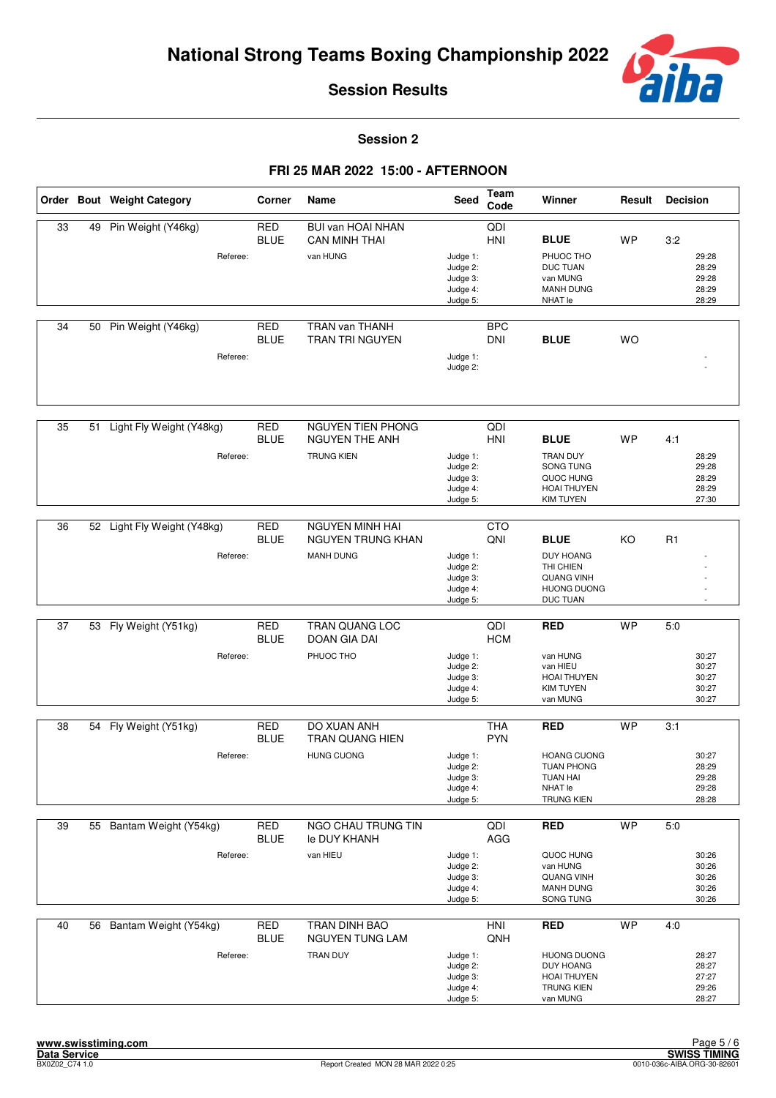

**Session 2**

|    |    | Order Bout Weight Category     | Corner                    | Name                                             | Seed                                                     | Team<br>Code             | Winner                                                                                              | Result    | <b>Decision</b>                           |
|----|----|--------------------------------|---------------------------|--------------------------------------------------|----------------------------------------------------------|--------------------------|-----------------------------------------------------------------------------------------------------|-----------|-------------------------------------------|
| 33 | 49 | Pin Weight (Y46kg)             | RED<br><b>BLUE</b>        | <b>BUI van HOAI NHAN</b><br><b>CAN MINH THAI</b> |                                                          | QDI<br>HNI               | <b>BLUE</b>                                                                                         | <b>WP</b> | 3:2                                       |
|    |    | Referee:                       |                           | van HUNG                                         | Judge 1:<br>Judge 2:<br>Judge 3:<br>Judge 4:<br>Judge 5: |                          | PHUOC THO<br><b>DUC TUAN</b><br>van MUNG<br><b>MANH DUNG</b><br>NHAT le                             |           | 29:28<br>28:29<br>29:28<br>28:29<br>28:29 |
| 34 | 50 | Pin Weight (Y46kg)<br>Referee: | <b>RED</b><br><b>BLUE</b> | <b>TRAN van THANH</b><br><b>TRAN TRI NGUYEN</b>  | Judge 1:<br>Judge 2:                                     | <b>BPC</b><br><b>DNI</b> | <b>BLUE</b>                                                                                         | <b>WO</b> |                                           |
|    |    |                                |                           |                                                  |                                                          |                          |                                                                                                     |           |                                           |
| 35 | 51 | Light Fly Weight (Y48kg)       | <b>RED</b><br><b>BLUE</b> | NGUYEN TIEN PHONG<br><b>NGUYEN THE ANH</b>       |                                                          | QDI<br><b>HNI</b>        | <b>BLUE</b>                                                                                         | WP        | 4:1                                       |
|    |    | Referee:                       |                           | <b>TRUNG KIEN</b>                                | Judge 1:<br>Judge 2:<br>Judge 3:<br>Judge 4:<br>Judge 5: |                          | TRAN DUY<br>SONG TUNG<br>QUOC HUNG<br><b>HOAI THUYEN</b><br><b>KIM TUYEN</b>                        |           | 28:29<br>29:28<br>28:29<br>28:29<br>27:30 |
| 36 |    | 52 Light Fly Weight (Y48kg)    | <b>RED</b>                | <b>NGUYEN MINH HAI</b>                           |                                                          | <b>CTO</b>               |                                                                                                     |           |                                           |
|    |    | Referee:                       | <b>BLUE</b>               | <b>NGUYEN TRUNG KHAN</b><br><b>MANH DUNG</b>     | Judge 1:<br>Judge 2:<br>Judge 3:<br>Judge 4:<br>Judge 5: | QNI                      | <b>BLUE</b><br><b>DUY HOANG</b><br>THI CHIEN<br><b>QUANG VINH</b><br><b>HUONG DUONG</b><br>DUC TUAN | KO        | R1                                        |
| 37 | 53 | Fly Weight (Y51kg)             | RED                       | TRAN QUANG LOC                                   |                                                          | QDI                      | <b>RED</b>                                                                                          | <b>WP</b> | 5:0                                       |
|    |    |                                | <b>BLUE</b>               | <b>DOAN GIA DAI</b>                              |                                                          | <b>HCM</b>               |                                                                                                     |           |                                           |
|    |    | Referee:                       |                           | PHUOC THO                                        | Judge 1:<br>Judge 2:<br>Judge 3:<br>Judge 4:<br>Judge 5: |                          | van HUNG<br>van HIEU<br><b>HOAI THUYEN</b><br><b>KIM TUYEN</b><br>van MUNG                          |           | 30:27<br>30:27<br>30:27<br>30:27<br>30:27 |
| 38 |    | 54 Fly Weight (Y51kg)          | <b>RED</b>                | DO XUAN ANH                                      |                                                          | <b>THA</b>               | <b>RED</b>                                                                                          | <b>WP</b> | 3:1                                       |
|    |    | Referee:                       | <b>BLUE</b>               | <b>TRAN QUANG HIEN</b><br><b>HUNG CUONG</b>      | Judge 1:                                                 | <b>PYN</b>               | <b>HOANG CUONG</b>                                                                                  |           | 30:27                                     |
|    |    |                                |                           |                                                  | Judge 2:<br>Judge 3:<br>Judge 4:<br>Judge 5:             |                          | <b>TUAN PHONG</b><br><b>TUAN HAI</b><br>NHAT le<br><b>TRUNG KIEN</b>                                |           | 28:29<br>29:28<br>29:28<br>28:28          |
| 39 |    | 55 Bantam Weight (Y54kg)       | <b>RED</b><br><b>BLUE</b> | NGO CHAU TRUNG TIN<br>le DUY KHANH               |                                                          | QDI<br>AGG               | <b>RED</b>                                                                                          | <b>WP</b> | 5:0                                       |
|    |    | Referee:                       |                           | van HIEU                                         | Judge 1:<br>Judge 2:<br>Judge 3:<br>Judge 4:<br>Judge 5: |                          | QUOC HUNG<br>van HUNG<br><b>QUANG VINH</b><br><b>MANH DUNG</b><br>SONG TUNG                         |           | 30:26<br>30:26<br>30:26<br>30:26<br>30:26 |
| 40 |    | 56 Bantam Weight (Y54kg)       | RED<br><b>BLUE</b>        | TRAN DINH BAO<br>NGUYEN TUNG LAM                 |                                                          | <b>HNI</b><br>QNH        | <b>RED</b>                                                                                          | <b>WP</b> | 4:0                                       |
|    |    | Referee:                       |                           | TRAN DUY                                         | Judge 1:<br>Judge 2:<br>Judge 3:<br>Judge 4:<br>Judge 5: |                          | <b>HUONG DUONG</b><br><b>DUY HOANG</b><br><b>HOAI THUYEN</b><br><b>TRUNG KIEN</b><br>van MUNG       |           | 28:27<br>28:27<br>27:27<br>29:26<br>28:27 |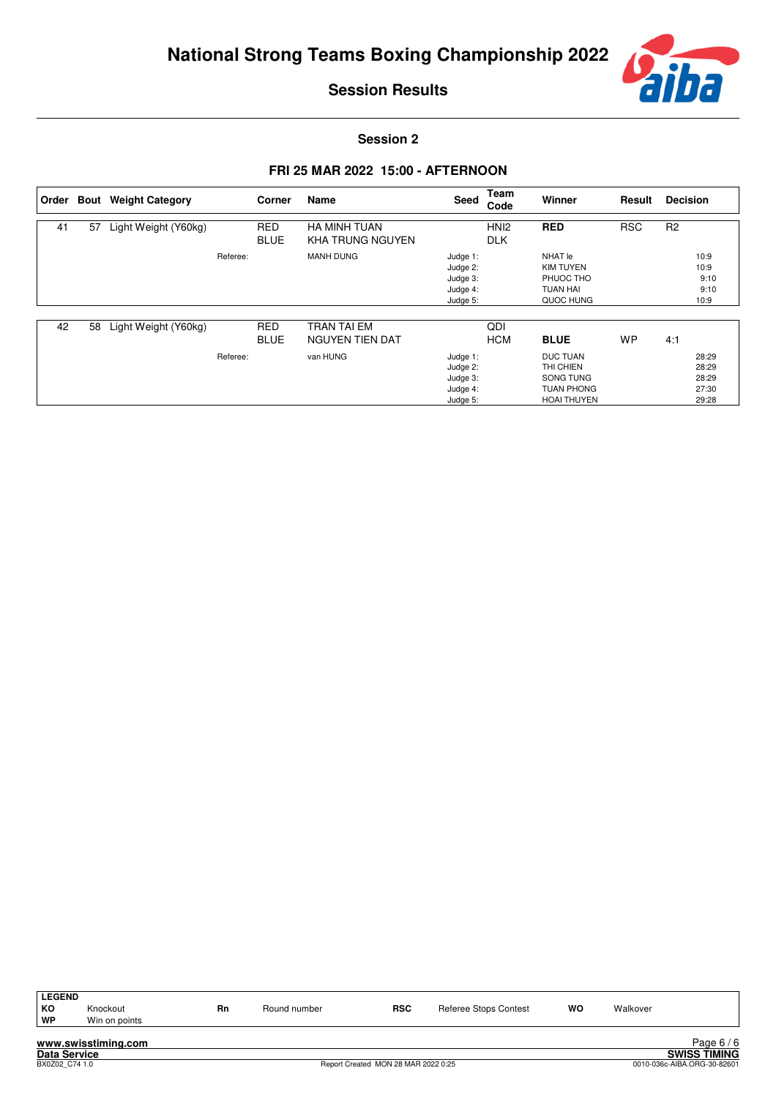

**Session 2**

|    |    | Order Bout Weight Category |          | Corner                    | Name                                           | Seed                                                     | Team<br>Code                   | Winner                                                                               | Result     | <b>Decision</b> |                                           |
|----|----|----------------------------|----------|---------------------------|------------------------------------------------|----------------------------------------------------------|--------------------------------|--------------------------------------------------------------------------------------|------------|-----------------|-------------------------------------------|
| 41 | 57 | Light Weight (Y60kg)       |          | <b>RED</b><br><b>BLUE</b> | <b>HA MINH TUAN</b><br><b>KHA TRUNG NGUYEN</b> |                                                          | HN <sub>12</sub><br><b>DLK</b> | <b>RED</b>                                                                           | <b>RSC</b> | R <sub>2</sub>  |                                           |
|    |    |                            | Referee: |                           | <b>MANH DUNG</b>                               | Judge 1:<br>Judge 2:<br>Judge 3:<br>Judge 4:<br>Judge 5: |                                | NHAT le<br><b>KIM TUYEN</b><br>PHUOC THO<br><b>TUAN HAI</b><br>QUOC HUNG             |            |                 | 10:9<br>10:9<br>9:10<br>9:10<br>10:9      |
| 42 | 58 | Light Weight (Y60kg)       |          | <b>RED</b><br><b>BLUE</b> | <b>TRAN TAI EM</b><br>NGUYEN TIEN DAT          |                                                          | QDI<br><b>HCM</b>              | <b>BLUE</b>                                                                          | <b>WP</b>  | 4:1             |                                           |
|    |    |                            | Referee: |                           | van HUNG                                       | Judge 1:<br>Judge 2:<br>Judge 3:<br>Judge 4:<br>Judge 5: |                                | <b>DUC TUAN</b><br>THI CHIEN<br>SONG TUNG<br><b>TUAN PHONG</b><br><b>HOAI THUYEN</b> |            |                 | 28:29<br>28:29<br>28:29<br>27:30<br>29:28 |

| <b>LEGEND</b><br>KO<br>WP | Knockout<br>Win on points | <b>Rn</b> | Round number | <b>RSC</b> | Referee Stops Contest | WO | Walkover |            |
|---------------------------|---------------------------|-----------|--------------|------------|-----------------------|----|----------|------------|
|                           | www.swisstiming.com       |           |              |            |                       |    |          | Page $6/6$ |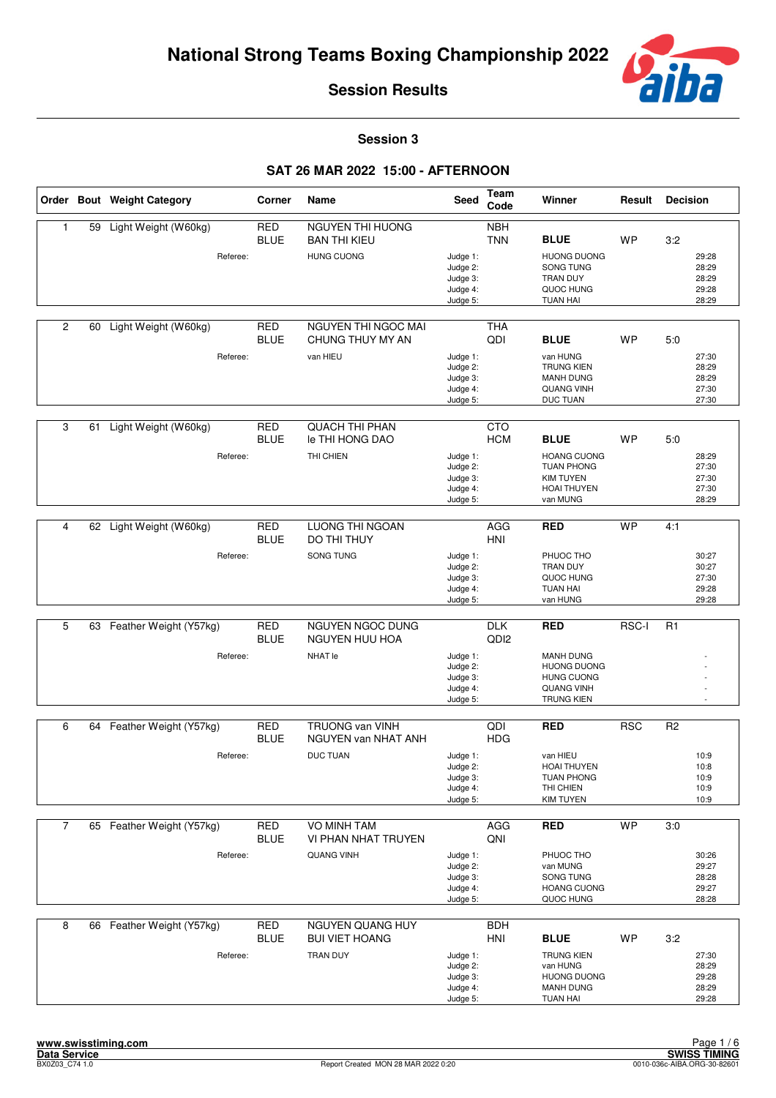

**Session 3**

|                |    | Order Bout Weight Category | Corner                    | Name                                          | <b>Seed</b>                                              | Team<br>Code                   | Winner                                                                                                | Result     | <b>Decision</b> |                                           |
|----------------|----|----------------------------|---------------------------|-----------------------------------------------|----------------------------------------------------------|--------------------------------|-------------------------------------------------------------------------------------------------------|------------|-----------------|-------------------------------------------|
| 1              | 59 | Light Weight (W60kg)       | RED<br><b>BLUE</b>        | NGUYEN THI HUONG<br><b>BAN THI KIEU</b>       |                                                          | <b>NBH</b><br><b>TNN</b>       | <b>BLUE</b>                                                                                           | <b>WP</b>  | 3:2             |                                           |
|                |    | Referee:                   |                           | <b>HUNG CUONG</b>                             | Judge 1:<br>Judge 2:<br>Judge 3:<br>Judge 4:<br>Judge 5: |                                | <b>HUONG DUONG</b><br>SONG TUNG<br><b>TRAN DUY</b><br>QUOC HUNG<br><b>TUAN HAI</b>                    |            |                 | 29:28<br>28:29<br>28:29<br>29:28<br>28:29 |
| 2              | 60 | Light Weight (W60kg)       | <b>RED</b><br><b>BLUE</b> | NGUYEN THI NGOC MAI<br>CHUNG THUY MY AN       |                                                          | <b>THA</b><br>QDI              | <b>BLUE</b>                                                                                           | <b>WP</b>  | 5:0             |                                           |
|                |    | Referee:                   |                           | van HIEU                                      | Judge 1:<br>Judge 2:<br>Judge 3:<br>Judge 4:<br>Judge 5: |                                | van HUNG<br><b>TRUNG KIEN</b><br><b>MANH DUNG</b><br><b>QUANG VINH</b><br>DUC TUAN                    |            |                 | 27:30<br>28:29<br>28:29<br>27:30<br>27:30 |
| 3              |    | 61 Light Weight (W60kg)    | <b>RED</b><br><b>BLUE</b> | <b>QUACH THI PHAN</b><br>le THI HONG DAO      |                                                          | <b>CTO</b><br><b>HCM</b>       | <b>BLUE</b>                                                                                           | <b>WP</b>  | 5:0             |                                           |
|                |    | Referee:                   |                           | THI CHIEN                                     | Judge 1:<br>Judge 2:<br>Judge 3:<br>Judge 4:<br>Judge 5: |                                | <b>HOANG CUONG</b><br><b>TUAN PHONG</b><br><b>KIM TUYEN</b><br><b>HOAI THUYEN</b><br>van MUNG         |            |                 | 28:29<br>27:30<br>27:30<br>27:30<br>28:29 |
|                |    |                            |                           |                                               |                                                          |                                |                                                                                                       |            |                 |                                           |
| $\overline{4}$ | 62 | Light Weight (W60kg)       | <b>RED</b><br><b>BLUE</b> | <b>LUONG THI NGOAN</b><br>DO THI THUY         |                                                          | AGG<br><b>HNI</b>              | <b>RED</b>                                                                                            | <b>WP</b>  | 4:1             |                                           |
|                |    | Referee:                   |                           | SONG TUNG                                     | Judge 1:<br>Judge 2:<br>Judge 3:<br>Judge 4:<br>Judge 5: |                                | PHUOC THO<br>TRAN DUY<br>QUOC HUNG<br><b>TUAN HAI</b><br>van HUNG                                     |            |                 | 30:27<br>30:27<br>27:30<br>29:28<br>29:28 |
|                |    |                            |                           |                                               |                                                          |                                |                                                                                                       |            |                 |                                           |
| 5              |    | 63 Feather Weight (Y57kg)  | <b>RED</b><br><b>BLUE</b> | NGUYEN NGOC DUNG<br>NGUYEN HUU HOA            |                                                          | <b>DLK</b><br>QD <sub>12</sub> | <b>RED</b>                                                                                            | RSC-I      | R <sub>1</sub>  |                                           |
|                |    | Referee:                   |                           | NHAT le                                       | Judge 1:<br>Judge 2:<br>Judge 3:<br>Judge 4:<br>Judge 5: |                                | <b>MANH DUNG</b><br><b>HUONG DUONG</b><br><b>HUNG CUONG</b><br><b>QUANG VINH</b><br><b>TRUNG KIEN</b> |            |                 |                                           |
|                |    |                            |                           |                                               |                                                          |                                |                                                                                                       |            |                 |                                           |
| 6              | 64 | Feather Weight (Y57kg)     | <b>RED</b><br><b>BLUE</b> | <b>TRUONG van VINH</b><br>NGUYEN van NHAT ANH |                                                          | QDI<br><b>HDG</b>              | <b>RED</b>                                                                                            | <b>RSC</b> | R <sub>2</sub>  |                                           |
|                |    | Referee:                   |                           | <b>DUC TUAN</b>                               | Judge 1:<br>Judge 2:<br>Judge 3:<br>Judge 4:<br>Judge 5: |                                | van HIEU<br>HOAI THUYEN<br><b>TUAN PHONG</b><br>THI CHIEN<br><b>KIM TUYEN</b>                         |            |                 | 10:9<br>10:8<br>10:9<br>10:9<br>10:9      |
| $\overline{7}$ |    | 65 Feather Weight (Y57kg)  | RED<br><b>BLUE</b>        | VO MINH TAM<br><b>VI PHAN NHAT TRUYEN</b>     |                                                          | AGG<br>QNI                     | <b>RED</b>                                                                                            | <b>WP</b>  | 3:0             |                                           |
|                |    | Referee:                   |                           | <b>QUANG VINH</b>                             | Judge 1:<br>Judge 2:<br>Judge 3:<br>Judge 4:<br>Judge 5: |                                | PHUOC THO<br>van MUNG<br>SONG TUNG<br><b>HOANG CUONG</b><br>QUOC HUNG                                 |            |                 | 30:26<br>29:27<br>28:28<br>29:27<br>28:28 |
| 8              |    | 66 Feather Weight (Y57kg)  | <b>RED</b><br><b>BLUE</b> | NGUYEN QUANG HUY<br><b>BUI VIET HOANG</b>     |                                                          | <b>BDH</b><br><b>HNI</b>       | <b>BLUE</b>                                                                                           | WP         | 3:2             |                                           |
|                |    | Referee:                   |                           | TRAN DUY                                      | Judge 1:<br>Judge 2:<br>Judge 3:<br>Judge 4:<br>Judge 5: |                                | <b>TRUNG KIEN</b><br>van HUNG<br><b>HUONG DUONG</b><br><b>MANH DUNG</b><br><b>TUAN HAI</b>            |            |                 | 27:30<br>28:29<br>29:28<br>28:29<br>29:28 |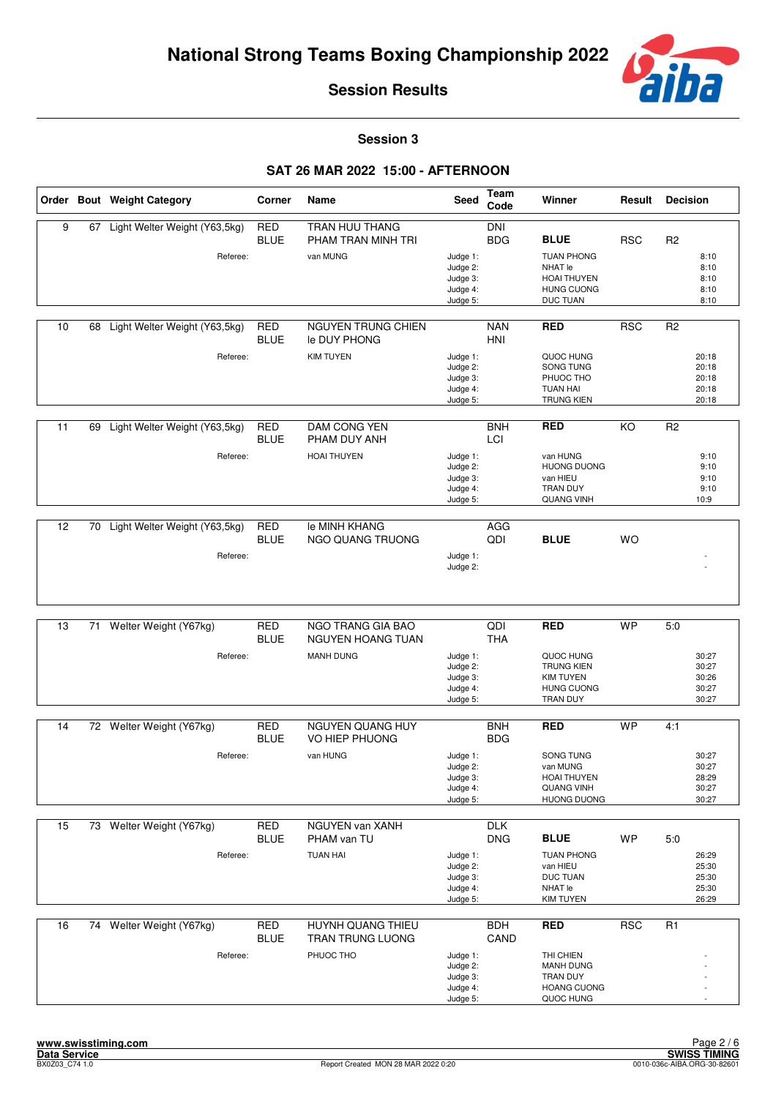

**Session 3**

|    |    | Order Bout Weight Category    | Corner                    | Name                                      | Seed                                                     | <b>Team</b><br>Code      | Winner                                                                                     | Result     | <b>Decision</b>                           |
|----|----|-------------------------------|---------------------------|-------------------------------------------|----------------------------------------------------------|--------------------------|--------------------------------------------------------------------------------------------|------------|-------------------------------------------|
| 9  | 67 | Light Welter Weight (Y63,5kg) | <b>RED</b><br><b>BLUE</b> | TRAN HUU THANG<br>PHAM TRAN MINH TRI      |                                                          | <b>DNI</b><br><b>BDG</b> | <b>BLUE</b>                                                                                | <b>RSC</b> | R <sub>2</sub>                            |
|    |    | Referee:                      |                           | van MUNG                                  | Judge 1:<br>Judge 2:<br>Judge 3:<br>Judge 4:<br>Judge 5: |                          | <b>TUAN PHONG</b><br><b>NHAT le</b><br><b>HOAI THUYEN</b><br><b>HUNG CUONG</b><br>DUC TUAN |            | 8:10<br>8:10<br>8:10<br>8:10<br>8:10      |
| 10 | 68 | Light Welter Weight (Y63,5kg) | <b>RED</b><br><b>BLUE</b> | <b>NGUYEN TRUNG CHIEN</b><br>le DUY PHONG |                                                          | <b>NAN</b><br><b>HNI</b> | <b>RED</b>                                                                                 | <b>RSC</b> | R <sub>2</sub>                            |
|    |    | Referee:                      |                           | <b>KIM TUYEN</b>                          | Judge 1:<br>Judge 2:<br>Judge 3:<br>Judge 4:<br>Judge 5: |                          | QUOC HUNG<br>SONG TUNG<br>PHUOC THO<br><b>TUAN HAI</b><br><b>TRUNG KIEN</b>                |            | 20:18<br>20:18<br>20:18<br>20:18<br>20:18 |
| 11 | 69 | Light Welter Weight (Y63,5kg) | <b>RED</b><br><b>BLUE</b> | DAM CONG YEN<br>PHAM DUY ANH              |                                                          | <b>BNH</b><br>LCI        | <b>RED</b>                                                                                 | KO         | R <sub>2</sub>                            |
|    |    | Referee:                      |                           | <b>HOAI THUYEN</b>                        | Judge 1:<br>Judge 2:<br>Judge 3:<br>Judge 4:<br>Judge 5: |                          | van HUNG<br><b>HUONG DUONG</b><br>van HIEU<br><b>TRAN DUY</b><br><b>QUANG VINH</b>         |            | 9:10<br>9:10<br>9:10<br>9:10<br>10:9      |
| 12 | 70 | Light Welter Weight (Y63,5kg) | <b>RED</b>                | le MINH KHANG                             |                                                          | AGG                      |                                                                                            |            |                                           |
|    |    | Referee:                      | <b>BLUE</b>               | NGO QUANG TRUONG                          | Judge 1:                                                 | QDI                      | <b>BLUE</b>                                                                                | <b>WO</b>  |                                           |
|    |    |                               |                           |                                           | Judge 2:                                                 |                          |                                                                                            |            |                                           |
|    |    |                               |                           |                                           |                                                          |                          |                                                                                            |            |                                           |
| 13 | 71 | Welter Weight (Y67kg)         | <b>RED</b><br><b>BLUE</b> | NGO TRANG GIA BAO<br>NGUYEN HOANG TUAN    |                                                          | QDI<br><b>THA</b>        | <b>RED</b>                                                                                 | <b>WP</b>  | 5.0                                       |
|    |    | Referee:                      |                           | <b>MANH DUNG</b>                          | Judge 1:<br>Judge 2:<br>Judge 3:<br>Judge 4:<br>Judge 5: |                          | QUOC HUNG<br><b>TRUNG KIEN</b><br><b>KIM TUYEN</b><br><b>HUNG CUONG</b><br>TRAN DUY        |            | 30:27<br>30:27<br>30:26<br>30:27<br>30:27 |
| 14 |    | 72 Welter Weight (Y67kg)      | <b>RED</b><br><b>BLUE</b> | <b>NGUYEN QUANG HUY</b><br>VO HIEP PHUONG |                                                          | <b>BNH</b><br><b>BDG</b> | <b>RED</b>                                                                                 | <b>WP</b>  | 4:1                                       |
|    |    | Referee:                      |                           | van HUNG                                  | Judge 1:<br>Judge 2:<br>Judge 3:<br>Judge 4:<br>Judge 5: |                          | SONG TUNG<br>van MUNG<br><b>HOAI THUYEN</b><br><b>QUANG VINH</b><br><b>HUONG DUONG</b>     |            | 30:27<br>30:27<br>28:29<br>30:27<br>30:27 |
| 15 |    | 73 Welter Weight (Y67kg)      | <b>RED</b><br><b>BLUE</b> | <b>NGUYEN van XANH</b><br>PHAM van TU     |                                                          | DTK<br><b>DNG</b>        | <b>BLUE</b>                                                                                | <b>WP</b>  | 5:0                                       |
|    |    | Referee:                      |                           | <b>TUAN HAI</b>                           | Judge 1:<br>Judge 2:<br>Judge 3:<br>Judge 4:<br>Judge 5: |                          | <b>TUAN PHONG</b><br>van HIEU<br><b>DUC TUAN</b><br>NHAT le<br><b>KIM TUYEN</b>            |            | 26:29<br>25:30<br>25:30<br>25:30<br>26:29 |
| 16 |    | 74 Welter Weight (Y67kg)      | <b>RED</b><br><b>BLUE</b> | HUYNH QUANG THIEU<br>TRAN TRUNG LUONG     |                                                          | <b>BDH</b><br>CAND       | <b>RED</b>                                                                                 | <b>RSC</b> | R1                                        |
|    |    | Referee:                      |                           | PHUOC THO                                 | Judge 1:<br>Judge 2:<br>Judge 3:<br>Judge 4:<br>Judge 5: |                          | THI CHIEN<br><b>MANH DUNG</b><br>TRAN DUY<br><b>HOANG CUONG</b><br>QUOC HUNG               |            |                                           |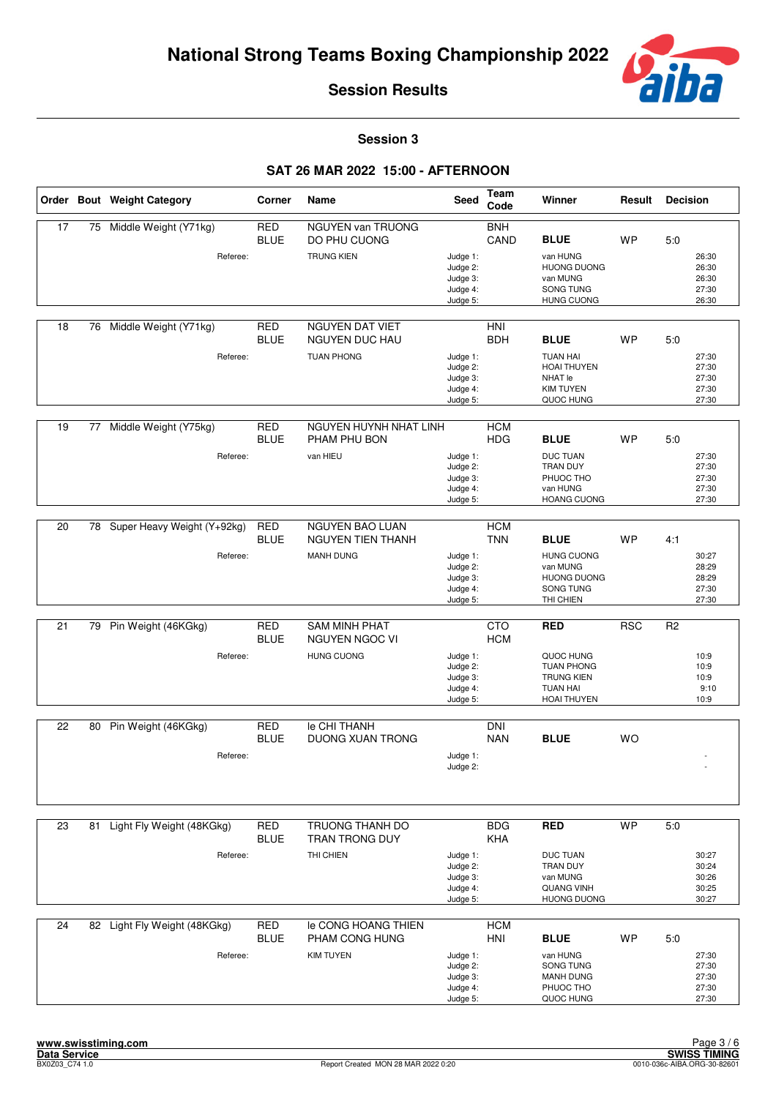

**Session 3**

|                 |    | Order Bout Weight Category   | Corner                    | Name                                            | Seed                                                     | Team<br>Code             | Winner                                                                                | Result     | <b>Decision</b> |                                           |
|-----------------|----|------------------------------|---------------------------|-------------------------------------------------|----------------------------------------------------------|--------------------------|---------------------------------------------------------------------------------------|------------|-----------------|-------------------------------------------|
| 17              | 75 | Middle Weight (Y71kg)        | <b>RED</b><br><b>BLUE</b> | <b>NGUYEN van TRUONG</b><br>DO PHU CUONG        |                                                          | <b>BNH</b><br>CAND       | <b>BLUE</b>                                                                           | <b>WP</b>  | 5.0             |                                           |
|                 |    | Referee:                     |                           | <b>TRUNG KIEN</b>                               | Judge 1:<br>Judge 2:<br>Judge 3:<br>Judge 4:<br>Judge 5: |                          | van HUNG<br><b>HUONG DUONG</b><br>van MUNG<br>SONG TUNG<br><b>HUNG CUONG</b>          |            |                 | 26:30<br>26:30<br>26:30<br>27:30<br>26:30 |
| 18              | 76 | Middle Weight (Y71kg)        | <b>RED</b><br><b>BLUE</b> | <b>NGUYEN DAT VIET</b><br><b>NGUYEN DUC HAU</b> |                                                          | HNI<br><b>BDH</b>        | <b>BLUE</b>                                                                           | <b>WP</b>  | 5:0             |                                           |
|                 |    | Referee:                     |                           | <b>TUAN PHONG</b>                               | Judge 1:<br>Judge 2:<br>Judge 3:<br>Judge 4:<br>Judge 5: |                          | <b>TUAN HAI</b><br><b>HOAI THUYEN</b><br>NHAT le<br><b>KIM TUYEN</b><br>QUOC HUNG     |            |                 | 27:30<br>27:30<br>27:30<br>27:30<br>27:30 |
| 19              | 77 | Middle Weight (Y75kg)        | <b>RED</b><br><b>BLUE</b> | NGUYEN HUYNH NHAT LINH<br>PHAM PHU BON          |                                                          | <b>HCM</b><br><b>HDG</b> | <b>BLUE</b>                                                                           | WP         | 5:0             |                                           |
|                 |    | Referee:                     |                           | van HIEU                                        | Judge 1:<br>Judge 2:<br>Judge 3:<br>Judge 4:<br>Judge 5: |                          | <b>DUC TUAN</b><br>TRAN DUY<br>PHUOC THO<br>van HUNG<br><b>HOANG CUONG</b>            |            |                 | 27:30<br>27:30<br>27:30<br>27:30<br>27:30 |
|                 |    |                              |                           |                                                 |                                                          |                          |                                                                                       |            |                 |                                           |
| 20              | 78 | Super Heavy Weight (Y+92kg)  | <b>RED</b><br><b>BLUE</b> | <b>NGUYEN BAO LUAN</b><br>NGUYEN TIEN THANH     |                                                          | <b>HCM</b><br><b>TNN</b> | <b>BLUE</b>                                                                           | <b>WP</b>  | 4:1             |                                           |
|                 |    | Referee:                     |                           | <b>MANH DUNG</b>                                | Judge 1:<br>Judge 2:<br>Judge 3:<br>Judge 4:<br>Judge 5: |                          | <b>HUNG CUONG</b><br>van MUNG<br><b>HUONG DUONG</b><br>SONG TUNG<br>THI CHIEN         |            |                 | 30:27<br>28:29<br>28:29<br>27:30<br>27:30 |
| 21              |    |                              | <b>RED</b>                | <b>SAM MINH PHAT</b>                            |                                                          | <b>CTO</b>               | <b>RED</b>                                                                            | <b>RSC</b> | R <sub>2</sub>  |                                           |
|                 | 79 | Pin Weight (46KGkg)          | <b>BLUE</b>               | NGUYEN NGOC VI                                  |                                                          | <b>HCM</b>               |                                                                                       |            |                 |                                           |
|                 |    | Referee:                     |                           | <b>HUNG CUONG</b>                               | Judge 1:<br>Judge 2:<br>Judge 3:<br>Judge 4:<br>Judge 5: |                          | QUOC HUNG<br><b>TUAN PHONG</b><br><b>TRUNG KIEN</b><br><b>TUAN HAI</b><br>HOAI THUYEN |            |                 | 10:9<br>10:9<br>10:9<br>9:10<br>10:9      |
| 22              | 80 | Pin Weight (46KGkg)          | <b>RED</b>                | <b>Ie CHI THANH</b>                             |                                                          | <b>DNI</b>               |                                                                                       |            |                 |                                           |
|                 |    |                              | <b>BLUE</b>               | <b>DUONG XUAN TRONG</b>                         |                                                          | <b>NAN</b>               | <b>BLUE</b>                                                                           | <b>WO</b>  |                 |                                           |
|                 |    | Referee:                     |                           |                                                 | Judge 1:<br>Judge 2:                                     |                          |                                                                                       |            |                 |                                           |
| 23              | 81 | Light Fly Weight (48KGkg)    | <b>RED</b>                | TRUONG THANH DO                                 |                                                          | <b>BDG</b>               | <b>RED</b>                                                                            | <b>WP</b>  | 5.0             |                                           |
|                 |    |                              | <b>BLUE</b>               | TRAN TRONG DUY                                  |                                                          | <b>KHA</b>               |                                                                                       |            |                 |                                           |
|                 |    | Referee:                     |                           | THI CHIEN                                       | Judge 1:<br>Judge 2:<br>Judge 3:<br>Judge 4:<br>Judge 5: |                          | <b>DUC TUAN</b><br>TRAN DUY<br>van MUNG<br><b>QUANG VINH</b><br><b>HUONG DUONG</b>    |            |                 | 30:27<br>30:24<br>30:26<br>30:25<br>30:27 |
| $\overline{24}$ |    | 82 Light Fly Weight (48KGkg) | <b>RED</b><br><b>BLUE</b> | le CONG HOANG THIEN<br>PHAM CONG HUNG           |                                                          | <b>HCM</b><br><b>HNI</b> | <b>BLUE</b>                                                                           | WP         | 5:0             |                                           |
|                 |    | Referee:                     |                           | <b>KIM TUYEN</b>                                | Judge 1:<br>Judge 2:<br>Judge 3:<br>Judge 4:<br>Judge 5: |                          | van HUNG<br>SONG TUNG<br><b>MANH DUNG</b><br>PHUOC THO<br>QUOC HUNG                   |            |                 | 27:30<br>27:30<br>27:30<br>27:30<br>27:30 |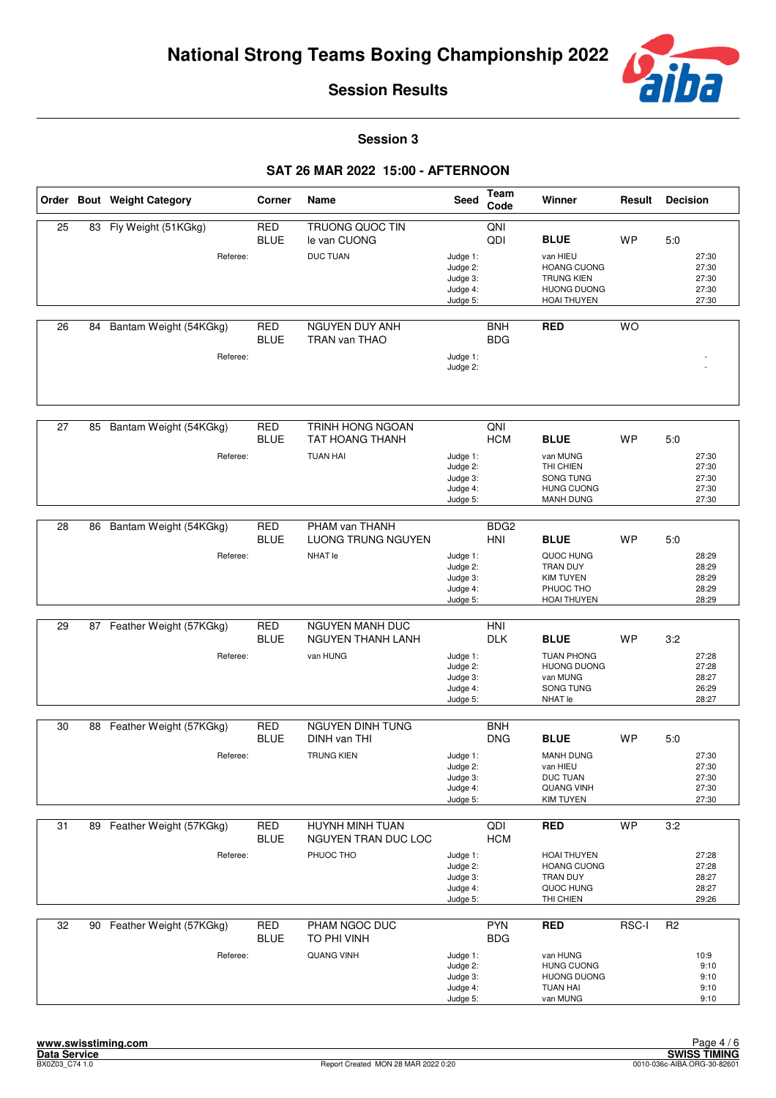

**Session 3**

|    |    | Order Bout Weight Category | Corner                    | Name                                       | <b>Seed</b>                                              | Team<br>Code             | Winner                                                                                          | Result    | <b>Decision</b>                           |  |
|----|----|----------------------------|---------------------------|--------------------------------------------|----------------------------------------------------------|--------------------------|-------------------------------------------------------------------------------------------------|-----------|-------------------------------------------|--|
| 25 | 83 | Fly Weight (51KGkg)        | <b>RED</b><br><b>BLUE</b> | <b>TRUONG QUOC TIN</b><br>le van CUONG     |                                                          | QNI<br>QDI               | <b>BLUE</b>                                                                                     | <b>WP</b> | 5:0                                       |  |
|    |    | Referee:                   |                           | <b>DUC TUAN</b>                            | Judge 1:<br>Judge 2:<br>Judge 3:<br>Judge 4:<br>Judge 5: |                          | van HIEU<br><b>HOANG CUONG</b><br><b>TRUNG KIEN</b><br><b>HUONG DUONG</b><br><b>HOAI THUYEN</b> |           | 27:30<br>27:30<br>27:30<br>27:30<br>27:30 |  |
| 26 | 84 | Bantam Weight (54KGkg)     | <b>RED</b><br><b>BLUE</b> | NGUYEN DUY ANH<br>TRAN van THAO            |                                                          | <b>BNH</b><br><b>BDG</b> | <b>RED</b>                                                                                      | <b>WO</b> |                                           |  |
|    |    | Referee:                   |                           |                                            | Judge 1:<br>Judge 2:                                     |                          |                                                                                                 |           |                                           |  |
| 27 | 85 | Bantam Weight (54KGkg)     | <b>RED</b><br><b>BLUE</b> | TRINH HONG NGOAN<br><b>TAT HOANG THANH</b> |                                                          | QNI<br><b>HCM</b>        | <b>BLUE</b>                                                                                     | <b>WP</b> | 5:0                                       |  |
|    |    | Referee:                   |                           | <b>TUAN HAI</b>                            | Judge 1:<br>Judge 2:<br>Judge 3:<br>Judge 4:<br>Judge 5: |                          | van MUNG<br>THI CHIEN<br>SONG TUNG<br><b>HUNG CUONG</b><br><b>MANH DUNG</b>                     |           | 27:30<br>27:30<br>27:30<br>27:30<br>27:30 |  |
| 28 | 86 | Bantam Weight (54KGkg)     | <b>RED</b>                | PHAM van THANH                             |                                                          | BDG <sub>2</sub>         |                                                                                                 |           |                                           |  |
|    |    |                            | <b>BLUE</b>               | LUONG TRUNG NGUYEN                         |                                                          | HNI                      | <b>BLUE</b>                                                                                     | <b>WP</b> | 5:0                                       |  |
|    |    | Referee:                   |                           | NHAT le                                    | Judge 1:<br>Judge 2:<br>Judge 3:<br>Judge 4:<br>Judge 5: |                          | QUOC HUNG<br>TRAN DUY<br><b>KIM TUYEN</b><br>PHUOC THO<br><b>HOAI THUYEN</b>                    |           | 28:29<br>28:29<br>28:29<br>28:29<br>28:29 |  |
| 29 | 87 | Feather Weight (57KGkg)    | <b>RED</b>                | NGUYEN MANH DUC                            |                                                          | HNI                      |                                                                                                 |           |                                           |  |
|    |    |                            | <b>BLUE</b>               | NGUYEN THANH LANH                          |                                                          | <b>DLK</b>               | <b>BLUE</b>                                                                                     | <b>WP</b> | 3:2                                       |  |
|    |    | Referee:                   |                           | van HUNG                                   | Judge 1:<br>Judge 2:<br>Judge 3:<br>Judge 4:<br>Judge 5: |                          | <b>TUAN PHONG</b><br><b>HUONG DUONG</b><br>van MUNG<br>SONG TUNG<br>NHAT le                     |           | 27:28<br>27:28<br>28:27<br>26:29<br>28:27 |  |
| 30 |    | 88 Feather Weight (57KGkg) | <b>RED</b>                | <b>NGUYEN DINH TUNG</b>                    |                                                          | <b>BNH</b>               |                                                                                                 |           |                                           |  |
|    |    |                            | <b>BLUE</b>               | DINH van THI                               |                                                          | <b>DNG</b>               | <b>BLUE</b>                                                                                     | <b>WP</b> | 5:0                                       |  |
|    |    | Referee:                   |                           | <b>TRUNG KIEN</b>                          | Judge 1:<br>Judge 2:<br>Judge 3:<br>Judge 4:<br>Judge 5: |                          | <b>MANH DUNG</b><br>van HIEU<br><b>DUC TUAN</b><br><b>QUANG VINH</b><br><b>KIM TUYEN</b>        |           | 27:30<br>27:30<br>27:30<br>27:30<br>27:30 |  |
| 31 | 89 | Feather Weight (57KGkg)    | <b>RED</b><br><b>BLUE</b> | HUYNH MINH TUAN<br>NGUYEN TRAN DUC LOC     |                                                          | QDI<br><b>HCM</b>        | <b>RED</b>                                                                                      | <b>WP</b> | 3:2                                       |  |
|    |    | Referee:                   |                           | PHUOC THO                                  | Judge 1:<br>Judge 2:<br>Judge 3:<br>Judge 4:<br>Judge 5: |                          | HOAI THUYEN<br><b>HOANG CUONG</b><br>TRAN DUY<br>QUOC HUNG<br>THI CHIEN                         |           | 27:28<br>27:28<br>28:27<br>28:27<br>29:26 |  |
| 32 |    | 90 Feather Weight (57KGkg) | <b>RED</b><br><b>BLUE</b> | PHAM NGOC DUC<br>TO PHI VINH               |                                                          | <b>PYN</b><br><b>BDG</b> | <b>RED</b>                                                                                      | RSC-I     | R <sub>2</sub>                            |  |
|    |    | Referee:                   |                           | <b>QUANG VINH</b>                          | Judge 1:<br>Judge 2:<br>Judge 3:<br>Judge 4:<br>Judge 5: |                          | van HUNG<br><b>HUNG CUONG</b><br><b>HUONG DUONG</b><br><b>TUAN HAI</b><br>van MUNG              |           | 10:9<br>9:10<br>9:10<br>9:10<br>9:10      |  |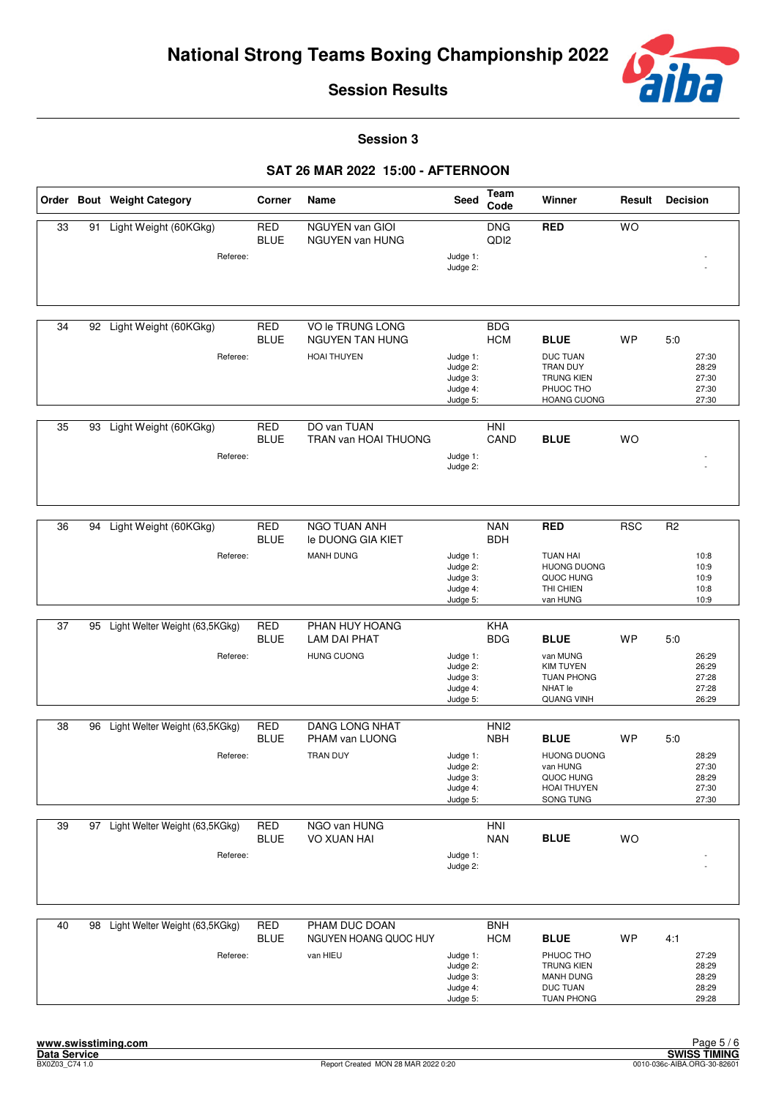

**Session 3**

|    |    | Order Bout Weight Category                    | Corner                    | Name                                                             | Seed                                                     | <b>Team</b><br>Code            | Winner                                                                                                    | Result     | <b>Decision</b>                                        |
|----|----|-----------------------------------------------|---------------------------|------------------------------------------------------------------|----------------------------------------------------------|--------------------------------|-----------------------------------------------------------------------------------------------------------|------------|--------------------------------------------------------|
| 33 | 91 | Light Weight (60KGkg)<br>Referee:             | <b>RED</b><br><b>BLUE</b> | NGUYEN van GIOI<br>NGUYEN van HUNG                               | Judge 1:<br>Judge 2:                                     | <b>DNG</b><br>QD <sub>12</sub> | <b>RED</b>                                                                                                | <b>WO</b>  |                                                        |
| 34 |    | 92 Light Weight (60KGkg)<br>Referee:          | <b>RED</b><br><b>BLUE</b> | VO le TRUNG LONG<br><b>NGUYEN TAN HUNG</b><br><b>HOAI THUYEN</b> | Judge 1:<br>Judge 2:<br>Judge 3:<br>Judge 4:<br>Judge 5: | <b>BDG</b><br><b>HCM</b>       | <b>BLUE</b><br><b>DUC TUAN</b><br>TRAN DUY<br><b>TRUNG KIEN</b><br>PHUOC THO<br>HOANG CUONG               | <b>WP</b>  | 5:0<br>27:30<br>28:29<br>27:30<br>27:30<br>27:30       |
| 35 | 93 | Light Weight (60KGkg)<br>Referee:             | <b>RED</b><br><b>BLUE</b> | DO van TUAN<br>TRAN van HOAI THUONG                              | Judge 1:<br>Judge 2:                                     | <b>HNI</b><br>CAND             | <b>BLUE</b>                                                                                               | <b>WO</b>  |                                                        |
| 36 | 94 | Light Weight (60KGkg)<br>Referee:             | <b>RED</b><br><b>BLUE</b> | <b>NGO TUAN ANH</b><br>le DUONG GIA KIET<br><b>MANH DUNG</b>     | Judge 1:<br>Judge 2:<br>Judge 3:<br>Judge 4:<br>Judge 5: | <b>NAN</b><br><b>BDH</b>       | <b>RED</b><br><b>TUAN HAI</b><br><b>HUONG DUONG</b><br>QUOC HUNG<br>THI CHIEN<br>van HUNG                 | <b>RSC</b> | R <sub>2</sub><br>10:8<br>10:9<br>10:9<br>10:8<br>10:9 |
| 37 | 95 | Light Welter Weight (63,5KGkg)<br>Referee:    | <b>RED</b><br><b>BLUE</b> | PHAN HUY HOANG<br>LAM DAI PHAT<br><b>HUNG CUONG</b>              | Judge 1:<br>Judge 2:<br>Judge 3:<br>Judge 4:<br>Judge 5: | KHA<br><b>BDG</b>              | <b>BLUE</b><br>van MUNG<br><b>KIM TUYEN</b><br><b>TUAN PHONG</b><br><b>NHAT le</b><br><b>QUANG VINH</b>   | <b>WP</b>  | 5:0<br>26:29<br>26:29<br>27:28<br>27:28<br>26:29       |
| 38 | 96 | Light Welter Weight (63,5KGkg)<br>Referee:    | <b>RED</b><br><b>BLUE</b> | <b>DANG LONG NHAT</b><br>PHAM van LUONG<br><b>TRAN DUY</b>       | Judge 1:<br>Judge 2:<br>Judge 3:<br>Judge 4:<br>Judge 5: | HNI <sub>2</sub><br><b>NBH</b> | <b>BLUE</b><br><b>HUONG DUONG</b><br>van HUNG<br>QUOC HUNG<br><b>HOAI THUYEN</b><br>SONG TUNG             | <b>WP</b>  | 5:0<br>28:29<br>27:30<br>28:29<br>27:30<br>27:30       |
| 39 |    | 97 Light Welter Weight (63,5KGkg)<br>Referee: | RED<br><b>BLUE</b>        | NGO van HUNG<br><b>VO XUAN HAI</b>                               | Judge 1:<br>Judge 2:                                     | HNI<br><b>NAN</b>              | <b>BLUE</b>                                                                                               | <b>WO</b>  |                                                        |
| 40 |    | 98 Light Welter Weight (63,5KGkg)<br>Referee: | <b>RED</b><br><b>BLUE</b> | PHAM DUC DOAN<br>NGUYEN HOANG QUOC HUY<br>van HIEU               | Judge 1:<br>Judge 2:<br>Judge 3:<br>Judge 4:<br>Judge 5: | <b>BNH</b><br><b>HCM</b>       | <b>BLUE</b><br>PHUOC THO<br><b>TRUNG KIEN</b><br><b>MANH DUNG</b><br><b>DUC TUAN</b><br><b>TUAN PHONG</b> | <b>WP</b>  | 4:1<br>27:29<br>28:29<br>28:29<br>28:29<br>29:28       |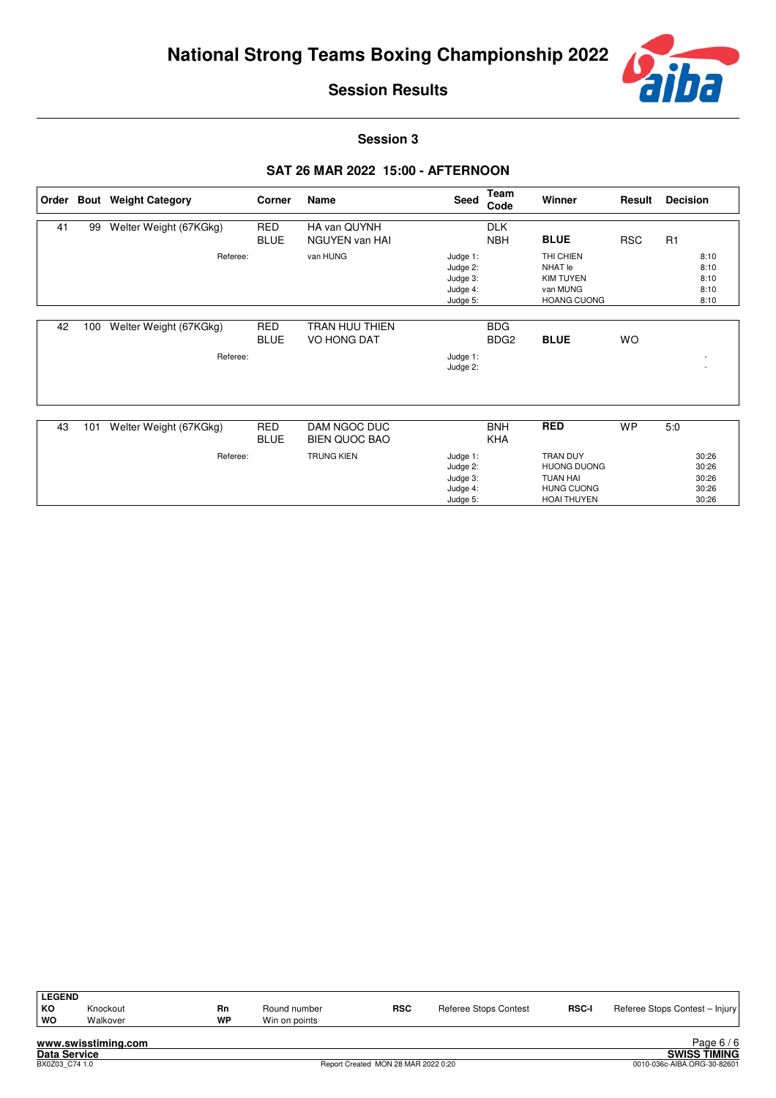

**Session 3**

|    |     | Order Bout Weight Category         | Corner                    | Name                                 | Seed                                                     | Team<br>Code                   | Winner                                                                                              | Result     | <b>Decision</b>                           |
|----|-----|------------------------------------|---------------------------|--------------------------------------|----------------------------------------------------------|--------------------------------|-----------------------------------------------------------------------------------------------------|------------|-------------------------------------------|
| 41 | 99  | Welter Weight (67KGkg)             | <b>RED</b><br><b>BLUE</b> | HA van QUYNH<br>NGUYEN van HAI       |                                                          | <b>DLK</b><br><b>NBH</b>       | <b>BLUE</b>                                                                                         | <b>RSC</b> | R1                                        |
|    |     | Referee:                           |                           | van HUNG                             | Judge 1:<br>Judge 2:<br>Judge 3:<br>Judge 4:<br>Judge 5: |                                | THI CHIEN<br>NHAT le<br><b>KIM TUYEN</b><br>van MUNG<br><b>HOANG CUONG</b>                          |            | 8:10<br>8:10<br>8:10<br>8:10<br>8:10      |
| 42 | 100 | Welter Weight (67KGkg)<br>Referee: | <b>RED</b><br><b>BLUE</b> | TRAN HUU THIEN<br>VO HONG DAT        | Judge 1:<br>Judge 2:                                     | <b>BDG</b><br>BDG <sub>2</sub> | <b>BLUE</b>                                                                                         | <b>WO</b>  |                                           |
| 43 | 101 | Welter Weight (67KGkg)             | <b>RED</b><br><b>BLUE</b> | DAM NGOC DUC<br><b>BIEN QUOC BAO</b> |                                                          | <b>BNH</b><br><b>KHA</b>       | <b>RED</b>                                                                                          | <b>WP</b>  | 5:0                                       |
|    |     | Referee:                           |                           | <b>TRUNG KIEN</b>                    | Judge 1:<br>Judge 2:<br>Judge 3:<br>Judge 4:<br>Judge 5: |                                | <b>TRAN DUY</b><br><b>HUONG DUONG</b><br><b>TUAN HAI</b><br><b>HUNG CUONG</b><br><b>HOAI THUYEN</b> |            | 30:26<br>30:26<br>30:26<br>30:26<br>30:26 |

| <b>LEGEND</b>       |          |    |               |            |                       |              |                                |  |  |  |  |
|---------------------|----------|----|---------------|------------|-----------------------|--------------|--------------------------------|--|--|--|--|
| KO                  | Knockout | Rn | Round number  | <b>RSC</b> | Referee Stops Contest | <b>RSC-I</b> | Referee Stops Contest - Injury |  |  |  |  |
| ∣ wo                | Walkover | WP | Win on points |            |                       |              |                                |  |  |  |  |
| www.swisstiming.com |          |    |               |            |                       |              |                                |  |  |  |  |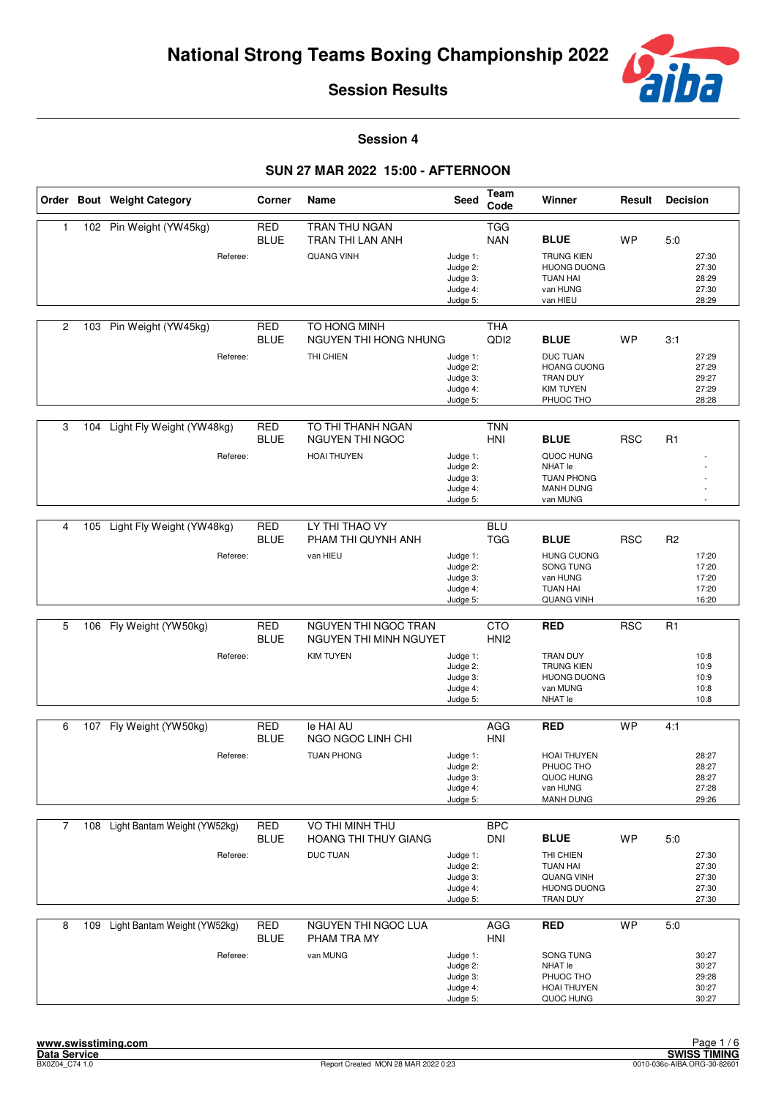

**Session 4**

|   |     | Order Bout Weight Category       | Corner                    | Name                                  | <b>Seed</b>                                              | Team<br>Code                   | Winner                                                                             | Result     | <b>Decision</b> |                                           |
|---|-----|----------------------------------|---------------------------|---------------------------------------|----------------------------------------------------------|--------------------------------|------------------------------------------------------------------------------------|------------|-----------------|-------------------------------------------|
| 1 |     | 102 Pin Weight (YW45kg)          | <b>RED</b><br><b>BLUE</b> | TRAN THU NGAN<br>TRAN THI LAN ANH     |                                                          | <b>TGG</b><br><b>NAN</b>       | <b>BLUE</b>                                                                        | <b>WP</b>  | 5.0             |                                           |
|   |     | Referee:                         |                           | <b>QUANG VINH</b>                     | Judge 1:<br>Judge 2:<br>Judge 3:<br>Judge 4:<br>Judge 5: |                                | <b>TRUNG KIEN</b><br><b>HUONG DUONG</b><br><b>TUAN HAI</b><br>van HUNG<br>van HIEU |            |                 | 27:30<br>27:30<br>28:29<br>27:30<br>28:29 |
| 2 |     | 103 Pin Weight (YW45kg)          | <b>RED</b><br><b>BLUE</b> | TO HONG MINH<br>NGUYEN THI HONG NHUNG |                                                          | <b>THA</b><br>QD <sub>12</sub> | <b>BLUE</b>                                                                        | <b>WP</b>  | 3:1             |                                           |
|   |     | Referee:                         |                           | THI CHIEN                             | Judge 1:<br>Judge 2:<br>Judge 3:<br>Judge 4:<br>Judge 5: |                                | <b>DUC TUAN</b><br><b>HOANG CUONG</b><br>TRAN DUY<br><b>KIM TUYEN</b><br>PHUOC THO |            |                 | 27:29<br>27:29<br>29:27<br>27:29<br>28:28 |
|   |     |                                  |                           |                                       |                                                          |                                |                                                                                    |            |                 |                                           |
| 3 | 104 | Light Fly Weight (YW48kg)        | <b>RED</b><br><b>BLUE</b> | TO THI THANH NGAN<br>NGUYEN THI NGOC  |                                                          | <b>TNN</b><br><b>HNI</b>       | <b>BLUE</b>                                                                        | <b>RSC</b> | R <sub>1</sub>  |                                           |
|   |     | Referee:                         |                           | <b>HOAI THUYEN</b>                    | Judge 1:<br>Judge 2:<br>Judge 3:<br>Judge 4:<br>Judge 5: |                                | QUOC HUNG<br>NHAT le<br><b>TUAN PHONG</b><br><b>MANH DUNG</b><br>van MUNG          |            |                 |                                           |
|   |     |                                  |                           |                                       |                                                          |                                |                                                                                    |            |                 |                                           |
| 4 |     | 105 Light Fly Weight (YW48kg)    | <b>RED</b><br><b>BLUE</b> | LY THI THAO VY<br>PHAM THI QUYNH ANH  |                                                          | <b>BLU</b><br><b>TGG</b>       | <b>BLUE</b>                                                                        | <b>RSC</b> | R <sub>2</sub>  |                                           |
|   |     | Referee:                         |                           | van HIEU                              | Judge 1:<br>Judge 2:<br>Judge 3:<br>Judge 4:<br>Judge 5: |                                | <b>HUNG CUONG</b><br>SONG TUNG<br>van HUNG<br><b>TUAN HAI</b><br><b>QUANG VINH</b> |            |                 | 17:20<br>17:20<br>17:20<br>17:20<br>16:20 |
| 5 | 106 | Fly Weight (YW50kg)              | <b>RED</b>                | NGUYEN THI NGOC TRAN                  |                                                          | <b>CTO</b>                     | <b>RED</b>                                                                         | <b>RSC</b> | R <sub>1</sub>  |                                           |
|   |     |                                  | <b>BLUE</b>               | NGUYEN THI MINH NGUYET                |                                                          | HNI <sub>2</sub>               |                                                                                    |            |                 |                                           |
|   |     | Referee:                         |                           | <b>KIM TUYEN</b>                      | Judge 1:<br>Judge 2:                                     |                                | <b>TRAN DUY</b><br><b>TRUNG KIEN</b>                                               |            |                 | 10:8<br>10:9                              |
|   |     |                                  |                           |                                       | Judge 3:<br>Judge 4:                                     |                                | <b>HUONG DUONG</b><br>van MUNG                                                     |            |                 | 10:9<br>10:8                              |
|   |     |                                  |                           |                                       | Judge 5:                                                 |                                | NHAT le                                                                            |            |                 | 10:8                                      |
| 6 |     | 107 Fly Weight (YW50kg)          | <b>RED</b>                | le HAI AU                             |                                                          | AGG                            | <b>RED</b>                                                                         | <b>WP</b>  | 4:1             |                                           |
|   |     |                                  | <b>BLUE</b>               | NGO NGOC LINH CHI                     |                                                          | <b>HNI</b>                     |                                                                                    |            |                 |                                           |
|   |     | Referee:                         |                           | <b>TUAN PHONG</b>                     | Judge 1:<br>Judge 2:                                     |                                | <b>HOAI THUYEN</b><br>PHUOC THO                                                    |            |                 | 28:27<br>28:27                            |
|   |     |                                  |                           |                                       | Judge 3:                                                 |                                | QUOC HUNG                                                                          |            |                 | 28:27                                     |
|   |     |                                  |                           |                                       | Judge 4:<br>Judge 5:                                     |                                | van HUNG<br><b>MANH DUNG</b>                                                       |            |                 | 27:28<br>29:26                            |
| 7 | 108 | Light Bantam Weight (YW52kg)     | RED                       | VO THI MINH THU                       |                                                          | <b>BPC</b>                     |                                                                                    |            |                 |                                           |
|   |     |                                  | <b>BLUE</b>               | <b>HOANG THI THUY GIANG</b>           |                                                          | <b>DNI</b>                     | <b>BLUE</b>                                                                        | WP         | 5:0             |                                           |
|   |     | Referee:                         |                           | <b>DUC TUAN</b>                       | Judge 1:<br>Judge 2:                                     |                                | THI CHIEN<br><b>TUAN HAI</b>                                                       |            |                 | 27:30<br>27:30                            |
|   |     |                                  |                           |                                       | Judge 3:                                                 |                                | <b>QUANG VINH</b>                                                                  |            |                 | 27:30                                     |
|   |     |                                  |                           |                                       | Judge 4:<br>Judge 5:                                     |                                | <b>HUONG DUONG</b><br>TRAN DUY                                                     |            |                 | 27:30<br>27:30                            |
|   |     | 109 Light Bantam Weight (YW52kg) |                           | NGUYEN THI NGOC LUA                   |                                                          |                                |                                                                                    | <b>WP</b>  |                 |                                           |
| 8 |     |                                  | RED<br><b>BLUE</b>        | PHAM TRA MY                           |                                                          | AGG<br>HNI                     | <b>RED</b>                                                                         |            | 5:0             |                                           |
|   |     | Referee:                         |                           | van MUNG                              | Judge 1:<br>Judge 2:                                     |                                | SONG TUNG<br>NHAT le                                                               |            |                 | 30:27<br>30:27                            |
|   |     |                                  |                           |                                       | Judge 3:                                                 |                                | PHUOC THO                                                                          |            |                 | 29:28                                     |
|   |     |                                  |                           |                                       | Judge 4:<br>Judge 5:                                     |                                | HOAI THUYEN<br>QUOC HUNG                                                           |            |                 | 30:27<br>30:27                            |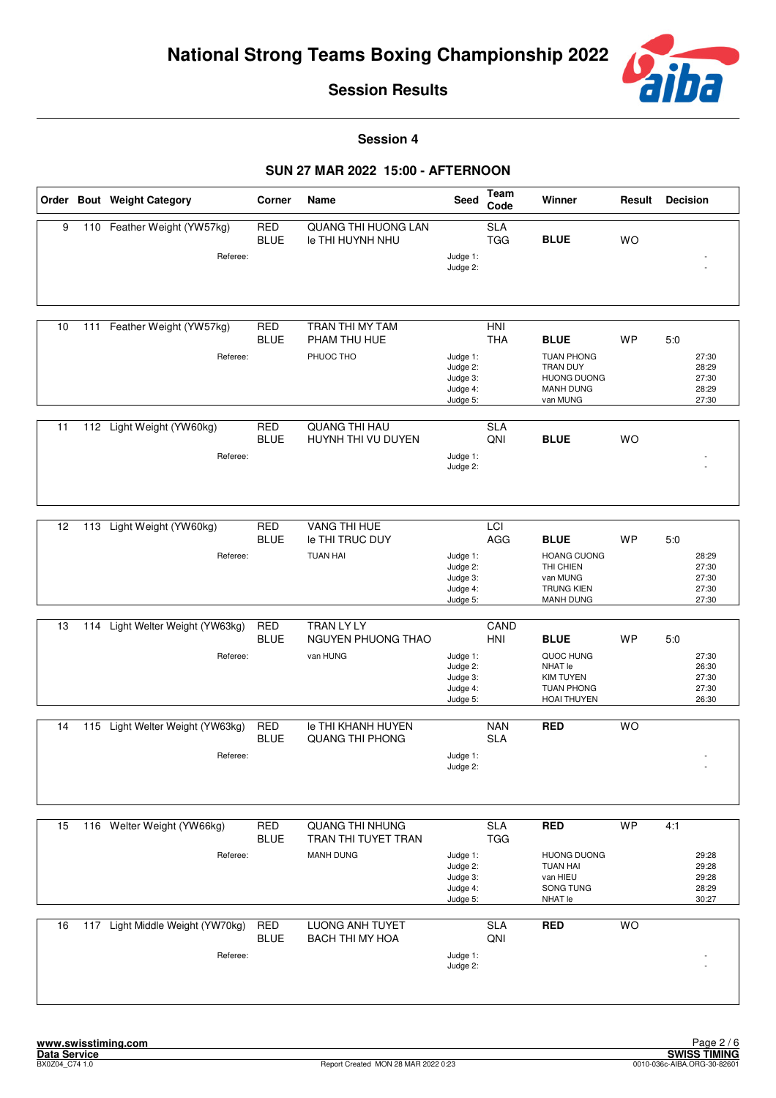

**Session 4**

|    |     | Order Bout Weight Category                   | Corner                    | Name                                                              | <b>Seed</b>                                              | <b>Team</b><br>Code      | Winner                                                                                             | Result    | <b>Decision</b>                                  |
|----|-----|----------------------------------------------|---------------------------|-------------------------------------------------------------------|----------------------------------------------------------|--------------------------|----------------------------------------------------------------------------------------------------|-----------|--------------------------------------------------|
| 9  |     | 110 Feather Weight (YW57kg)<br>Referee:      | <b>RED</b><br><b>BLUE</b> | QUANG THI HUONG LAN<br>le THI HUYNH NHU                           | Judge 1:<br>Judge 2:                                     | <b>SLA</b><br><b>TGG</b> | <b>BLUE</b>                                                                                        | <b>WO</b> |                                                  |
| 10 | 111 | Feather Weight (YW57kg)<br>Referee:          | <b>RED</b><br><b>BLUE</b> | TRAN THI MY TAM<br>PHAM THU HUE<br>PHUOC THO                      | Judge 1:<br>Judge 2:<br>Judge 3:<br>Judge 4:<br>Judge 5: | HNI<br><b>THA</b>        | <b>BLUE</b><br><b>TUAN PHONG</b><br>TRAN DUY<br><b>HUONG DUONG</b><br><b>MANH DUNG</b><br>van MUNG | WP        | 5:0<br>27:30<br>28:29<br>27:30<br>28:29<br>27:30 |
| 11 |     | 112 Light Weight (YW60kg)<br>Referee:        | <b>RED</b><br><b>BLUE</b> | <b>QUANG THI HAU</b><br>HUYNH THI VU DUYEN                        | Judge 1:<br>Judge 2:                                     | <b>SLA</b><br>QNI        | <b>BLUE</b>                                                                                        | <b>WO</b> |                                                  |
| 12 | 113 | Light Weight (YW60kg)<br>Referee:            | <b>RED</b><br><b>BLUE</b> | <b>VANG THI HUE</b><br>le THI TRUC DUY<br><b>TUAN HAI</b>         | Judge 1:<br>Judge 2:<br>Judge 3:<br>Judge 4:<br>Judge 5: | LCI<br>AGG               | <b>BLUE</b><br><b>HOANG CUONG</b><br>THI CHIEN<br>van MUNG<br><b>TRUNG KIEN</b><br>MANH DUNG       | <b>WP</b> | 5:0<br>28:29<br>27:30<br>27:30<br>27:30<br>27:30 |
| 13 | 114 | Light Welter Weight (YW63kg)<br>Referee:     | <b>RED</b><br><b>BLUE</b> | TRAN LY LY<br>NGUYEN PHUONG THAO<br>van HUNG                      | Judge 1:<br>Judge 2:<br>Judge 3:<br>Judge 4:<br>Judge 5: | CAND<br>HNI              | <b>BLUE</b><br>QUOC HUNG<br>NHAT le<br><b>KIM TUYEN</b><br><b>TUAN PHONG</b><br><b>HOAI THUYEN</b> | WP        | 5:0<br>27:30<br>26:30<br>27:30<br>27:30<br>26:30 |
| 14 |     | 115 Light Welter Weight (YW63kg)<br>Referee: | <b>RED</b><br><b>BLUE</b> | <b>Ie THI KHANH HUYEN</b><br>QUANG THI PHONG                      | Judge 1:<br>Judge 2:                                     | <b>NAN</b><br><b>SLA</b> | <b>RED</b>                                                                                         | <b>WO</b> |                                                  |
| 15 |     | 116 Welter Weight (YW66kg)<br>Referee:       | <b>RED</b><br><b>BLUE</b> | <b>QUANG THI NHUNG</b><br>TRAN THI TUYET TRAN<br><b>MANH DUNG</b> | Judge 1:<br>Judge 2:<br>Judge 3:<br>Judge 4:<br>Judge 5: | <b>SLA</b><br><b>TGG</b> | <b>RED</b><br><b>HUONG DUONG</b><br><b>TUAN HAI</b><br>van HIEU<br>SONG TUNG<br>NHAT le            | <b>WP</b> | 4:1<br>29:28<br>29:28<br>29:28<br>28:29<br>30:27 |
| 16 |     | 117 Light Middle Weight (YW70kg)<br>Referee: | <b>RED</b><br><b>BLUE</b> | <b>LUONG ANH TUYET</b><br><b>BACH THI MY HOA</b>                  | Judge 1:<br>Judge 2:                                     | <b>SLA</b><br>QNI        | <b>RED</b>                                                                                         | <b>WO</b> |                                                  |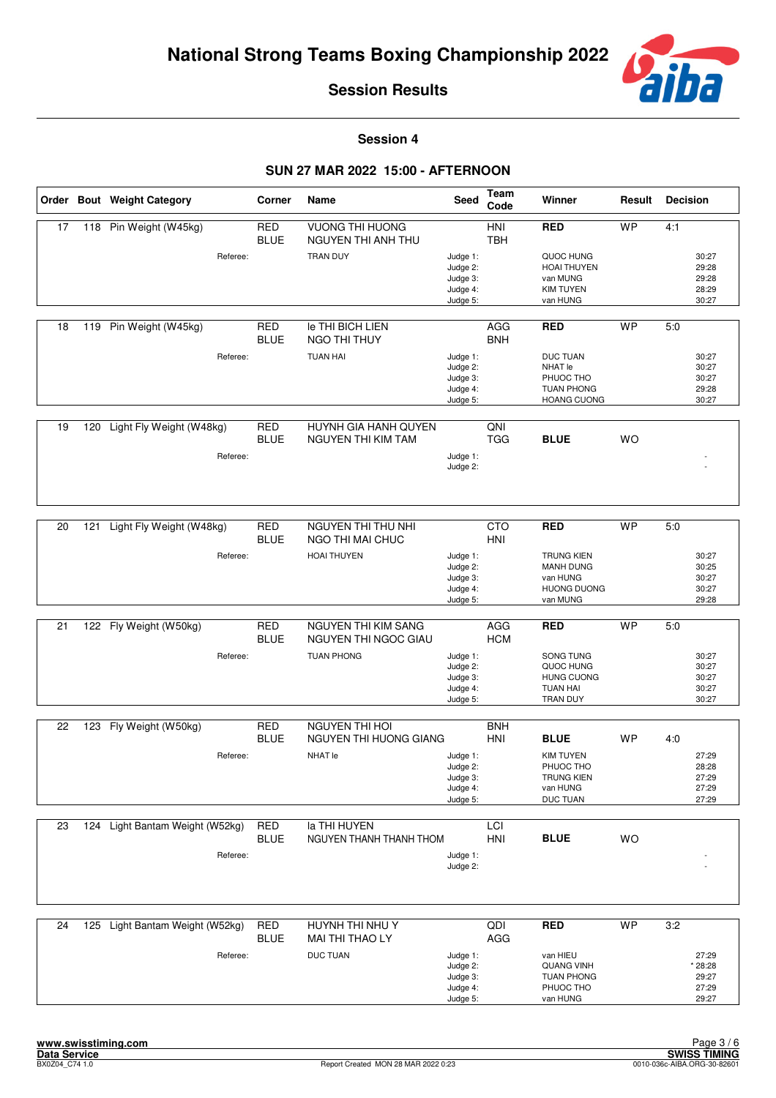

**Session 4**

|    |     | Order Bout Weight Category           | Corner                    | Name                                                     | Seed                                                     | <b>Team</b><br>Code      | Winner                                                                             | Result    | <b>Decision</b>                             |
|----|-----|--------------------------------------|---------------------------|----------------------------------------------------------|----------------------------------------------------------|--------------------------|------------------------------------------------------------------------------------|-----------|---------------------------------------------|
| 17 |     | 118 Pin Weight (W45kg)<br>Referee:   | <b>RED</b><br><b>BLUE</b> | <b>VUONG THI HUONG</b><br>NGUYEN THI ANH THU<br>TRAN DUY | Judge 1:                                                 | HNI<br><b>TBH</b>        | <b>RED</b><br>QUOC HUNG                                                            | <b>WP</b> | 4:1<br>30:27                                |
|    |     |                                      |                           |                                                          | Judge 2:<br>Judge 3:<br>Judge 4:<br>Judge 5:             |                          | <b>HOAI THUYEN</b><br>van MUNG<br><b>KIM TUYEN</b><br>van HUNG                     |           | 29:28<br>29:28<br>28:29<br>30:27            |
| 18 | 119 | Pin Weight (W45kg)                   | <b>RED</b><br><b>BLUE</b> | <b>Ie THI BICH LIEN</b><br>NGO THI THUY                  |                                                          | <b>AGG</b><br><b>BNH</b> | <b>RED</b>                                                                         | <b>WP</b> | 5:0                                         |
|    |     | Referee:                             |                           | <b>TUAN HAI</b>                                          | Judge 1:<br>Judge 2:<br>Judge 3:<br>Judge 4:<br>Judge 5: |                          | <b>DUC TUAN</b><br>NHAT le<br>PHUOC THO<br><b>TUAN PHONG</b><br><b>HOANG CUONG</b> |           | 30:27<br>30:27<br>30:27<br>29:28<br>30:27   |
| 19 | 120 | Light Fly Weight (W48kg)<br>Referee: | <b>RED</b><br><b>BLUE</b> | HUYNH GIA HANH QUYEN<br><b>NGUYEN THI KIM TAM</b>        | Judge 1:                                                 | QNI<br><b>TGG</b>        | <b>BLUE</b>                                                                        | <b>WO</b> |                                             |
|    |     |                                      |                           |                                                          | Judge 2:                                                 |                          |                                                                                    |           |                                             |
| 20 | 121 | Light Fly Weight (W48kg)             | RED<br><b>BLUE</b>        | <b>NGUYEN THI THU NHI</b><br>NGO THI MAI CHUC            |                                                          | <b>CTO</b><br>HNI        | <b>RED</b>                                                                         | <b>WP</b> | 5:0                                         |
|    |     | Referee:                             |                           | <b>HOAI THUYEN</b>                                       | Judge 1:<br>Judge 2:<br>Judge 3:<br>Judge 4:<br>Judge 5: |                          | <b>TRUNG KIEN</b><br>MANH DUNG<br>van HUNG<br><b>HUONG DUONG</b><br>van MUNG       |           | 30:27<br>30:25<br>30:27<br>30:27<br>29:28   |
|    |     |                                      |                           |                                                          |                                                          |                          |                                                                                    |           |                                             |
| 21 |     | 122 Fly Weight (W50kg)               | <b>RED</b><br><b>BLUE</b> | NGUYEN THI KIM SANG<br>NGUYEN THI NGOC GIAU              |                                                          | AGG<br><b>HCM</b>        | <b>RED</b>                                                                         | <b>WP</b> | 5:0                                         |
|    |     | Referee:                             |                           | <b>TUAN PHONG</b>                                        | Judge 1:<br>Judge 2:<br>Judge 3:<br>Judge 4:<br>Judge 5: |                          | SONG TUNG<br>QUOC HUNG<br><b>HUNG CUONG</b><br><b>TUAN HAI</b><br>TRAN DUY         |           | 30:27<br>30:27<br>30:27<br>30:27<br>30:27   |
|    |     |                                      |                           |                                                          |                                                          |                          |                                                                                    |           |                                             |
| 22 | 123 | Fly Weight (W50kg)                   | <b>RED</b><br><b>BLUE</b> | <b>NGUYEN THI HOI</b><br>NGUYEN THI HUONG GIANG          |                                                          | <b>BNH</b><br>HNI        | <b>BLUE</b>                                                                        | <b>WP</b> | 4:0                                         |
|    |     | Referee:                             |                           | <b>NHAT</b> le                                           | Judge 1:<br>Judge 2:<br>Judge 3:<br>Judge 4:<br>Judge 5: |                          | <b>KIM TUYEN</b><br>PHUOC THO<br><b>TRUNG KIEN</b><br>van HUNG<br>DUC TUAN         |           | 27:29<br>28:28<br>27:29<br>27:29<br>27:29   |
| 23 |     | 124 Light Bantam Weight (W52kg)      | <b>RED</b>                | la THI HUYEN                                             |                                                          | LCI                      |                                                                                    |           |                                             |
|    |     |                                      | <b>BLUE</b>               | NGUYEN THANH THANH THOM                                  |                                                          | HNI                      | <b>BLUE</b>                                                                        | WO        |                                             |
|    |     | Referee:                             |                           |                                                          | Judge 1:<br>Judge 2:                                     |                          |                                                                                    |           |                                             |
| 24 |     | 125 Light Bantam Weight (W52kg)      | RED                       | HUYNH THI NHU Y                                          |                                                          | QDI                      | <b>RED</b>                                                                         | <b>WP</b> | 3:2                                         |
|    |     |                                      | <b>BLUE</b>               | MAI THI THAO LY                                          |                                                          | AGG                      |                                                                                    |           |                                             |
|    |     | Referee:                             |                           | <b>DUC TUAN</b>                                          | Judge 1:<br>Judge 2:<br>Judge 3:<br>Judge 4:<br>Judge 5: |                          | van HIEU<br><b>QUANG VINH</b><br><b>TUAN PHONG</b><br>PHUOC THO<br>van HUNG        |           | 27:29<br>* 28:28<br>29:27<br>27:29<br>29:27 |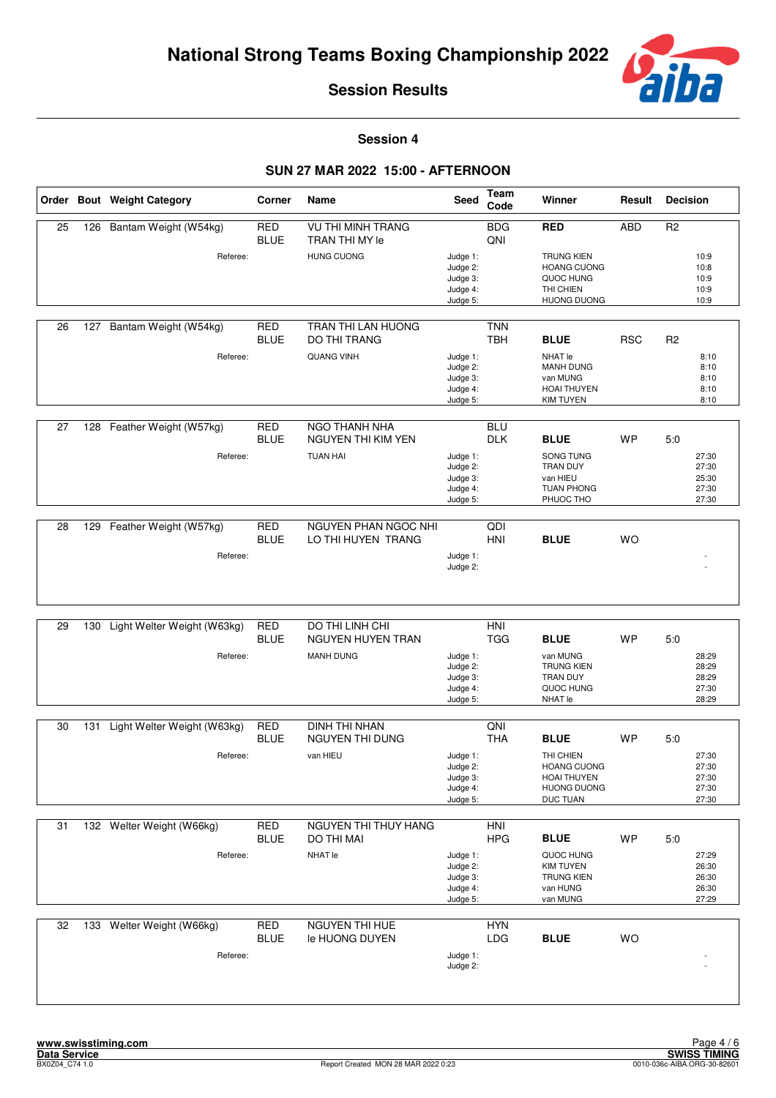

**Session 4**

|    |     | Order Bout Weight Category  | Corner                    | Name                                             | Seed                                                     | Team<br>Code             | Winner                                                                                  | Result     | <b>Decision</b>                           |
|----|-----|-----------------------------|---------------------------|--------------------------------------------------|----------------------------------------------------------|--------------------------|-----------------------------------------------------------------------------------------|------------|-------------------------------------------|
| 25 |     | 126 Bantam Weight (W54kg)   | <b>RED</b><br><b>BLUE</b> | <b>VU THI MINH TRANG</b><br>TRAN THI MY le       |                                                          | <b>BDG</b><br>QNI        | <b>RED</b>                                                                              | <b>ABD</b> | R <sub>2</sub>                            |
|    |     | Referee:                    |                           | <b>HUNG CUONG</b>                                | Judge 1:<br>Judge 2:<br>Judge 3:<br>Judge 4:<br>Judge 5: |                          | <b>TRUNG KIEN</b><br><b>HOANG CUONG</b><br>QUOC HUNG<br>THI CHIEN<br><b>HUONG DUONG</b> |            | 10:9<br>10:8<br>10:9<br>10:9<br>10:9      |
| 26 | 127 | Bantam Weight (W54kg)       | <b>RED</b><br><b>BLUE</b> | <b>TRAN THI LAN HUONG</b><br><b>DO THI TRANG</b> |                                                          | <b>TNN</b><br><b>TBH</b> | <b>BLUE</b>                                                                             | <b>RSC</b> | R <sub>2</sub>                            |
|    |     | Referee:                    |                           | <b>QUANG VINH</b>                                | Judge 1:<br>Judge 2:<br>Judge 3:<br>Judge 4:<br>Judge 5: |                          | <b>NHAT</b> le<br>MANH DUNG<br>van MUNG<br>HOAI THUYEN<br><b>KIM TUYEN</b>              |            | 8:10<br>8:10<br>8:10<br>8:10<br>8:10      |
| 27 |     | 128 Feather Weight (W57kg)  | <b>RED</b><br><b>BLUE</b> | NGO THANH NHA<br>NGUYEN THI KIM YEN              |                                                          | <b>BLU</b><br><b>DLK</b> | <b>BLUE</b>                                                                             | <b>WP</b>  | 5:0                                       |
|    |     | Referee:                    |                           | <b>TUAN HAI</b>                                  | Judge 1:<br>Judge 2:<br>Judge 3:<br>Judge 4:<br>Judge 5: |                          | SONG TUNG<br>TRAN DUY<br>van HIEU<br><b>TUAN PHONG</b><br>PHUOC THO                     |            | 27:30<br>27:30<br>25:30<br>27:30<br>27:30 |
| 28 | 129 | Feather Weight (W57kg)      | <b>RED</b>                | <b>NGUYEN PHAN NGOC NHI</b>                      |                                                          | QDI                      |                                                                                         |            |                                           |
|    |     | Referee:                    | <b>BLUE</b>               | LO THI HUYEN TRANG                               | Judge 1:<br>Judge 2:                                     | <b>HNI</b>               | <b>BLUE</b>                                                                             | WO         |                                           |
| 29 | 130 | Light Welter Weight (W63kg) | <b>RED</b>                | DO THI LINH CHI                                  |                                                          | <b>HNI</b>               |                                                                                         |            |                                           |
|    |     |                             | <b>BLUE</b>               | NGUYEN HUYEN TRAN                                |                                                          | <b>TGG</b>               | <b>BLUE</b>                                                                             | <b>WP</b>  | 5:0                                       |
|    |     | Referee:                    |                           | <b>MANH DUNG</b>                                 | Judge 1:<br>Judge 2:<br>Judge 3:<br>Judge 4:<br>Judge 5: |                          | van MUNG<br><b>TRUNG KIEN</b><br>TRAN DUY<br>QUOC HUNG<br>NHAT le                       |            | 28:29<br>28:29<br>28:29<br>27:30<br>28:29 |
| 30 | 131 | Light Welter Weight (W63kg) | <b>RED</b>                | <b>DINH THI NHAN</b>                             |                                                          | QNI                      |                                                                                         |            |                                           |
|    |     |                             | <b>BLUE</b>               | NGUYEN THI DUNG                                  |                                                          | <b>THA</b>               | <b>BLUE</b>                                                                             | <b>WP</b>  | 5:0                                       |
|    |     | Referee:                    |                           | van HIEU                                         | Judge 1:<br>Judge 2:<br>Judge 3:<br>Judge 4:<br>Judge 5: |                          | THI CHIEN<br><b>HOANG CUONG</b><br>HOAI THUYEN<br><b>HUONG DUONG</b><br>DUC TUAN        |            | 27:30<br>27:30<br>27:30<br>27:30<br>27:30 |
| 31 |     | 132 Welter Weight (W66kg)   | RED                       | NGUYEN THI THUY HANG                             |                                                          | HNI                      |                                                                                         |            |                                           |
|    |     |                             | <b>BLUE</b>               | DO THI MAI                                       |                                                          | <b>HPG</b>               | <b>BLUE</b>                                                                             | <b>WP</b>  | 5:0                                       |
|    |     | Referee:                    |                           | NHAT le                                          | Judge 1:<br>Judge 2:<br>Judge 3:<br>Judge 4:<br>Judge 5: |                          | QUOC HUNG<br><b>KIM TUYEN</b><br><b>TRUNG KIEN</b><br>van HUNG<br>van MUNG              |            | 27:29<br>26:30<br>26:30<br>26:30<br>27:29 |
| 32 | 133 | Welter Weight (W66kg)       | <b>RED</b>                | NGUYEN THI HUE                                   |                                                          | <b>HYN</b>               |                                                                                         |            |                                           |
|    |     | Referee:                    | <b>BLUE</b>               | le HUONG DUYEN                                   | Judge 1:<br>Judge 2:                                     | LDG                      | <b>BLUE</b>                                                                             | WO         |                                           |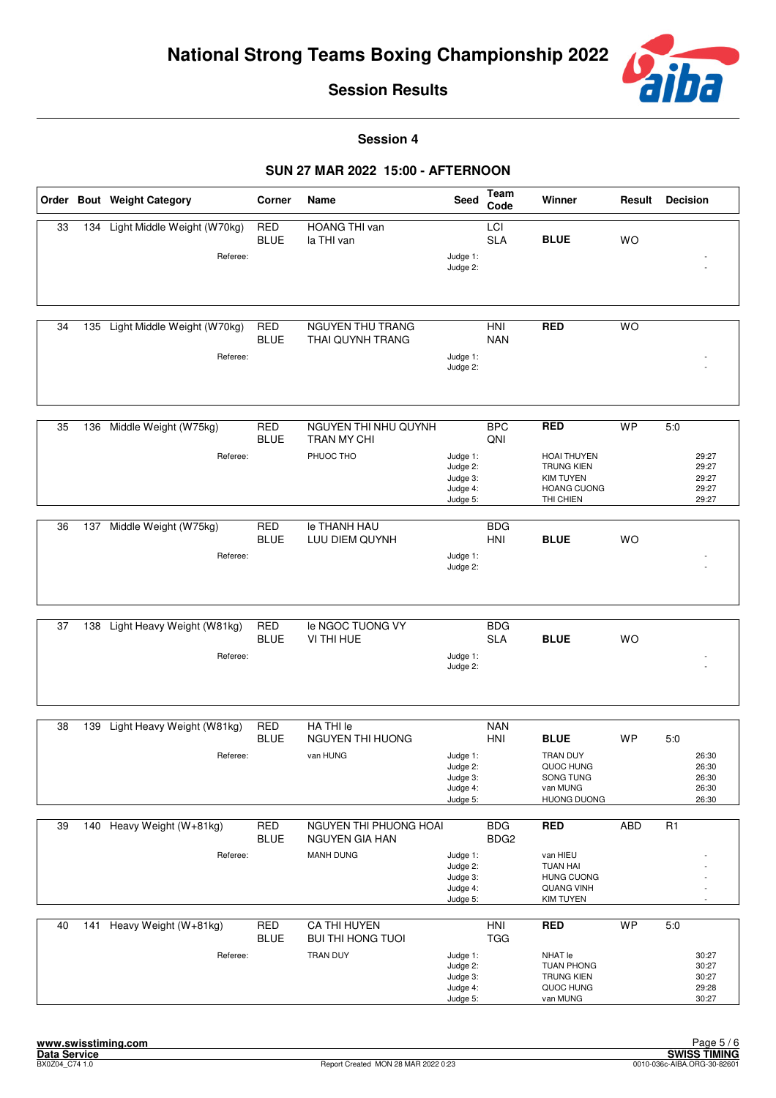

**Session 4**

|    |     | Order Bout Weight Category                  | Corner                    | Name                                            | Seed                                                     | Team<br>Code                   | Winner                                                                                         | Result     | <b>Decision</b>                           |
|----|-----|---------------------------------------------|---------------------------|-------------------------------------------------|----------------------------------------------------------|--------------------------------|------------------------------------------------------------------------------------------------|------------|-------------------------------------------|
| 33 |     | 134 Light Middle Weight (W70kg)<br>Referee: | <b>RED</b><br><b>BLUE</b> | <b>HOANG THI van</b><br>la THI van              | Judge 1:<br>Judge 2:                                     | LCI<br><b>SLA</b>              | <b>BLUE</b>                                                                                    | <b>WO</b>  |                                           |
|    |     |                                             |                           |                                                 |                                                          |                                |                                                                                                |            |                                           |
| 34 | 135 | Light Middle Weight (W70kg)                 | <b>RED</b><br><b>BLUE</b> | <b>NGUYEN THU TRANG</b><br>THAI QUYNH TRANG     |                                                          | <b>HNI</b><br><b>NAN</b>       | <b>RED</b>                                                                                     | <b>WO</b>  |                                           |
|    |     | Referee:                                    |                           |                                                 | Judge 1:<br>Judge 2:                                     |                                |                                                                                                |            |                                           |
| 35 |     | 136 Middle Weight (W75kg)                   | <b>RED</b><br><b>BLUE</b> | NGUYEN THI NHU QUYNH<br><b>TRAN MY CHI</b>      |                                                          | <b>BPC</b><br>QNI              | <b>RED</b>                                                                                     | <b>WP</b>  | 5:0                                       |
|    |     | Referee:                                    |                           | PHUOC THO                                       | Judge 1:<br>Judge 2:<br>Judge 3:<br>Judge 4:<br>Judge 5: |                                | <b>HOAI THUYEN</b><br><b>TRUNG KIEN</b><br><b>KIM TUYEN</b><br><b>HOANG CUONG</b><br>THI CHIEN |            | 29:27<br>29:27<br>29:27<br>29:27<br>29:27 |
| 36 | 137 | Middle Weight (W75kg)                       | <b>RED</b>                | le THANH HAU                                    |                                                          | <b>BDG</b>                     |                                                                                                |            |                                           |
|    |     |                                             | <b>BLUE</b>               | LUU DIEM QUYNH                                  |                                                          | <b>HNI</b>                     | <b>BLUE</b>                                                                                    | <b>WO</b>  |                                           |
|    |     | Referee:                                    |                           |                                                 | Judge 1:<br>Judge 2:                                     |                                |                                                                                                |            |                                           |
|    |     |                                             |                           |                                                 |                                                          |                                |                                                                                                |            |                                           |
| 37 |     | 138 Light Heavy Weight (W81kg)              | <b>RED</b><br><b>BLUE</b> | le NGOC TUONG VY<br>VI THI HUE                  |                                                          | <b>BDG</b><br><b>SLA</b>       | <b>BLUE</b>                                                                                    | <b>WO</b>  |                                           |
|    |     | Referee:                                    |                           |                                                 | Judge 1:<br>Judge 2:                                     |                                |                                                                                                |            |                                           |
| 38 | 139 | Light Heavy Weight (W81kg)                  | <b>RED</b>                | HA THI le                                       |                                                          | <b>NAN</b>                     |                                                                                                |            |                                           |
|    |     |                                             | <b>BLUE</b>               | NGUYEN THI HUONG                                |                                                          | HNI                            | <b>BLUE</b>                                                                                    | <b>WP</b>  | 5:0                                       |
|    |     | Referee:                                    |                           | van HUNG                                        | Judge 1:<br>Judge 2:<br>Judge 3:<br>Judge 4:<br>Judge 5: |                                | <b>TRAN DUY</b><br>QUOC HUNG<br>SONG TUNG<br>van MUNG<br><b>HUONG DUONG</b>                    |            | 26:30<br>26:30<br>26:30<br>26:30<br>26:30 |
| 39 |     | 140 Heavy Weight (W+81kg)                   | <b>RED</b><br><b>BLUE</b> | NGUYEN THI PHUONG HOAI<br><b>NGUYEN GIA HAN</b> |                                                          | <b>BDG</b><br>BDG <sub>2</sub> | <b>RED</b>                                                                                     | <b>ABD</b> | R <sub>1</sub>                            |
|    |     | Referee:                                    |                           | <b>MANH DUNG</b>                                | Judge 1:<br>Judge 2:<br>Judge 3:<br>Judge 4:<br>Judge 5: |                                | van HIEU<br><b>TUAN HAI</b><br><b>HUNG CUONG</b><br><b>QUANG VINH</b><br><b>KIM TUYEN</b>      |            |                                           |
| 40 |     | 141 Heavy Weight (W+81kg)                   | <b>RED</b><br><b>BLUE</b> | CA THI HUYEN<br><b>BUI THI HONG TUOI</b>        |                                                          | HNI<br><b>TGG</b>              | <b>RED</b>                                                                                     | <b>WP</b>  | 5:0                                       |
|    |     | Referee:                                    |                           | <b>TRAN DUY</b>                                 | Judge 1:<br>Judge 2:<br>Judge 3:<br>Judge 4:<br>Judge 5: |                                | NHAT le<br><b>TUAN PHONG</b><br><b>TRUNG KIEN</b><br>QUOC HUNG<br>van MUNG                     |            | 30:27<br>30:27<br>30:27<br>29:28<br>30:27 |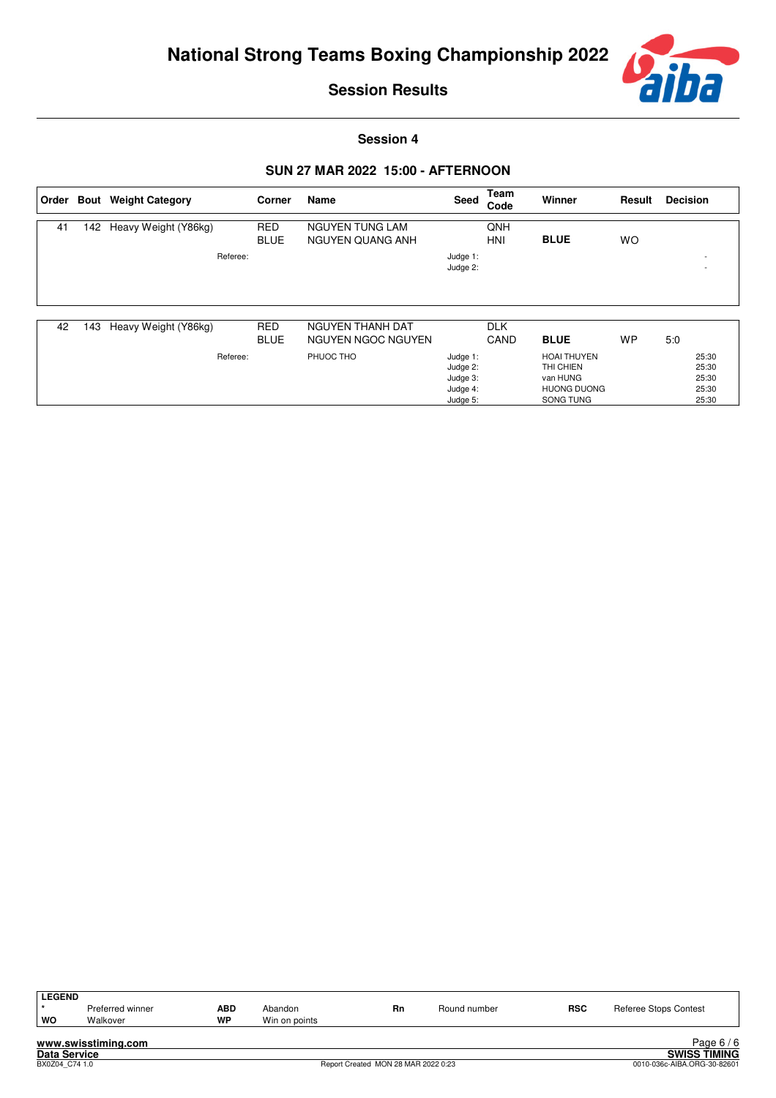

**Session 4**

| <b>RED</b><br>QNH<br>142 Heavy Weight (Y86kg)<br>NGUYEN TUNG LAM<br>41<br><b>BLUE</b><br><b>BLUE</b><br>HNI<br><b>WO</b><br>NGUYEN QUANG ANH<br>Referee:<br>Judge 1:<br>۰<br>Judge 2: |  | Order Bout Weight Category | Corner | Name | Seed | Team<br>Code | <b>Winner</b> | Result | <b>Decision</b> |
|---------------------------------------------------------------------------------------------------------------------------------------------------------------------------------------|--|----------------------------|--------|------|------|--------------|---------------|--------|-----------------|
|                                                                                                                                                                                       |  |                            |        |      |      |              |               |        |                 |
|                                                                                                                                                                                       |  |                            |        |      |      |              |               |        |                 |

| 42 | 143 | Heavy Weight (Y86kg) | <b>RED</b>  | NGUYEN THANH DAT   |          | <b>DLK</b> |                    |    |     |       |
|----|-----|----------------------|-------------|--------------------|----------|------------|--------------------|----|-----|-------|
|    |     |                      | <b>BLUE</b> | NGUYEN NGOC NGUYEN |          | CAND       | <b>BLUE</b>        | WP | 5:0 |       |
|    |     | Referee:             |             | PHUOC THO          | Judge 1: |            | <b>HOAI THUYEN</b> |    |     | 25:30 |
|    |     |                      |             |                    | Judge 2: |            | THI CHIEN          |    |     | 25:30 |
|    |     |                      |             |                    | Judge 3: |            | van HUNG           |    |     | 25:30 |
|    |     |                      |             |                    | Judge 4: |            | <b>HUONG DUONG</b> |    |     | 25:30 |
|    |     |                      |             |                    | Judge 5: |            | SONG TUNG          |    |     | 25:30 |

| <b>LEGEND</b>       |                     |           |               |                                     |              |            |                             |
|---------------------|---------------------|-----------|---------------|-------------------------------------|--------------|------------|-----------------------------|
|                     | Preferred winner    | ABD       | Abandon       | Rn                                  | Round number | <b>RSC</b> | Referee Stops Contest       |
| wo                  | Walkover            | <b>WP</b> | Win on points |                                     |              |            |                             |
|                     |                     |           |               |                                     |              |            |                             |
|                     | www.swisstiming.com |           |               |                                     |              |            | Page $6/6$                  |
| <b>Data Service</b> |                     |           |               |                                     |              |            | <b>SWISS TIMING</b>         |
| BX0Z04 C74 1.0      |                     |           |               | Report Created MON 28 MAR 2022 0:23 |              |            | 0010-036c-AIBA.ORG-30-82601 |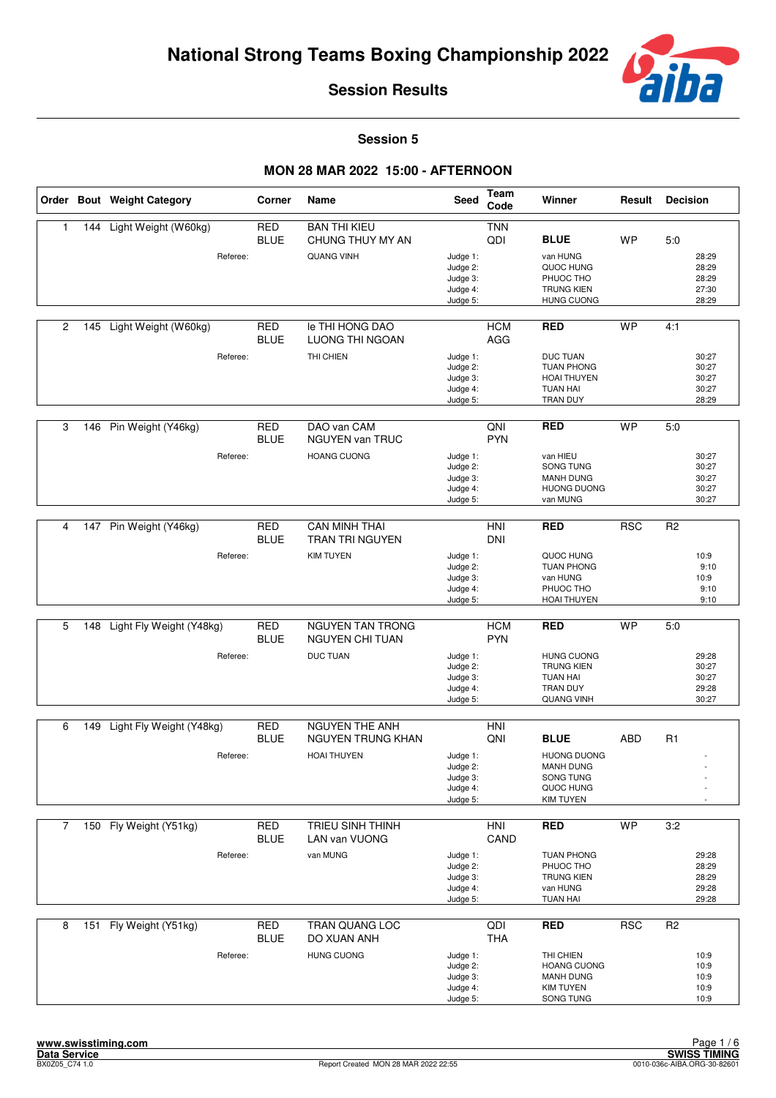

**Session 5**

|                |     | Order Bout Weight Category | Corner                    | Name                                           | <b>Seed</b>                                              | Team<br>Code             | Winner                                                                                            | Result     | <b>Decision</b>                           |
|----------------|-----|----------------------------|---------------------------|------------------------------------------------|----------------------------------------------------------|--------------------------|---------------------------------------------------------------------------------------------------|------------|-------------------------------------------|
| $\mathbf{1}$   | 144 | Light Weight (W60kg)       | <b>RED</b><br><b>BLUE</b> | <b>BAN THI KIEU</b><br>CHUNG THUY MY AN        |                                                          | <b>TNN</b><br>QDI        | <b>BLUE</b>                                                                                       | <b>WP</b>  | 5.0                                       |
|                |     | Referee:                   |                           | <b>QUANG VINH</b>                              | Judge 1:<br>Judge 2:<br>Judge 3:<br>Judge 4:<br>Judge 5: |                          | van HUNG<br>QUOC HUNG<br>PHUOC THO<br><b>TRUNG KIEN</b><br><b>HUNG CUONG</b>                      |            | 28:29<br>28:29<br>28:29<br>27:30<br>28:29 |
| 2              | 145 | Light Weight (W60kg)       | <b>RED</b><br><b>BLUE</b> | le THI HONG DAO<br><b>LUONG THI NGOAN</b>      |                                                          | <b>HCM</b><br>AGG        | <b>RED</b>                                                                                        | <b>WP</b>  | 4:1                                       |
|                |     | Referee:                   |                           | THI CHIEN                                      | Judge 1:<br>Judge 2:<br>Judge 3:<br>Judge 4:<br>Judge 5: |                          | <b>DUC TUAN</b><br><b>TUAN PHONG</b><br><b>HOAI THUYEN</b><br><b>TUAN HAI</b><br>TRAN DUY         |            | 30:27<br>30:27<br>30:27<br>30:27<br>28:29 |
| 3              | 146 | Pin Weight (Y46kg)         | <b>RED</b><br><b>BLUE</b> | DAO van CAM<br>NGUYEN van TRUC                 |                                                          | QNI<br><b>PYN</b>        | <b>RED</b>                                                                                        | <b>WP</b>  | 5.0                                       |
|                |     | Referee:                   |                           | <b>HOANG CUONG</b>                             | Judge 1:<br>Judge 2:<br>Judge 3:<br>Judge 4:<br>Judge 5: |                          | van HIEU<br>SONG TUNG<br><b>MANH DUNG</b><br><b>HUONG DUONG</b><br>van MUNG                       |            | 30:27<br>30:27<br>30:27<br>30:27<br>30:27 |
|                |     |                            |                           |                                                |                                                          |                          |                                                                                                   |            |                                           |
| 4              | 147 | Pin Weight (Y46kg)         | <b>RED</b><br><b>BLUE</b> | <b>CAN MINH THAI</b><br><b>TRAN TRI NGUYEN</b> |                                                          | <b>HNI</b><br><b>DNI</b> | <b>RED</b>                                                                                        | <b>RSC</b> | R <sub>2</sub>                            |
|                |     | Referee:                   |                           | <b>KIM TUYEN</b>                               | Judge 1:<br>Judge 2:<br>Judge 3:<br>Judge 4:<br>Judge 5: |                          | QUOC HUNG<br><b>TUAN PHONG</b><br>van HUNG<br>PHUOC THO<br>HOAI THUYEN                            |            | 10:9<br>9:10<br>10:9<br>9:10<br>9:10      |
| 5              | 148 | Light Fly Weight (Y48kg)   | <b>RED</b>                | <b>NGUYEN TAN TRONG</b>                        |                                                          | <b>HCM</b>               | <b>RED</b>                                                                                        | <b>WP</b>  | 5.0                                       |
|                |     |                            | <b>BLUE</b>               | NGUYEN CHI TUAN                                |                                                          | <b>PYN</b>               |                                                                                                   |            |                                           |
|                |     | Referee:                   |                           | <b>DUC TUAN</b>                                | Judge 1:<br>Judge 2:<br>Judge 3:<br>Judge 4:<br>Judge 5: |                          | <b>HUNG CUONG</b><br><b>TRUNG KIEN</b><br><b>TUAN HAI</b><br><b>TRAN DUY</b><br><b>QUANG VINH</b> |            | 29:28<br>30:27<br>30:27<br>29:28<br>30:27 |
| 6              | 149 | Light Fly Weight (Y48kg)   | <b>RED</b>                | <b>NGUYEN THE ANH</b>                          |                                                          | HNI                      |                                                                                                   |            |                                           |
|                |     |                            | <b>BLUE</b>               | <b>NGUYEN TRUNG KHAN</b>                       |                                                          | QNI                      | <b>BLUE</b>                                                                                       | <b>ABD</b> | R <sub>1</sub>                            |
|                |     | Referee:                   |                           | <b>HOAI THUYEN</b>                             | Judge 1:<br>Judge 2:<br>Judge 3:<br>Judge 4:<br>Judge 5: |                          | <b>HUONG DUONG</b><br><b>MANH DUNG</b><br>SONG TUNG<br>QUOC HUNG<br><b>KIM TUYEN</b>              |            |                                           |
| $\overline{7}$ |     | 150 Fly Weight (Y51kg)     | <b>RED</b>                | <b>TRIEU SINH THINH</b>                        |                                                          | HNI                      | <b>RED</b>                                                                                        | <b>WP</b>  | 3:2                                       |
|                |     |                            | <b>BLUE</b>               | LAN van VUONG                                  |                                                          | CAND                     |                                                                                                   |            |                                           |
|                |     | Referee:                   |                           | van MUNG                                       | Judge 1:<br>Judge 2:<br>Judge 3:<br>Judge 4:<br>Judge 5: |                          | <b>TUAN PHONG</b><br>PHUOC THO<br><b>TRUNG KIEN</b><br>van HUNG<br><b>TUAN HAI</b>                |            | 29:28<br>28:29<br>28:29<br>29:28<br>29:28 |
| 8              | 151 | Fly Weight (Y51kg)         | <b>RED</b><br><b>BLUE</b> | <b>TRAN QUANG LOC</b><br>DO XUAN ANH           |                                                          | QDI<br><b>THA</b>        | <b>RED</b>                                                                                        | <b>RSC</b> | R <sub>2</sub>                            |
|                |     | Referee:                   |                           | <b>HUNG CUONG</b>                              | Judge 1:<br>Judge 2:<br>Judge 3:<br>Judge 4:<br>Judge 5: |                          | THI CHIEN<br><b>HOANG CUONG</b><br><b>MANH DUNG</b><br><b>KIM TUYEN</b><br>SONG TUNG              |            | 10:9<br>10:9<br>10:9<br>10:9<br>10:9      |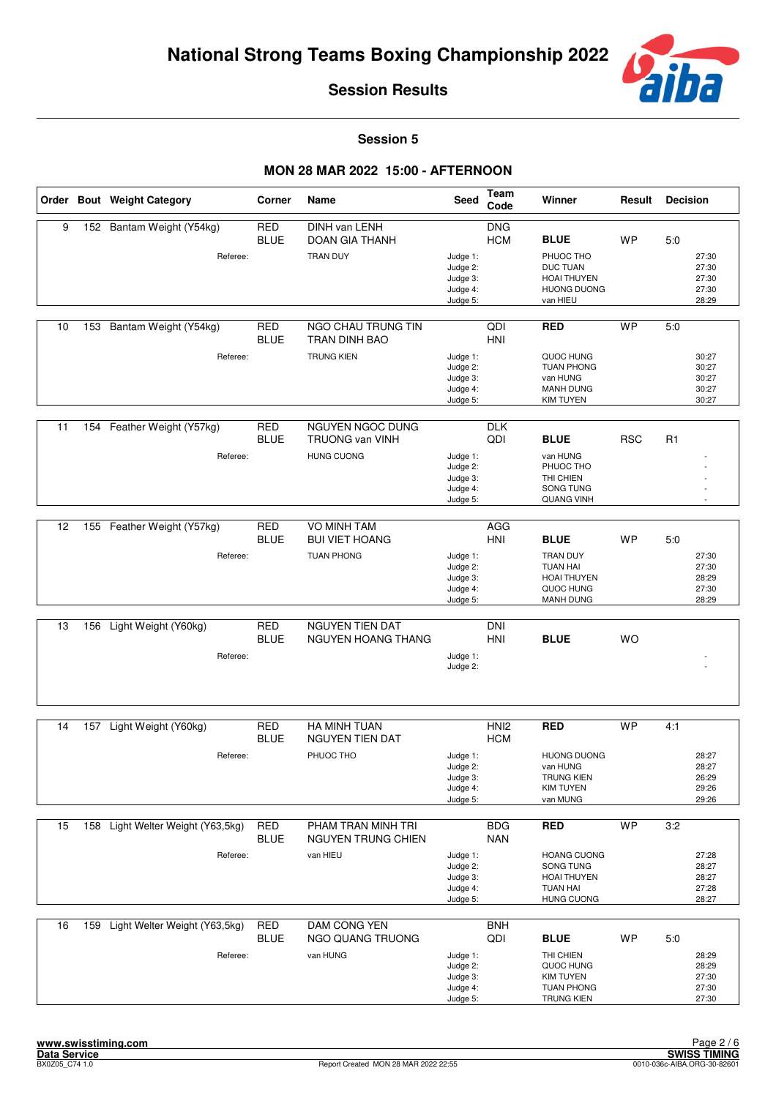

**Session 5**

|    |     | Order Bout Weight Category    | Corner                    | Name                                            | Seed                                                     | Team<br>Code                   | Winner                                                                                    | Result     | <b>Decision</b>                           |
|----|-----|-------------------------------|---------------------------|-------------------------------------------------|----------------------------------------------------------|--------------------------------|-------------------------------------------------------------------------------------------|------------|-------------------------------------------|
| 9  |     | 152 Bantam Weight (Y54kg)     | <b>RED</b><br><b>BLUE</b> | DINH van LENH<br>DOAN GIA THANH                 |                                                          | <b>DNG</b><br><b>HCM</b>       | <b>BLUE</b>                                                                               | <b>WP</b>  | 5:0                                       |
|    |     | Referee:                      |                           | <b>TRAN DUY</b>                                 | Judge 1:<br>Judge 2:<br>Judge 3:<br>Judge 4:<br>Judge 5: |                                | PHUOC THO<br><b>DUC TUAN</b><br><b>HOAI THUYEN</b><br><b>HUONG DUONG</b><br>van HIEU      |            | 27:30<br>27:30<br>27:30<br>27:30<br>28:29 |
| 10 | 153 | Bantam Weight (Y54kg)         | <b>RED</b><br><b>BLUE</b> | <b>NGO CHAU TRUNG TIN</b><br>TRAN DINH BAO      |                                                          | QDI<br>HNI                     | <b>RED</b>                                                                                | <b>WP</b>  | 5:0                                       |
|    |     | Referee:                      |                           | <b>TRUNG KIEN</b>                               | Judge 1:<br>Judge 2:<br>Judge 3:<br>Judge 4:<br>Judge 5: |                                | QUOC HUNG<br><b>TUAN PHONG</b><br>van HUNG<br><b>MANH DUNG</b><br><b>KIM TUYEN</b>        |            | 30:27<br>30:27<br>30:27<br>30:27<br>30:27 |
| 11 | 154 | Feather Weight (Y57kg)        | <b>RED</b><br><b>BLUE</b> | NGUYEN NGOC DUNG<br><b>TRUONG van VINH</b>      |                                                          | <b>DLK</b><br>QDI              | <b>BLUE</b>                                                                               | <b>RSC</b> | R1                                        |
|    |     | Referee:                      |                           | <b>HUNG CUONG</b>                               | Judge 1:<br>Judge 2:<br>Judge 3:<br>Judge 4:<br>Judge 5: |                                | van HUNG<br>PHUOC THO<br>THI CHIEN<br>SONG TUNG<br>QUANG VINH                             |            |                                           |
| 12 |     | 155 Feather Weight (Y57kg)    | <b>RED</b>                | <b>VO MINH TAM</b>                              |                                                          | AGG                            |                                                                                           |            |                                           |
|    |     |                               | <b>BLUE</b>               | <b>BUI VIET HOANG</b>                           |                                                          | HNI                            | <b>BLUE</b>                                                                               | <b>WP</b>  | 5:0                                       |
|    |     | Referee:                      |                           | <b>TUAN PHONG</b>                               | Judge 1:<br>Judge 2:<br>Judge 3:<br>Judge 4:<br>Judge 5: |                                | <b>TRAN DUY</b><br><b>TUAN HAI</b><br><b>HOAI THUYEN</b><br>QUOC HUNG<br><b>MANH DUNG</b> |            | 27:30<br>27:30<br>28:29<br>27:30<br>28:29 |
| 13 | 156 | Light Weight (Y60kg)          | <b>RED</b>                | NGUYEN TIEN DAT                                 |                                                          | <b>DNI</b>                     |                                                                                           |            |                                           |
|    |     | Referee:                      | <b>BLUE</b>               | NGUYEN HOANG THANG                              | Judge 1:                                                 | HNI                            | <b>BLUE</b>                                                                               | WO         |                                           |
|    |     |                               |                           |                                                 | Judge 2:                                                 |                                |                                                                                           |            |                                           |
| 14 | 157 | Light Weight (Y60kg)          | <b>RED</b><br><b>BLUE</b> | HA MINH TUAN<br><b>NGUYEN TIEN DAT</b>          |                                                          | HNI <sub>2</sub><br><b>HCM</b> | <b>RED</b>                                                                                | <b>WP</b>  | 4:1                                       |
|    |     | Referee:                      |                           | PHUOC THO                                       | Judge 1:<br>Judge 2:<br>Judge 3:<br>Judge 4:<br>Judge 5: |                                | <b>HUONG DUONG</b><br>van HUNG<br><b>TRUNG KIEN</b><br><b>KIM TUYEN</b><br>van MUNG       |            | 28:27<br>28:27<br>26:29<br>29:26<br>29:26 |
| 15 | 158 | Light Welter Weight (Y63,5kg) | <b>RED</b><br><b>BLUE</b> | PHAM TRAN MINH TRI<br><b>NGUYEN TRUNG CHIEN</b> |                                                          | <b>BDG</b><br><b>NAN</b>       | <b>RED</b>                                                                                | <b>WP</b>  | 3:2                                       |
|    |     | Referee:                      |                           | van HIEU                                        | Judge 1:<br>Judge 2:<br>Judge 3:<br>Judge 4:<br>Judge 5: |                                | <b>HOANG CUONG</b><br>SONG TUNG<br>HOAI THUYEN<br><b>TUAN HAI</b><br><b>HUNG CUONG</b>    |            | 27:28<br>28:27<br>28:27<br>27:28<br>28:27 |
| 16 | 159 | Light Welter Weight (Y63,5kg) | <b>RED</b><br><b>BLUE</b> | DAM CONG YEN<br>NGO QUANG TRUONG                |                                                          | <b>BNH</b><br>QDI              | <b>BLUE</b>                                                                               | <b>WP</b>  | 5:0                                       |
|    |     | Referee:                      |                           | van HUNG                                        | Judge 1:<br>Judge 2:<br>Judge 3:<br>Judge 4:<br>Judge 5: |                                | THI CHIEN<br>QUOC HUNG<br><b>KIM TUYEN</b><br><b>TUAN PHONG</b><br><b>TRUNG KIEN</b>      |            | 28:29<br>28:29<br>27:30<br>27:30<br>27:30 |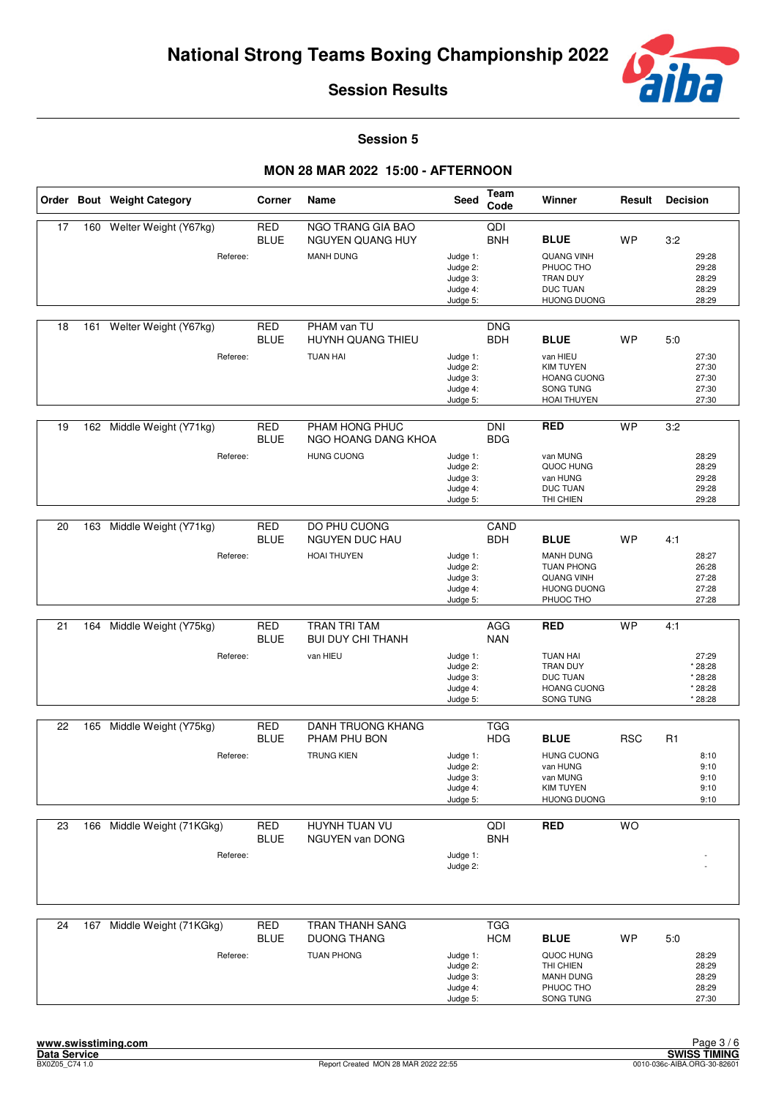

**Session 5**

|    |     | Order Bout Weight Category             | Corner                    | Name                                                              | Seed                                                     | Team<br>Code             | Winner                                                                                                       | Result     | <b>Decision</b>                                          |
|----|-----|----------------------------------------|---------------------------|-------------------------------------------------------------------|----------------------------------------------------------|--------------------------|--------------------------------------------------------------------------------------------------------------|------------|----------------------------------------------------------|
| 17 | 160 | Welter Weight (Y67kg)<br>Referee:      | <b>RED</b><br><b>BLUE</b> | NGO TRANG GIA BAO<br><b>NGUYEN QUANG HUY</b><br><b>MANH DUNG</b>  | Judge 1:<br>Judge 2:<br>Judge 3:<br>Judge 4:<br>Judge 5: | QDI<br><b>BNH</b>        | <b>BLUE</b><br><b>QUANG VINH</b><br>PHUOC THO<br>TRAN DUY<br><b>DUC TUAN</b><br><b>HUONG DUONG</b>           | <b>WP</b>  | 3:2<br>29:28<br>29:28<br>28:29<br>28:29<br>28:29         |
| 18 | 161 | Welter Weight (Y67kg)<br>Referee:      | <b>RED</b><br><b>BLUE</b> | PHAM van TU<br>HUYNH QUANG THIEU<br><b>TUAN HAI</b>               | Judge 1:<br>Judge 2:<br>Judge 3:<br>Judge 4:<br>Judge 5: | <b>DNG</b><br><b>BDH</b> | <b>BLUE</b><br>van HIEU<br><b>KIM TUYEN</b><br><b>HOANG CUONG</b><br>SONG TUNG<br><b>HOAI THUYEN</b>         | WP         | 5:0<br>27:30<br>27:30<br>27:30<br>27:30<br>27:30         |
| 19 | 162 | Middle Weight (Y71kg)<br>Referee:      | <b>RED</b><br><b>BLUE</b> | PHAM HONG PHUC<br>NGO HOANG DANG KHOA<br><b>HUNG CUONG</b>        | Judge 1:<br>Judge 2:<br>Judge 3:<br>Judge 4:<br>Judge 5: | <b>DNI</b><br><b>BDG</b> | <b>RED</b><br>van MUNG<br>QUOC HUNG<br>van HUNG<br><b>DUC TUAN</b><br>THI CHIEN                              | <b>WP</b>  | 3:2<br>28:29<br>28:29<br>29:28<br>29:28<br>29:28         |
| 20 | 163 | Middle Weight (Y71kg)<br>Referee:      | <b>RED</b><br><b>BLUE</b> | DO PHU CUONG<br>NGUYEN DUC HAU<br><b>HOAI THUYEN</b>              | Judge 1:<br>Judge 2:<br>Judge 3:<br>Judge 4:<br>Judge 5: | CAND<br><b>BDH</b>       | <b>BLUE</b><br><b>MANH DUNG</b><br><b>TUAN PHONG</b><br><b>QUANG VINH</b><br><b>HUONG DUONG</b><br>PHUOC THO | <b>WP</b>  | 4:1<br>28:27<br>26:28<br>27:28<br>27:28<br>27:28         |
| 21 | 164 | Middle Weight (Y75kg)<br>Referee:      | <b>RED</b><br><b>BLUE</b> | <b>TRAN TRI TAM</b><br><b>BUI DUY CHI THANH</b><br>van HIEU       | Judge 1:<br>Judge 2:<br>Judge 3:<br>Judge 4:<br>Judge 5: | AGG<br><b>NAN</b>        | <b>RED</b><br><b>TUAN HAI</b><br><b>TRAN DUY</b><br><b>DUC TUAN</b><br><b>HOANG CUONG</b><br>SONG TUNG       | <b>WP</b>  | 4:1<br>27:29<br>* 28:28<br>* 28:28<br>* 28:28<br>* 28:28 |
| 22 |     | 165 Middle Weight (Y75kg)<br>Referee:  | <b>RED</b><br><b>BLUE</b> | <b>DANH TRUONG KHANG</b><br>PHAM PHU BON<br><b>TRUNG KIEN</b>     | Judge 1:<br>Judge 2:<br>Judge 3:<br>Judge 4:<br>Judge 5: | <b>TGG</b><br><b>HDG</b> | <b>BLUE</b><br><b>HUNG CUONG</b><br>van HUNG<br>van MUNG<br><b>KIM TUYEN</b><br><b>HUONG DUONG</b>           | <b>RSC</b> | R1<br>8:10<br>9:10<br>9:10<br>9:10<br>9:10               |
| 23 | 166 | Middle Weight (71KGkg)<br>Referee:     | RED<br><b>BLUE</b>        | HUYNH TUAN VU<br><b>NGUYEN van DONG</b>                           | Judge 1:<br>Judge 2:                                     | QDI<br><b>BNH</b>        | <b>RED</b>                                                                                                   | <b>WO</b>  |                                                          |
| 24 |     | 167 Middle Weight (71KGkg)<br>Referee: | <b>RED</b><br><b>BLUE</b> | <b>TRAN THANH SANG</b><br><b>DUONG THANG</b><br><b>TUAN PHONG</b> | Judge 1:<br>Judge 2:<br>Judge 3:<br>Judge 4:<br>Judge 5: | <b>TGG</b><br><b>HCM</b> | <b>BLUE</b><br>QUOC HUNG<br>THI CHIEN<br><b>MANH DUNG</b><br>PHUOC THO<br>SONG TUNG                          | <b>WP</b>  | 5:0<br>28:29<br>28:29<br>28:29<br>28:29<br>27:30         |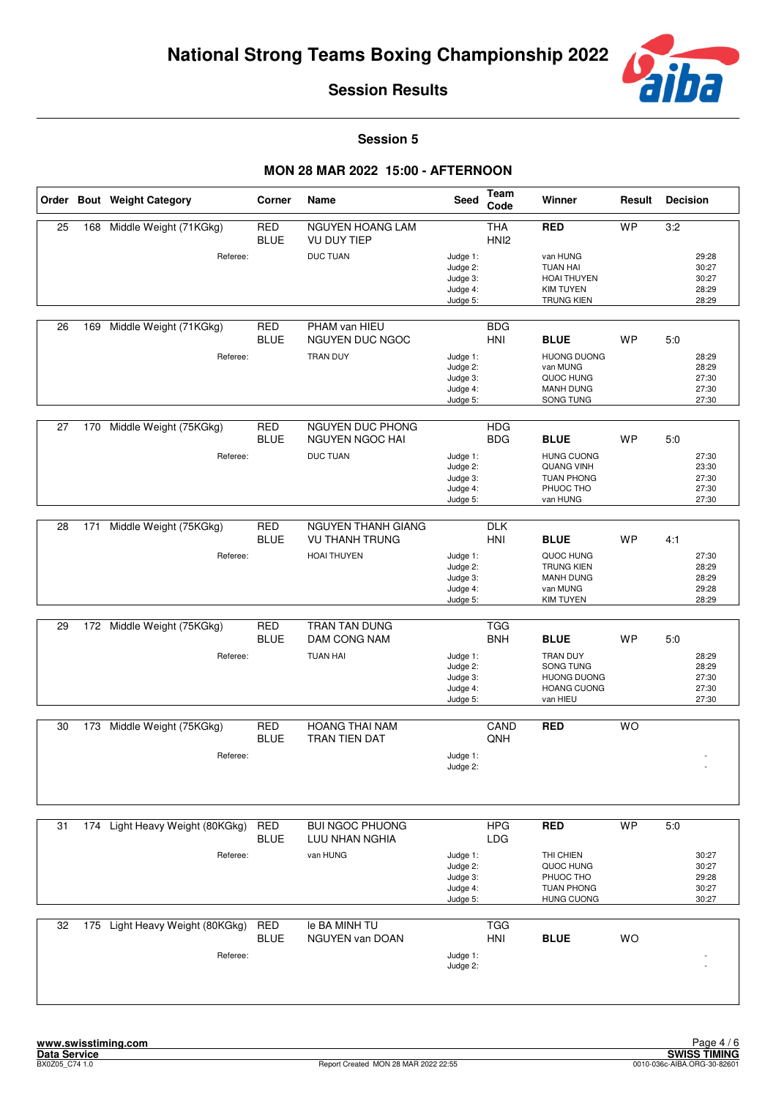

#### **Session 5**

|    |     | Order Bout Weight Category      | Corner                    | Name                                               | Seed                                                     | <b>Team</b><br>Code            | Winner                                                                                       | Result    | <b>Decision</b>                                  |
|----|-----|---------------------------------|---------------------------|----------------------------------------------------|----------------------------------------------------------|--------------------------------|----------------------------------------------------------------------------------------------|-----------|--------------------------------------------------|
| 25 | 168 | Middle Weight (71KGkg)          | <b>RED</b><br><b>BLUE</b> | NGUYEN HOANG LAM<br><b>VU DUY TIEP</b>             |                                                          | <b>THA</b><br>HNI <sub>2</sub> | <b>RED</b>                                                                                   | <b>WP</b> | 3:2                                              |
|    |     | Referee:                        |                           | <b>DUC TUAN</b>                                    | Judge 1:<br>Judge 2:<br>Judge 3:<br>Judge 4:<br>Judge 5: |                                | van HUNG<br><b>TUAN HAI</b><br>HOAI THUYEN<br><b>KIM TUYEN</b><br><b>TRUNG KIEN</b>          |           | 29:28<br>30:27<br>30:27<br>28:29<br>28:29        |
| 26 | 169 | Middle Weight (71KGkg)          | <b>RED</b><br><b>BLUE</b> | PHAM van HIEU<br>NGUYEN DUC NGOC                   |                                                          | <b>BDG</b><br><b>HNI</b>       | <b>BLUE</b>                                                                                  | WP        | 5:0                                              |
|    |     | Referee:                        |                           | <b>TRAN DUY</b>                                    | Judge 1:<br>Judge 2:<br>Judge 3:<br>Judge 4:<br>Judge 5: |                                | <b>HUONG DUONG</b><br>van MUNG<br>QUOC HUNG<br><b>MANH DUNG</b><br>SONG TUNG                 |           | 28:29<br>28:29<br>27:30<br>27:30<br>27:30        |
| 27 | 170 | Middle Weight (75KGkg)          | <b>RED</b><br><b>BLUE</b> | NGUYEN DUC PHONG<br><b>NGUYEN NGOC HAI</b>         |                                                          | <b>HDG</b><br><b>BDG</b>       | <b>BLUE</b>                                                                                  | <b>WP</b> | 5:0                                              |
|    |     | Referee:                        |                           | <b>DUC TUAN</b>                                    | Judge 1:<br>Judge 2:<br>Judge 3:<br>Judge 4:<br>Judge 5: |                                | <b>HUNG CUONG</b><br><b>QUANG VINH</b><br><b>TUAN PHONG</b><br>PHUOC THO<br>van HUNG         |           | 27:30<br>23:30<br>27:30<br>27:30<br>27:30        |
| 28 | 171 | Middle Weight (75KGkg)          | <b>RED</b><br><b>BLUE</b> | <b>NGUYEN THANH GIANG</b><br><b>VU THANH TRUNG</b> |                                                          | <b>DLK</b><br>HNI              | <b>BLUE</b>                                                                                  | WP        | 4:1                                              |
|    |     | Referee:                        |                           | <b>HOAI THUYEN</b>                                 | Judge 1:<br>Judge 2:<br>Judge 3:<br>Judge 4:<br>Judge 5: |                                | QUOC HUNG<br><b>TRUNG KIEN</b><br><b>MANH DUNG</b><br>van MUNG<br><b>KIM TUYEN</b>           |           | 27:30<br>28:29<br>28:29<br>29:28<br>28:29        |
| 29 |     | 172 Middle Weight (75KGkg)      | <b>RED</b>                | TRAN TAN DUNG                                      |                                                          | <b>TGG</b>                     |                                                                                              |           |                                                  |
|    |     | Referee:                        | <b>BLUE</b>               | DAM CONG NAM<br><b>TUAN HAI</b>                    | Judge 1:<br>Judge 2:<br>Judge 3:<br>Judge 4:<br>Judge 5: | <b>BNH</b>                     | <b>BLUE</b><br>TRAN DUY<br>SONG TUNG<br><b>HUONG DUONG</b><br><b>HOANG CUONG</b><br>van HIEU | <b>WP</b> | 5:0<br>28:29<br>28:29<br>27:30<br>27:30<br>27:30 |
| 30 | 173 | Middle Weight (75KGkg)          | <b>RED</b>                | <b>HOANG THAI NAM</b>                              |                                                          | CAND                           | <b>RED</b>                                                                                   | <b>WO</b> |                                                  |
|    |     | Referee:                        | <b>BLUE</b>               | TRAN TIEN DAT                                      | Judge 1:<br>Judge 2:                                     | QNH                            |                                                                                              |           |                                                  |
| 31 |     | 174 Light Heavy Weight (80KGkg) | <b>RED</b>                | <b>BUI NGOC PHUONG</b>                             |                                                          | <b>HPG</b>                     | <b>RED</b>                                                                                   | <b>WP</b> | 5.0                                              |
|    |     | Referee:                        | <b>BLUE</b>               | LUU NHAN NGHIA<br>van HUNG                         | Judge 1:<br>Judge 2:<br>Judge 3:<br>Judge 4:<br>Judge 5: | LDG                            | THI CHIEN<br>QUOC HUNG<br>PHUOC THO<br><b>TUAN PHONG</b><br><b>HUNG CUONG</b>                |           | 30:27<br>30:27<br>29:28<br>30:27<br>30:27        |
| 32 |     | 175 Light Heavy Weight (80KGkg) | <b>RED</b>                | le BA MINH TU                                      |                                                          | <b>TGG</b>                     |                                                                                              |           |                                                  |
|    |     | Referee:                        | <b>BLUE</b>               | NGUYEN van DOAN                                    | Judge 1:<br>Judge 2:                                     | <b>HNI</b>                     | <b>BLUE</b>                                                                                  | <b>WO</b> |                                                  |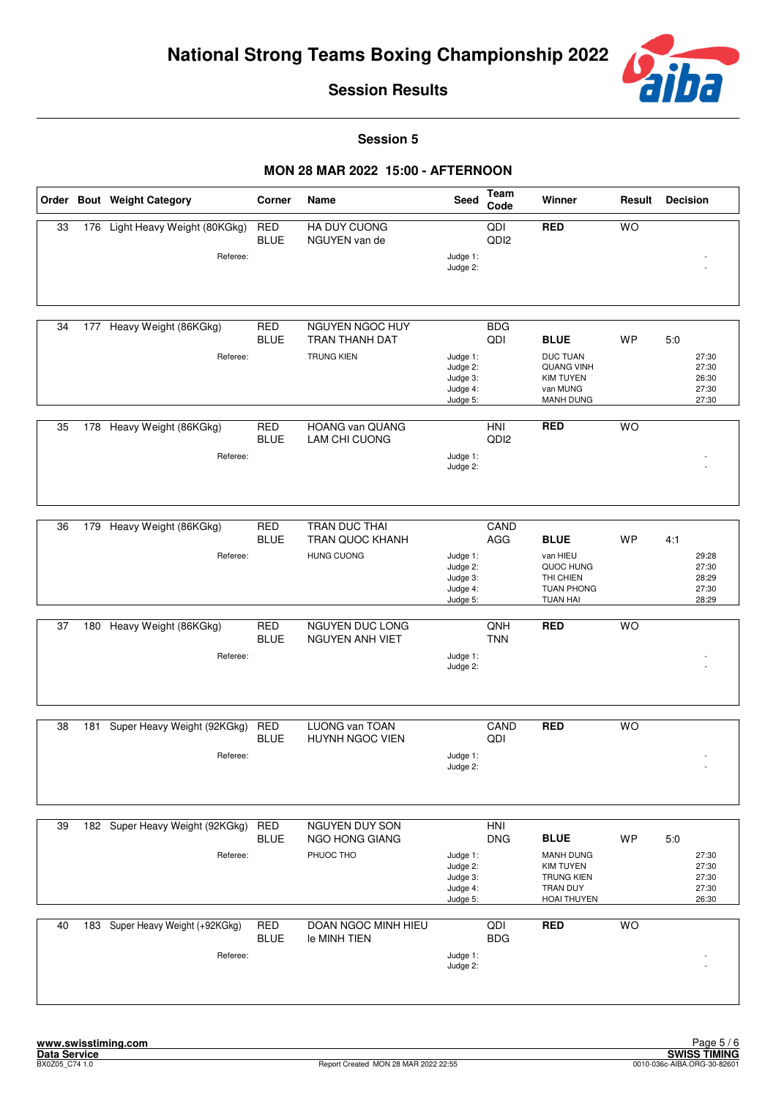

**Session 5**

|    |     | Order Bout Weight Category       | Corner                    | Name                                    | <b>Seed</b>          | Team<br>Code                       | Winner                                | Result    | <b>Decision</b> |
|----|-----|----------------------------------|---------------------------|-----------------------------------------|----------------------|------------------------------------|---------------------------------------|-----------|-----------------|
| 33 |     | 176 Light Heavy Weight (80KGkg)  | <b>RED</b><br><b>BLUE</b> | <b>HA DUY CUONG</b><br>NGUYEN van de    |                      | $\overline{Q}$<br>QD <sub>12</sub> | <b>RED</b>                            | <b>WO</b> |                 |
|    |     | Referee:                         |                           |                                         | Judge 1:<br>Judge 2: |                                    |                                       |           |                 |
|    |     |                                  |                           |                                         |                      |                                    |                                       |           |                 |
|    |     |                                  |                           |                                         |                      |                                    |                                       |           |                 |
| 34 |     | 177 Heavy Weight (86KGkg)        | <b>RED</b><br><b>BLUE</b> | NGUYEN NGOC HUY<br>TRAN THANH DAT       |                      | <b>BDG</b><br>QDI                  | <b>BLUE</b>                           | <b>WP</b> | 5:0             |
|    |     | Referee:                         |                           | <b>TRUNG KIEN</b>                       | Judge 1:<br>Judge 2: |                                    | <b>DUC TUAN</b><br><b>QUANG VINH</b>  |           | 27:30<br>27:30  |
|    |     |                                  |                           |                                         | Judge 3:<br>Judge 4: |                                    | <b>KIM TUYEN</b><br>van MUNG          |           | 26:30<br>27:30  |
|    |     |                                  |                           |                                         | Judge 5:             |                                    | <b>MANH DUNG</b>                      |           | 27:30           |
| 35 | 178 | Heavy Weight (86KGkg)            | <b>RED</b><br><b>BLUE</b> | <b>HOANG van QUANG</b><br>LAM CHI CUONG |                      | HNI<br>QD <sub>12</sub>            | <b>RED</b>                            | <b>WO</b> |                 |
|    |     | Referee:                         |                           |                                         | Judge 1:             |                                    |                                       |           |                 |
|    |     |                                  |                           |                                         | Judge 2:             |                                    |                                       |           |                 |
|    |     |                                  |                           |                                         |                      |                                    |                                       |           |                 |
| 36 | 179 | Heavy Weight (86KGkg)            | RED<br><b>BLUE</b>        | TRAN DUC THAI<br>TRAN QUOC KHANH        |                      | CAND<br>AGG                        | <b>BLUE</b>                           | <b>WP</b> | 4:1             |
|    |     | Referee:                         |                           | <b>HUNG CUONG</b>                       | Judge 1:             |                                    | van HIEU                              |           | 29:28           |
|    |     |                                  |                           |                                         | Judge 2:<br>Judge 3: |                                    | QUOC HUNG<br>THI CHIEN                |           | 27:30<br>28:29  |
|    |     |                                  |                           |                                         | Judge 4:<br>Judge 5: |                                    | <b>TUAN PHONG</b><br><b>TUAN HAI</b>  |           | 27:30<br>28:29  |
| 37 | 180 | Heavy Weight (86KGkg)            | <b>RED</b>                | NGUYEN DUC LONG                         |                      | QNH                                | <b>RED</b>                            | <b>WO</b> |                 |
|    |     |                                  | <b>BLUE</b>               | <b>NGUYEN ANH VIET</b>                  |                      | <b>TNN</b>                         |                                       |           |                 |
|    |     | Referee:                         |                           |                                         | Judge 1:<br>Judge 2: |                                    |                                       |           |                 |
|    |     |                                  |                           |                                         |                      |                                    |                                       |           |                 |
|    |     |                                  |                           |                                         |                      |                                    |                                       |           |                 |
| 38 |     | 181 Super Heavy Weight (92KGkg)  | <b>RED</b><br><b>BLUE</b> | LUONG van TOAN<br>HUYNH NGOC VIEN       |                      | CAND<br>QDI                        | <b>RED</b>                            | <b>WO</b> |                 |
|    |     | Referee:                         |                           |                                         | Judge 1:<br>Judge 2: |                                    |                                       |           |                 |
|    |     |                                  |                           |                                         |                      |                                    |                                       |           |                 |
|    |     |                                  |                           |                                         |                      |                                    |                                       |           |                 |
| 39 |     | 182 Super Heavy Weight (92KGkg)  | <b>RED</b>                | <b>NGUYEN DUY SON</b>                   |                      | <b>HNI</b>                         |                                       |           |                 |
|    |     | Referee:                         | <b>BLUE</b>               | NGO HONG GIANG<br>PHUOC THO             | Judge 1:             | <b>DNG</b>                         | <b>BLUE</b><br><b>MANH DUNG</b>       | <b>WP</b> | 5:0<br>27:30    |
|    |     |                                  |                           |                                         | Judge 2:<br>Judge 3: |                                    | <b>KIM TUYEN</b><br><b>TRUNG KIEN</b> |           | 27:30<br>27:30  |
|    |     |                                  |                           |                                         | Judge 4:<br>Judge 5: |                                    | TRAN DUY<br><b>HOAI THUYEN</b>        |           | 27:30<br>26:30  |
| 40 |     | 183 Super Heavy Weight (+92KGkg) | <b>RED</b>                | <b>DOAN NGOC MINH HIEU</b>              |                      | QDI                                | <b>RED</b>                            | <b>WO</b> |                 |
|    |     |                                  | <b>BLUE</b>               | le MINH TIEN                            |                      | <b>BDG</b>                         |                                       |           |                 |
|    |     | Referee:                         |                           |                                         | Judge 1:<br>Judge 2: |                                    |                                       |           |                 |
|    |     |                                  |                           |                                         |                      |                                    |                                       |           |                 |
|    |     |                                  |                           |                                         |                      |                                    |                                       |           |                 |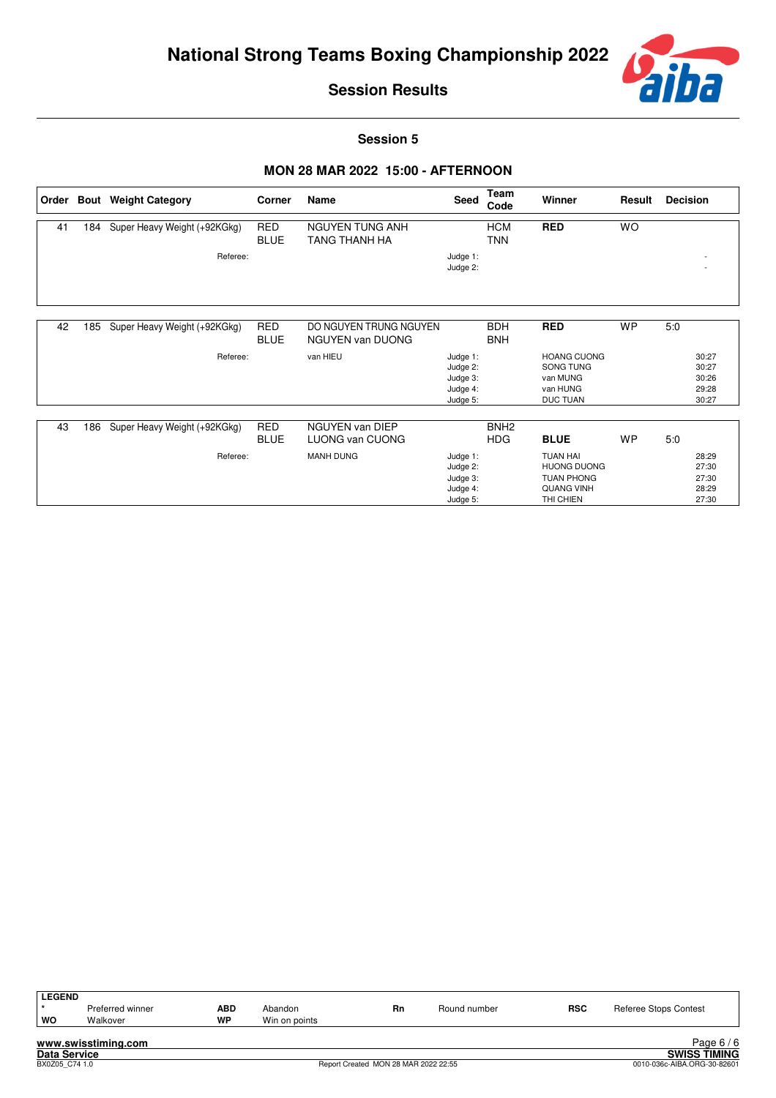

27:30 27:30 28:29 27:30

**Session Results**

**Session 5**

# **MON 28 MAR 2022 15:00 - AFTERNOON**

| Order |     | <b>Bout</b> Weight Category  | Corner                    | Name                                              | <b>Seed</b>                                              | Team<br>Code                   | Winner                                                                     | Result    | <b>Decision</b>                           |
|-------|-----|------------------------------|---------------------------|---------------------------------------------------|----------------------------------------------------------|--------------------------------|----------------------------------------------------------------------------|-----------|-------------------------------------------|
| 41    | 184 | Super Heavy Weight (+92KGkg) | <b>RED</b><br><b>BLUE</b> | NGUYEN TUNG ANH<br>TANG THANH HA                  |                                                          | <b>HCM</b><br><b>TNN</b>       | <b>RED</b>                                                                 | <b>WO</b> |                                           |
|       |     | Referee:                     |                           |                                                   | Judge 1:<br>Judge 2:                                     |                                |                                                                            |           |                                           |
|       |     |                              |                           |                                                   |                                                          |                                |                                                                            |           |                                           |
| 42    | 185 | Super Heavy Weight (+92KGkg) | <b>RED</b><br><b>BLUE</b> | DO NGUYEN TRUNG NGUYEN<br><b>NGUYEN van DUONG</b> |                                                          | <b>BDH</b><br><b>BNH</b>       | <b>RED</b>                                                                 | <b>WP</b> | 5:0                                       |
|       |     | Referee:                     |                           | van HIEU                                          | Judge 1:<br>Judge 2:<br>Judge 3:<br>Judge 4:<br>Judge 5: |                                | <b>HOANG CUONG</b><br>SONG TUNG<br>van MUNG<br>van HUNG<br><b>DUC TUAN</b> |           | 30:27<br>30:27<br>30:26<br>29:28<br>30:27 |
| 43    | 186 | Super Heavy Weight (+92KGkg) | <b>RED</b><br><b>BLUE</b> | NGUYEN van DIEP<br>LUONG van CUONG                |                                                          | BNH <sub>2</sub><br><b>HDG</b> | <b>BLUE</b>                                                                | <b>WP</b> | 5.0                                       |
|       |     | Referee:                     |                           | <b>MANH DUNG</b>                                  | Judge 1:                                                 |                                | <b>TUAN HAI</b>                                                            |           | 28:29                                     |

Judge 2: Judge 3: Judge 4: Judge 5:

HUONG DUONG TUAN PHONG QUANG VINH THI CHIEN

| <b>LEGEND</b>       |                     |            |               |                                      |              |            |                              |
|---------------------|---------------------|------------|---------------|--------------------------------------|--------------|------------|------------------------------|
|                     | Preferred winner    | <b>ABD</b> | Abandon       | Rn                                   | Round number | <b>RSC</b> | <b>Referee Stops Contest</b> |
| <b>WO</b>           | Walkover            | WP         | Win on points |                                      |              |            |                              |
|                     |                     |            |               |                                      |              |            |                              |
|                     | www.swisstiming.com |            |               |                                      |              |            | Page $6/6$                   |
| <b>Data Service</b> |                     |            |               |                                      |              |            | <b>SWISS TIMING</b>          |
| BX0Z05 C74 1.0      |                     |            |               | Report Created MON 28 MAR 2022 22:55 |              |            | 0010-036c-AIBA.ORG-30-82601  |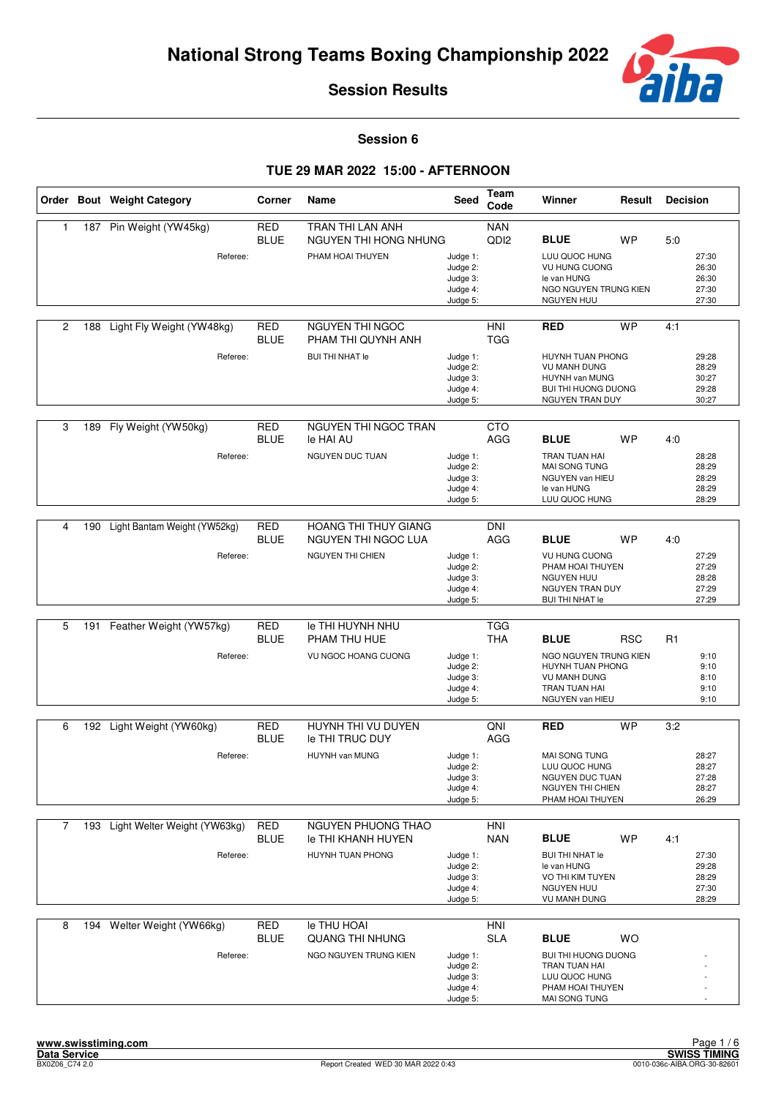

**Session 6**

|                |     | Order Bout Weight Category               | Corner                    | Name                                                                   | Seed                                                     | Team<br>Code                   | Winner                                                                                                                    | Result     | <b>Decision</b> |                                           |
|----------------|-----|------------------------------------------|---------------------------|------------------------------------------------------------------------|----------------------------------------------------------|--------------------------------|---------------------------------------------------------------------------------------------------------------------------|------------|-----------------|-------------------------------------------|
| 1              | 187 | Pin Weight (YW45kg)<br>Referee:          | <b>RED</b><br><b>BLUE</b> | TRAN THI LAN ANH<br>NGUYEN THI HONG NHUNG<br>PHAM HOAI THUYEN          | Judge 1:<br>Judge 2:<br>Judge 3:<br>Judge 4:<br>Judge 5: | <b>NAN</b><br>QD <sub>I2</sub> | <b>BLUE</b><br>LUU QUOC HUNG<br>VU HUNG CUONG<br>le van HUNG<br>NGO NGUYEN TRUNG KIEN<br><b>NGUYEN HUU</b>                | <b>WP</b>  | 5:0             | 27:30<br>26:30<br>26:30<br>27:30<br>27:30 |
| 2              | 188 | Light Fly Weight (YW48kg)<br>Referee:    | <b>RED</b><br><b>BLUE</b> | NGUYEN THI NGOC<br>PHAM THI QUYNH ANH<br><b>BUI THI NHAT le</b>        | Judge 1:<br>Judge 2:<br>Judge 3:<br>Judge 4:<br>Judge 5: | HNI<br><b>TGG</b>              | <b>RED</b><br>HUYNH TUAN PHONG<br><b>VU MANH DUNG</b><br>HUYNH van MUNG<br><b>BUI THI HUONG DUONG</b><br>NGUYEN TRAN DUY  | <b>WP</b>  | 4:1             | 29:28<br>28:29<br>30:27<br>29:28<br>30:27 |
| 3              | 189 | Fly Weight (YW50kg)<br>Referee:          | RED<br><b>BLUE</b>        | NGUYEN THI NGOC TRAN<br>le HAI AU<br>NGUYEN DUC TUAN                   | Judge 1:<br>Judge 2:<br>Judge 3:<br>Judge 4:<br>Judge 5: | <b>CTO</b><br>AGG              | <b>BLUE</b><br>TRAN TUAN HAI<br>MAI SONG TUNG<br>NGUYEN van HIEU<br>le van HUNG<br>LUU QUOC HUNG                          | <b>WP</b>  | 4:0             | 28:28<br>28:29<br>28:29<br>28:29<br>28:29 |
| 4              | 190 | Light Bantam Weight (YW52kg)<br>Referee: | <b>RED</b><br><b>BLUE</b> | <b>HOANG THI THUY GIANG</b><br>NGUYEN THI NGOC LUA<br>NGUYEN THI CHIEN | Judge 1:<br>Judge 2:<br>Judge 3:<br>Judge 4:<br>Judge 5: | <b>DNI</b><br>AGG              | <b>BLUE</b><br><b>VU HUNG CUONG</b><br>PHAM HOAI THUYEN<br><b>NGUYEN HUU</b><br>NGUYEN TRAN DUY<br><b>BUI THI NHAT le</b> | WP         | 4:0             | 27:29<br>27:29<br>28:28<br>27:29<br>27:29 |
| 5              | 191 | Feather Weight (YW57kg)<br>Referee:      | <b>RED</b><br><b>BLUE</b> | le THI HUYNH NHU<br>PHAM THU HUE<br>VU NGOC HOANG CUONG                | Judge 1:<br>Judge 2:<br>Judge 3:<br>Judge 4:<br>Judge 5: | <b>TGG</b><br><b>THA</b>       | <b>BLUE</b><br>NGO NGUYEN TRUNG KIEN<br>HUYNH TUAN PHONG<br><b>VU MANH DUNG</b><br>TRAN TUAN HAI<br>NGUYEN van HIEU       | <b>RSC</b> | R <sub>1</sub>  | 9:10<br>9:10<br>8:10<br>9:10<br>9:10      |
| 6              |     | 192 Light Weight (YW60kg)<br>Referee:    | RED<br><b>BLUE</b>        | HUYNH THI VU DUYEN<br><b>Ie THI TRUC DUY</b><br>HUYNH van MUNG         | Judge 1:<br>Judge 2:<br>Judge 3:<br>Judge 4:<br>Judge 5: | QNI<br>AGG                     | <b>RED</b><br><b>MAI SONG TUNG</b><br>LUU QUOC HUNG<br>NGUYEN DUC TUAN<br>NGUYEN THI CHIEN<br>PHAM HOAI THUYEN            | <b>WP</b>  | 3:2             | 28:27<br>28:27<br>27:28<br>28:27<br>26:29 |
| $\overline{7}$ | 193 | Light Welter Weight (YW63kg)<br>Referee: | <b>RED</b><br><b>BLUE</b> | NGUYEN PHUONG THAO<br><b>Ie THI KHANH HUYEN</b><br>HUYNH TUAN PHONG    | Judge 1:<br>Judge 2:<br>Judge 3:<br>Judge 4:<br>Judge 5: | HNI<br><b>NAN</b>              | <b>BLUE</b><br><b>BUI THI NHAT le</b><br>le van HUNG<br>VO THI KIM TUYEN<br><b>NGUYEN HUU</b><br><b>VU MANH DUNG</b>      | <b>WP</b>  | 4:1             | 27:30<br>29:28<br>28:29<br>27:30<br>28:29 |
| 8              | 194 | Welter Weight (YW66kg)<br>Referee:       | <b>RED</b><br><b>BLUE</b> | le THU HOAI<br><b>QUANG THI NHUNG</b><br>NGO NGUYEN TRUNG KIEN         | Judge 1:<br>Judge 2:<br>Judge 3:<br>Judge 4:<br>Judge 5: | <b>HNI</b><br><b>SLA</b>       | <b>BLUE</b><br><b>BUI THI HUONG DUONG</b><br>TRAN TUAN HAI<br>LUU QUOC HUNG<br>PHAM HOAI THUYEN<br>MAI SONG TUNG          | <b>WO</b>  |                 |                                           |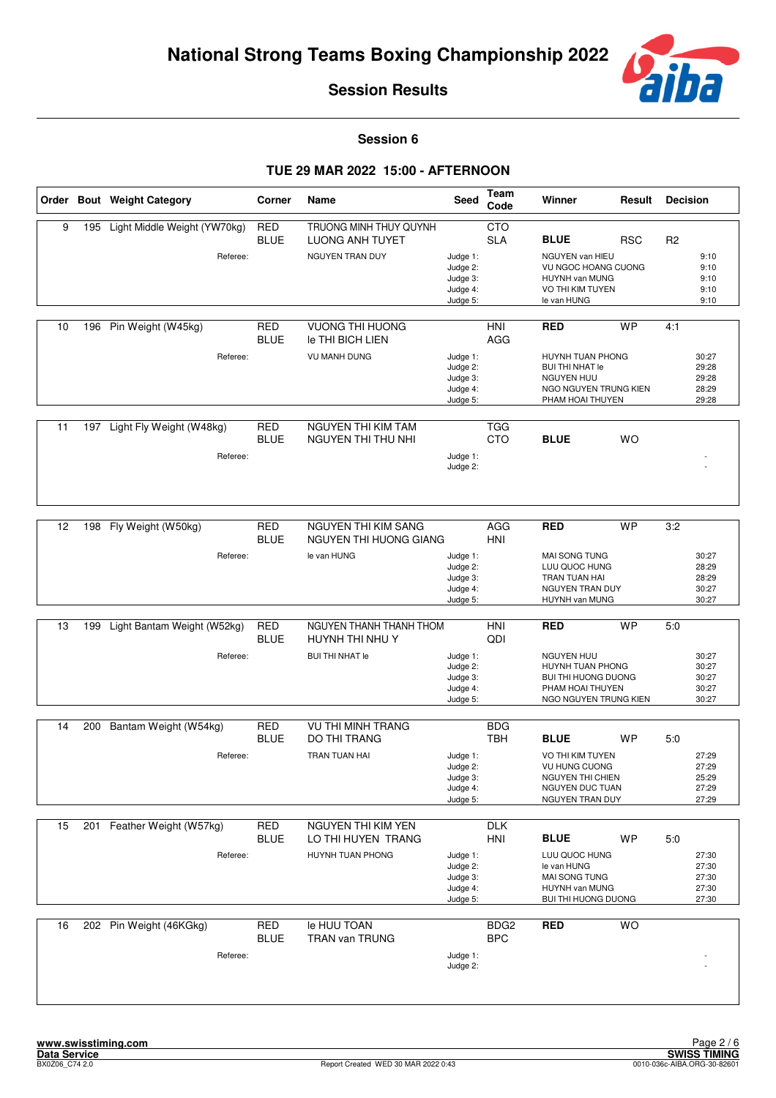

**Session 6**

|    |     | Order Bout Weight Category               | Corner                    | Name                                                                 | Seed                                                     | <b>Team</b><br>Code            | Winner                                                                                                                     | Result     | <b>Decision</b> |                                           |
|----|-----|------------------------------------------|---------------------------|----------------------------------------------------------------------|----------------------------------------------------------|--------------------------------|----------------------------------------------------------------------------------------------------------------------------|------------|-----------------|-------------------------------------------|
| 9  | 195 | Light Middle Weight (YW70kg)<br>Referee: | <b>RED</b><br><b>BLUE</b> | TRUONG MINH THUY QUYNH<br>LUONG ANH TUYET<br>NGUYEN TRAN DUY         | Judge 1:<br>Judge 2:<br>Judge 3:<br>Judge 4:<br>Judge 5: | <b>CTO</b><br><b>SLA</b>       | <b>BLUE</b><br>NGUYEN van HIEU<br>VU NGOC HOANG CUONG<br>HUYNH van MUNG<br>VO THI KIM TUYEN<br>le van HUNG                 | <b>RSC</b> | R <sub>2</sub>  | 9:10<br>9:10<br>9:10<br>9:10<br>9:10      |
| 10 |     | 196 Pin Weight (W45kg)<br>Referee:       | <b>RED</b><br><b>BLUE</b> | <b>VUONG THI HUONG</b><br>le THI BICH LIEN<br><b>VU MANH DUNG</b>    | Judge 1:<br>Judge 2:<br>Judge 3:<br>Judge 4:<br>Judge 5: | HNI<br>AGG                     | <b>RED</b><br>HUYNH TUAN PHONG<br><b>BUI THI NHAT le</b><br><b>NGUYEN HUU</b><br>NGO NGUYEN TRUNG KIEN<br>PHAM HOAI THUYEN | <b>WP</b>  | 4:1             | 30:27<br>29:28<br>29:28<br>28:29<br>29:28 |
| 11 |     | 197 Light Fly Weight (W48kg)<br>Referee: | <b>RED</b><br><b>BLUE</b> | NGUYEN THI KIM TAM<br><b>NGUYEN THI THU NHI</b>                      | Judge 1:<br>Judge 2:                                     | <b>TGG</b><br><b>CTO</b>       | <b>BLUE</b>                                                                                                                | <b>WO</b>  |                 |                                           |
| 12 | 198 | Fly Weight (W50kg)<br>Referee:           | RED<br><b>BLUE</b>        | NGUYEN THI KIM SANG<br>NGUYEN THI HUONG GIANG<br>le van HUNG         | Judge 1:<br>Judge 2:<br>Judge 3:<br>Judge 4:<br>Judge 5: | AGG<br>HNI                     | RED<br>MAI SONG TUNG<br>LUU QUOC HUNG<br>TRAN TUAN HAI<br>NGUYEN TRAN DUY<br>HUYNH van MUNG                                | <b>WP</b>  | 3:2             | 30:27<br>28:29<br>28:29<br>30:27<br>30:27 |
| 13 | 199 | Light Bantam Weight (W52kg)<br>Referee:  | <b>RED</b><br><b>BLUE</b> | NGUYEN THANH THANH THOM<br>HUYNH THI NHU Y<br><b>BUI THI NHAT le</b> | Judge 1:<br>Judge 2:<br>Judge 3:<br>Judge 4:<br>Judge 5: | HNI<br>QDI                     | <b>RED</b><br>NGUYEN HUU<br>HUYNH TUAN PHONG<br>BUI THI HUONG DUONG<br>PHAM HOAI THUYEN<br>NGO NGUYEN TRUNG KIEN           | <b>WP</b>  | 5:0             | 30:27<br>30:27<br>30:27<br>30:27<br>30:27 |
| 14 | 200 | Bantam Weight (W54kg)<br>Referee:        | <b>RED</b><br><b>BLUE</b> | <b>VU THI MINH TRANG</b><br><b>DO THI TRANG</b><br>TRAN TUAN HAI     | Judge 1:<br>Judge 2:<br>Judge 3:<br>Judge 4:<br>Judge 5: | <b>BDG</b><br><b>TBH</b>       | <b>BLUE</b><br>VO THI KIM TUYEN<br>VU HUNG CUONG<br>NGUYEN THI CHIEN<br>NGUYEN DUC TUAN<br>NGUYEN TRAN DUY                 | WP         | 5:0             | 27:29<br>27:29<br>25:29<br>27:29<br>27:29 |
| 15 |     | 201 Feather Weight (W57kg)<br>Referee:   | <b>RED</b><br><b>BLUE</b> | NGUYEN THI KIM YEN<br>LO THI HUYEN TRANG<br>HUYNH TUAN PHONG         | Judge 1:<br>Judge 2:<br>Judge 3:<br>Judge 4:<br>Judge 5: | <b>DLK</b><br>HNI              | <b>BLUE</b><br>LUU QUOC HUNG<br>le van HUNG<br>MAI SONG TUNG<br>HUYNH van MUNG<br><b>BUI THI HUONG DUONG</b>               | <b>WP</b>  | 5:0             | 27:30<br>27:30<br>27:30<br>27:30<br>27:30 |
| 16 |     | 202 Pin Weight (46KGkg)<br>Referee:      | RED<br><b>BLUE</b>        | le HUU TOAN<br>TRAN van TRUNG                                        | Judge 1:<br>Judge 2:                                     | BDG <sub>2</sub><br><b>BPC</b> | <b>RED</b>                                                                                                                 | <b>WO</b>  |                 |                                           |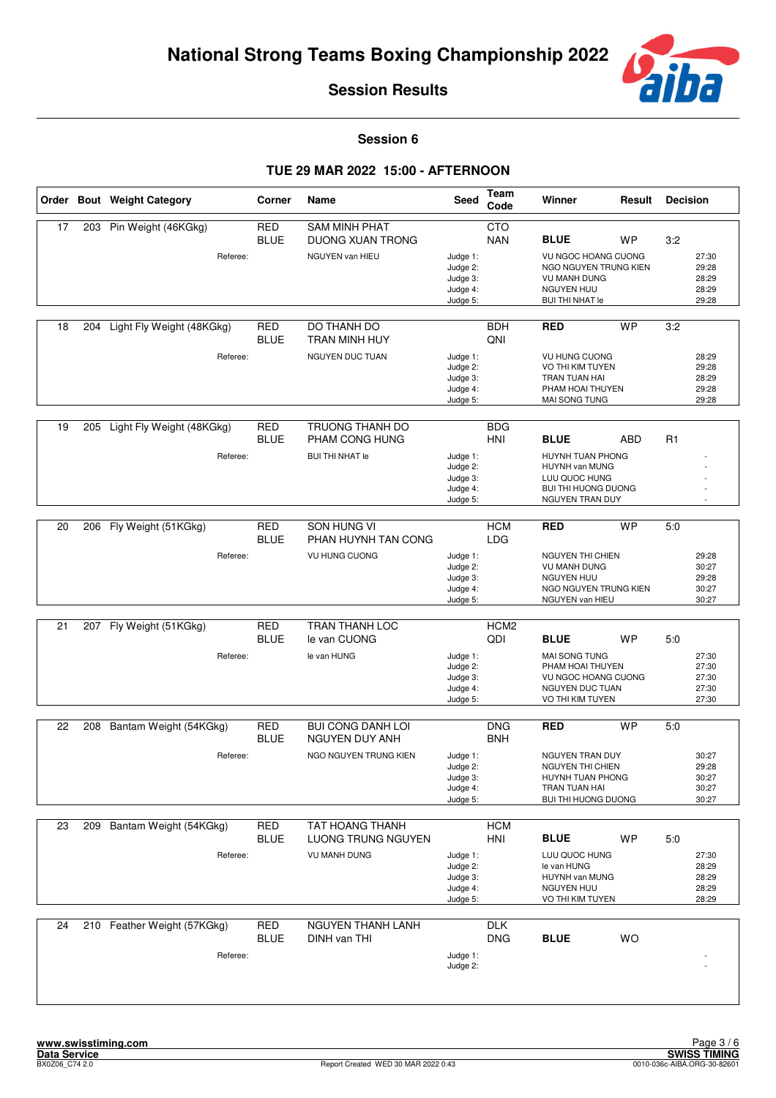

**Session 6**

|    |     | Order Bout Weight Category              | Corner                    | Name                                                                       | Seed                                                     | Team<br>Code             | Winner                                                                                                                            | Result    | <b>Decision</b> |                                           |
|----|-----|-----------------------------------------|---------------------------|----------------------------------------------------------------------------|----------------------------------------------------------|--------------------------|-----------------------------------------------------------------------------------------------------------------------------------|-----------|-----------------|-------------------------------------------|
| 17 | 203 | Pin Weight (46KGkg)<br>Referee:         | <b>RED</b><br><b>BLUE</b> | <b>SAM MINH PHAT</b><br><b>DUONG XUAN TRONG</b><br>NGUYEN van HIEU         | Judge 1:<br>Judge 2:<br>Judge 3:<br>Judge 4:<br>Judge 5: | <b>CTO</b><br><b>NAN</b> | <b>BLUE</b><br>VU NGOC HOANG CUONG<br>NGO NGUYEN TRUNG KIEN<br><b>VU MANH DUNG</b><br><b>NGUYEN HUU</b><br><b>BUI THI NHAT le</b> | <b>WP</b> | 3:2             | 27:30<br>29:28<br>28:29<br>28:29<br>29:28 |
| 18 | 204 | Light Fly Weight (48KGkg)<br>Referee:   | <b>RED</b><br><b>BLUE</b> | DO THANH DO<br>TRAN MINH HUY<br>NGUYEN DUC TUAN                            | Judge 1:<br>Judge 2:<br>Judge 3:<br>Judge 4:<br>Judge 5: | <b>BDH</b><br>QNI        | <b>RED</b><br>VU HUNG CUONG<br>VO THI KIM TUYEN<br>TRAN TUAN HAI<br>PHAM HOAI THUYEN<br>MAI SONG TUNG                             | <b>WP</b> | 3:2             | 28:29<br>29:28<br>28:29<br>29:28<br>29:28 |
| 19 | 205 | Light Fly Weight (48KGkg)<br>Referee:   | <b>RED</b><br><b>BLUE</b> | TRUONG THANH DO<br>PHAM CONG HUNG<br><b>BUI THI NHAT le</b>                | Judge 1:<br>Judge 2:<br>Judge 3:<br>Judge 4:<br>Judge 5: | <b>BDG</b><br>HNI        | <b>BLUE</b><br>HUYNH TUAN PHONG<br>HUYNH van MUNG<br>LUU QUOC HUNG<br>BUI THI HUONG DUONG<br>NGUYEN TRAN DUY                      | ABD       | R1              |                                           |
| 20 | 206 | Fly Weight (51KGkg)<br>Referee:         | <b>RED</b><br><b>BLUE</b> | <b>SON HUNG VI</b><br>PHAN HUYNH TAN CONG<br>VU HUNG CUONG                 | Judge 1:<br>Judge 2:<br>Judge 3:<br>Judge 4:<br>Judge 5: | <b>HCM</b><br><b>LDG</b> | <b>RED</b><br><b>NGUYEN THI CHIEN</b><br><b>VU MANH DUNG</b><br><b>NGUYEN HUU</b><br>NGO NGUYEN TRUNG KIEN<br>NGUYEN van HIEU     | <b>WP</b> | 5:0             | 29:28<br>30:27<br>29:28<br>30:27<br>30:27 |
| 21 | 207 | Fly Weight (51KGkg)<br>Referee:         | <b>RED</b><br><b>BLUE</b> | TRAN THANH LOC<br>le van CUONG<br>le van HUNG                              | Judge 1:<br>Judge 2:<br>Judge 3:<br>Judge 4:<br>Judge 5: | HCM <sub>2</sub><br>QDI  | <b>BLUE</b><br>MAI SONG TUNG<br>PHAM HOAI THUYEN<br>VU NGOC HOANG CUONG<br>NGUYEN DUC TUAN<br>VO THI KIM TUYEN                    | WP        | 5.0             | 27:30<br>27:30<br>27:30<br>27:30<br>27:30 |
| 22 | 208 | Bantam Weight (54KGkg)<br>Referee:      | <b>RED</b><br><b>BLUE</b> | <b>BUI CONG DANH LOI</b><br>NGUYEN DUY ANH<br>NGO NGUYEN TRUNG KIEN        | Judge 1:<br>Judge 2:<br>Judge 3:<br>Judge 4:<br>Judge 5: | <b>DNG</b><br><b>BNH</b> | <b>RED</b><br>NGUYEN TRAN DUY<br>NGUYEN THI CHIEN<br>HUYNH TUAN PHONG<br>TRAN TUAN HAI<br>BUI THI HUONG DUONG                     | <b>WP</b> | 5:0             | 30:27<br>29:28<br>30:27<br>30:27<br>30:27 |
| 23 | 209 | Bantam Weight (54KGkg)<br>Referee:      | RED<br><b>BLUE</b>        | <b>TAT HOANG THANH</b><br><b>LUONG TRUNG NGUYEN</b><br><b>VU MANH DUNG</b> | Judge 1:<br>Judge 2:<br>Judge 3:<br>Judge 4:<br>Judge 5: | <b>HCM</b><br><b>HNI</b> | <b>BLUE</b><br>LUU QUOC HUNG<br>le van HUNG<br>HUYNH van MUNG<br><b>NGUYEN HUU</b><br>VO THI KIM TUYEN                            | <b>WP</b> | 5:0             | 27:30<br>28:29<br>28:29<br>28:29<br>28:29 |
| 24 |     | 210 Feather Weight (57KGkg)<br>Referee: | <b>RED</b><br><b>BLUE</b> | <b>NGUYEN THANH LANH</b><br>DINH van THI                                   | Judge 1:<br>Judge 2:                                     | <b>DLK</b><br><b>DNG</b> | <b>BLUE</b>                                                                                                                       | <b>WO</b> |                 |                                           |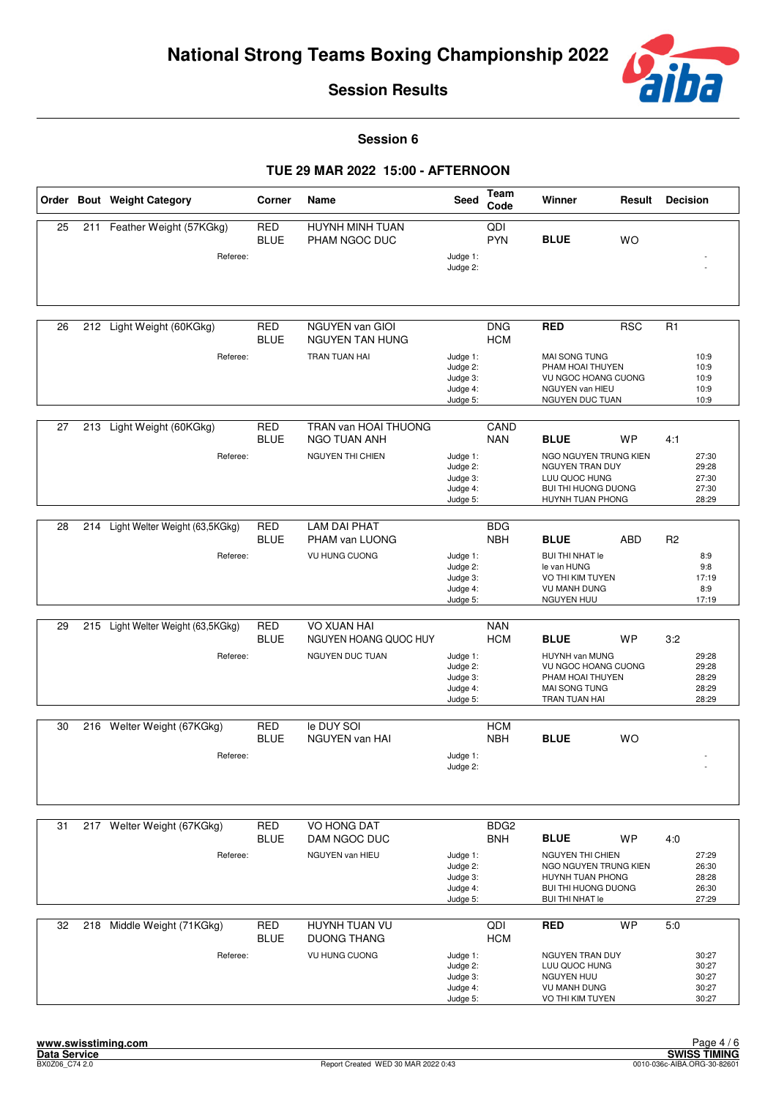

**Session 6**

|    |     | Order Bout Weight Category         | Corner                    | Name                                      | Seed                                                     | Team<br>Code                 | Winner                                                                                                                     | Result     | <b>Decision</b> |                                           |
|----|-----|------------------------------------|---------------------------|-------------------------------------------|----------------------------------------------------------|------------------------------|----------------------------------------------------------------------------------------------------------------------------|------------|-----------------|-------------------------------------------|
| 25 | 211 | Feather Weight (57KGkg)            | <b>RED</b><br><b>BLUE</b> | HUYNH MINH TUAN<br>PHAM NGOC DUC          |                                                          | $\overline{Q}$<br><b>PYN</b> | <b>BLUE</b>                                                                                                                | <b>WO</b>  |                 |                                           |
|    |     | Referee:                           |                           |                                           | Judge 1:<br>Judge 2:                                     |                              |                                                                                                                            |            |                 |                                           |
| 26 |     | 212 Light Weight (60KGkg)          | <b>RED</b><br><b>BLUE</b> | NGUYEN van GIOI<br><b>NGUYEN TAN HUNG</b> |                                                          | <b>DNG</b><br><b>HCM</b>     | <b>RED</b>                                                                                                                 | <b>RSC</b> | R1              |                                           |
|    |     | Referee:                           |                           | TRAN TUAN HAI                             | Judge 1:<br>Judge 2:<br>Judge 3:<br>Judge 4:<br>Judge 5: |                              | <b>MAI SONG TUNG</b><br>PHAM HOAI THUYEN<br>VU NGOC HOANG CUONG<br>NGUYEN van HIEU<br>NGUYEN DUC TUAN                      |            |                 | 10:9<br>10:9<br>10:9<br>10:9<br>10:9      |
| 27 |     | 213 Light Weight (60KGkg)          | <b>RED</b>                | TRAN van HOAI THUONG                      |                                                          | CAND                         |                                                                                                                            |            |                 |                                           |
|    |     | Referee:                           | <b>BLUE</b>               | NGO TUAN ANH<br>NGUYEN THI CHIEN          | Judge 1:<br>Judge 2:<br>Judge 3:<br>Judge 4:<br>Judge 5: | <b>NAN</b>                   | <b>BLUE</b><br>NGO NGUYEN TRUNG KIEN<br>NGUYEN TRAN DUY<br>LUU QUOC HUNG<br><b>BUI THI HUONG DUONG</b><br>HUYNH TUAN PHONG | <b>WP</b>  | 4:1             | 27:30<br>29:28<br>27:30<br>27:30<br>28:29 |
| 28 |     | 214 Light Welter Weight (63,5KGkg) | <b>RED</b>                | <b>LAM DAI PHAT</b>                       |                                                          | <b>BDG</b>                   |                                                                                                                            |            |                 |                                           |
|    |     |                                    | <b>BLUE</b>               | PHAM van LUONG                            |                                                          | <b>NBH</b>                   | <b>BLUE</b>                                                                                                                | <b>ABD</b> | R <sub>2</sub>  |                                           |
|    |     | Referee:                           |                           | <b>VU HUNG CUONG</b>                      | Judge 1:<br>Judge 2:<br>Judge 3:<br>Judge 4:<br>Judge 5: |                              | <b>BUI THI NHAT le</b><br>le van HUNG<br>VO THI KIM TUYEN<br><b>VU MANH DUNG</b><br>NGUYEN HUU                             |            |                 | 8:9<br>9:8<br>17:19<br>8:9<br>17:19       |
| 29 | 215 | Light Welter Weight (63,5KGkg)     | <b>RED</b>                | VO XUAN HAI                               |                                                          | <b>NAN</b>                   |                                                                                                                            |            |                 |                                           |
|    |     |                                    | <b>BLUE</b>               | NGUYEN HOANG QUOC HUY                     |                                                          | <b>HCM</b>                   | <b>BLUE</b>                                                                                                                | <b>WP</b>  | 3:2             |                                           |
|    |     | Referee:                           |                           | NGUYEN DUC TUAN                           | Judge 1:<br>Judge 2:<br>Judge 3:<br>Judge 4:<br>Judge 5: |                              | HUYNH van MUNG<br>VU NGOC HOANG CUONG<br>PHAM HOAI THUYEN<br><b>MAI SONG TUNG</b><br>TRAN TUAN HAI                         |            |                 | 29:28<br>29:28<br>28:29<br>28:29<br>28:29 |
| 30 |     | 216 Welter Weight (67KGkg)         | <b>RED</b>                | le DUY SOI                                |                                                          | <b>HCM</b>                   |                                                                                                                            |            |                 |                                           |
|    |     |                                    | <b>BLUE</b>               | <b>NGUYEN van HAI</b>                     |                                                          | <b>NBH</b>                   | <b>BLUE</b>                                                                                                                | <b>WO</b>  |                 |                                           |
|    |     | Referee:                           |                           |                                           | Judge 1:<br>Judge 2:                                     |                              |                                                                                                                            |            |                 |                                           |
| 31 |     | 217 Welter Weight (67KGkg)         | <b>RED</b>                | VO HONG DAT                               |                                                          | BDG <sub>2</sub>             |                                                                                                                            |            |                 |                                           |
|    |     |                                    | <b>BLUE</b>               | DAM NGOC DUC                              |                                                          | <b>BNH</b>                   | <b>BLUE</b><br><b>NGUYEN THI CHIEN</b>                                                                                     | <b>WP</b>  | 4:0             | 27:29                                     |
|    |     | Referee:                           |                           | NGUYEN van HIEU                           | Judge 1:<br>Judge 2:<br>Judge 3:<br>Judge 4:<br>Judge 5: |                              | NGO NGUYEN TRUNG KIEN<br>HUYNH TUAN PHONG<br>BUI THI HUONG DUONG<br><b>BUI THI NHAT le</b>                                 |            |                 | 26:30<br>28:28<br>26:30<br>27:29          |
| 32 | 218 | Middle Weight (71KGkg)             | <b>RED</b><br><b>BLUE</b> | HUYNH TUAN VU<br><b>DUONG THANG</b>       |                                                          | QDI<br><b>HCM</b>            | RED                                                                                                                        | <b>WP</b>  | 5:0             |                                           |
|    |     | Referee:                           |                           | <b>VU HUNG CUONG</b>                      | Judge 1:<br>Judge 2:<br>Judge 3:<br>Judge 4:<br>Judge 5: |                              | NGUYEN TRAN DUY<br>LUU QUOC HUNG<br><b>NGUYEN HUU</b><br>VU MANH DUNG<br>VO THI KIM TUYEN                                  |            |                 | 30:27<br>30:27<br>30:27<br>30:27<br>30:27 |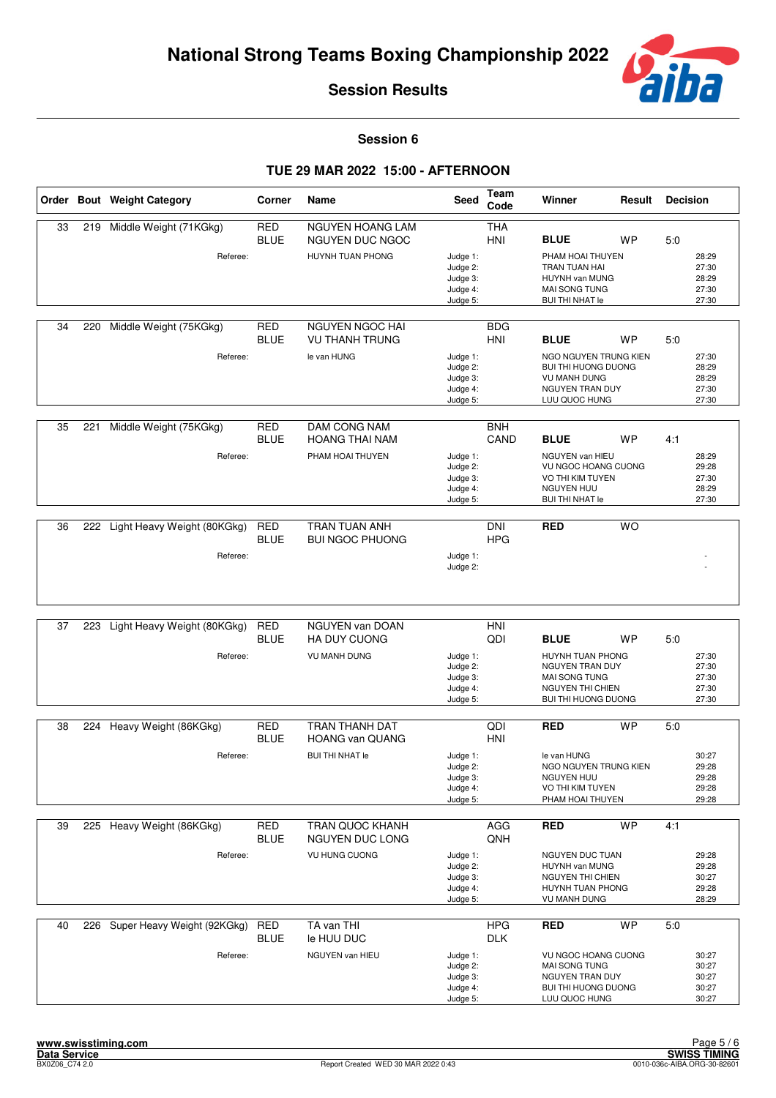

**Session 6**

|    |     | Order Bout Weight Category              | Corner                    | Name                                                                 | Seed                                                     | Team<br>Code             | Winner                                                                                                                          | Result          | <b>Decision</b> |                                           |
|----|-----|-----------------------------------------|---------------------------|----------------------------------------------------------------------|----------------------------------------------------------|--------------------------|---------------------------------------------------------------------------------------------------------------------------------|-----------------|-----------------|-------------------------------------------|
| 33 |     | 219 Middle Weight (71KGkg)<br>Referee:  | <b>RED</b><br><b>BLUE</b> | <b>NGUYEN HOANG LAM</b><br>NGUYEN DUC NGOC<br>HUYNH TUAN PHONG       | Judge 1:<br>Judge 2:<br>Judge 3:<br>Judge 4:<br>Judge 5: | <b>THA</b><br><b>HNI</b> | <b>BLUE</b><br>PHAM HOAI THUYEN<br>TRAN TUAN HAI<br>HUYNH van MUNG<br>MAI SONG TUNG<br><b>BUI THI NHAT le</b>                   | WP              | 5:0             | 28:29<br>27:30<br>28:29<br>27:30<br>27:30 |
| 34 | 220 | Middle Weight (75KGkg)<br>Referee:      | <b>RED</b><br><b>BLUE</b> | NGUYEN NGOC HAI<br><b>VU THANH TRUNG</b><br>le van HUNG              | Judge 1:<br>Judge 2:<br>Judge 3:<br>Judge 4:<br>Judge 5: | <b>BDG</b><br><b>HNI</b> | <b>BLUE</b><br>NGO NGUYEN TRUNG KIEN<br>BUI THI HUONG DUONG<br><b>VU MANH DUNG</b><br>NGUYEN TRAN DUY<br>LUU QUOC HUNG          | <b>WP</b>       | 5:0             | 27:30<br>28:29<br>28:29<br>27:30<br>27:30 |
| 35 | 221 | Middle Weight (75KGkg)<br>Referee:      | <b>RED</b><br><b>BLUE</b> | <b>DAM CONG NAM</b><br><b>HOANG THAI NAM</b><br>PHAM HOAI THUYEN     | Judge 1:<br>Judge 2:<br>Judge 3:<br>Judge 4:<br>Judge 5: | <b>BNH</b><br>CAND       | <b>BLUE</b><br>NGUYEN van HIEU<br><b>VU NGOC HOANG CUONG</b><br>VO THI KIM TUYEN<br><b>NGUYEN HUU</b><br><b>BUI THI NHAT le</b> | <b>WP</b>       | 4:1             | 28:29<br>29:28<br>27:30<br>28:29<br>27:30 |
| 36 | 222 | Light Heavy Weight (80KGkg)<br>Referee: | <b>RED</b><br><b>BLUE</b> | TRAN TUAN ANH<br><b>BUI NGOC PHUONG</b>                              | Judge 1:<br>Judge 2:                                     | <b>DNI</b><br><b>HPG</b> | <b>RED</b>                                                                                                                      | $\overline{WO}$ |                 |                                           |
| 37 | 223 | Light Heavy Weight (80KGkg)<br>Referee: | <b>RED</b><br><b>BLUE</b> | <b>NGUYEN van DOAN</b><br><b>HA DUY CUONG</b><br><b>VU MANH DUNG</b> | Judge 1:<br>Judge 2:<br>Judge 3:<br>Judge 4:<br>Judge 5: | HNI<br>QDI               | <b>BLUE</b><br>HUYNH TUAN PHONG<br>NGUYEN TRAN DUY<br><b>MAI SONG TUNG</b><br>NGUYEN THI CHIEN<br><b>BUI THI HUONG DUONG</b>    | WP              | 5:0             | 27:30<br>27:30<br>27:30<br>27:30<br>27:30 |
| 38 | 224 | Heavy Weight (86KGkg)<br>Referee:       | RED<br><b>BLUE</b>        | TRAN THANH DAT<br><b>HOANG van QUANG</b><br><b>BUI THI NHAT le</b>   | Judge 1:<br>Judge 2:<br>Judge 3:<br>Judge 4:<br>Judge 5: | QDI<br><b>HNI</b>        | RED<br>le van HUNG<br>NGO NGUYEN TRUNG KIEN<br>NGUYEN HUU<br>VO THI KIM TUYEN<br>PHAM HOAI THUYEN                               | <b>WP</b>       | 5:0             | 30:27<br>29:28<br>29:28<br>29:28<br>29:28 |
| 39 |     | 225 Heavy Weight (86KGkg)<br>Referee:   | RED<br><b>BLUE</b>        | <b>TRAN QUOC KHANH</b><br>NGUYEN DUC LONG<br><b>VU HUNG CUONG</b>    | Judge 1:<br>Judge 2:<br>Judge 3:<br>Judge 4:<br>Judge 5: | AGG<br>QNH               | <b>RED</b><br>NGUYEN DUC TUAN<br>HUYNH van MUNG<br>NGUYEN THI CHIEN<br>HUYNH TUAN PHONG<br>VU MANH DUNG                         | <b>WP</b>       | 4:1             | 29:28<br>29:28<br>30:27<br>29:28<br>28:29 |
| 40 | 226 | Super Heavy Weight (92KGkg)<br>Referee: | <b>RED</b><br><b>BLUE</b> | TA van THI<br>le HUU DUC<br>NGUYEN van HIEU                          | Judge 1:<br>Judge 2:<br>Judge 3:<br>Judge 4:<br>Judge 5: | <b>HPG</b><br><b>DLK</b> | <b>RED</b><br>VU NGOC HOANG CUONG<br>MAI SONG TUNG<br>NGUYEN TRAN DUY<br><b>BUI THI HUONG DUONG</b><br>LUU QUOC HUNG            | <b>WP</b>       | 5:0             | 30:27<br>30:27<br>30:27<br>30:27<br>30:27 |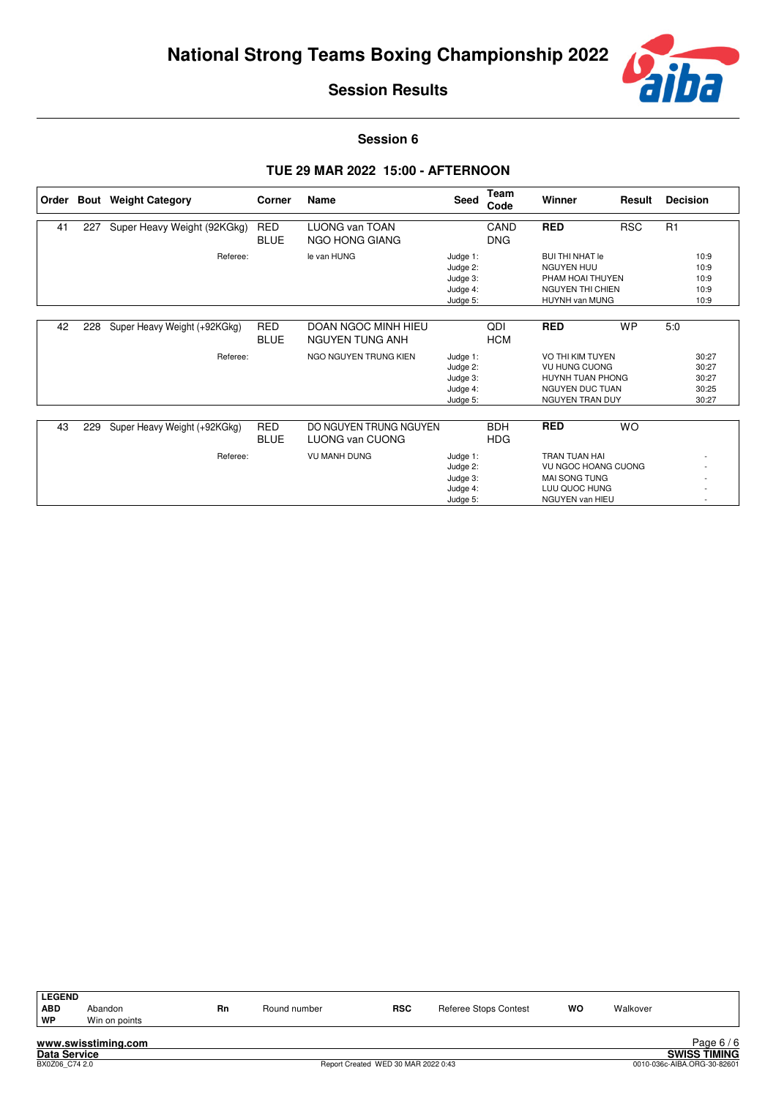

**Session 6**

| Order |     | <b>Bout</b> Weight Category  | Corner                    | Name                                          | Seed                                                     | Team<br>Code             | Winner                                                                                                                | Result     | <b>Decision</b>                           |
|-------|-----|------------------------------|---------------------------|-----------------------------------------------|----------------------------------------------------------|--------------------------|-----------------------------------------------------------------------------------------------------------------------|------------|-------------------------------------------|
| 41    | 227 | Super Heavy Weight (92KGkg)  | <b>RED</b><br><b>BLUE</b> | <b>LUONG van TOAN</b><br>NGO HONG GIANG       |                                                          | CAND<br><b>DNG</b>       | <b>RED</b>                                                                                                            | <b>RSC</b> | R1                                        |
|       |     | Referee:                     |                           | le van HUNG                                   | Judge 1:<br>Judge 2:<br>Judge 3:<br>Judge 4:<br>Judge 5: |                          | <b>BUI THI NHAT le</b><br><b>NGUYEN HUU</b><br>PHAM HOAI THUYEN<br><b>NGUYEN THI CHIEN</b><br>HUYNH van MUNG          |            | 10:9<br>10:9<br>10:9<br>10:9<br>10:9      |
| 42    | 228 | Super Heavy Weight (+92KGkg) | <b>RED</b><br><b>BLUE</b> | DOAN NGOC MINH HIEU<br><b>NGUYEN TUNG ANH</b> |                                                          | QDI<br><b>HCM</b>        | <b>RED</b>                                                                                                            | <b>WP</b>  | 5:0                                       |
|       |     | Referee:                     |                           | NGO NGUYEN TRUNG KIEN                         | Judge 1:<br>Judge 2:<br>Judge 3:<br>Judge 4:<br>Judge 5: |                          | VO THI KIM TUYEN<br><b>VU HUNG CUONG</b><br>HUYNH TUAN PHONG<br><b>NGUYEN DUC TUAN</b><br>NGUYEN TRAN DUY             |            | 30:27<br>30:27<br>30:27<br>30:25<br>30:27 |
| 43    | 229 | Super Heavy Weight (+92KGkg) | <b>RED</b><br><b>BLUE</b> | DO NGUYEN TRUNG NGUYEN<br>LUONG van CUONG     |                                                          | <b>BDH</b><br><b>HDG</b> | <b>RED</b>                                                                                                            | <b>WO</b>  |                                           |
|       |     | Referee:                     |                           | <b>VU MANH DUNG</b>                           | Judge 1:<br>Judge 2:<br>Judge 3:<br>Judge 4:<br>Judge 5: |                          | <b>TRAN TUAN HAI</b><br><b>VU NGOC HOANG CUONG</b><br><b>MAI SONG TUNG</b><br>LUU QUOC HUNG<br><b>NGUYEN van HIEU</b> |            |                                           |

| LEGEND             |                                                                                                                   |    |              |            |                       |           |          |         |
|--------------------|-------------------------------------------------------------------------------------------------------------------|----|--------------|------------|-----------------------|-----------|----------|---------|
| <b>ABD</b><br>∣ wP | Abandon<br>Win on points                                                                                          | Rn | Round number | <b>RSC</b> | Referee Stops Contest | <b>WO</b> | Walkover |         |
|                    | and the company of the second contract of the company of the company of the company of the company of the company |    |              |            |                       |           |          | DoseC/C |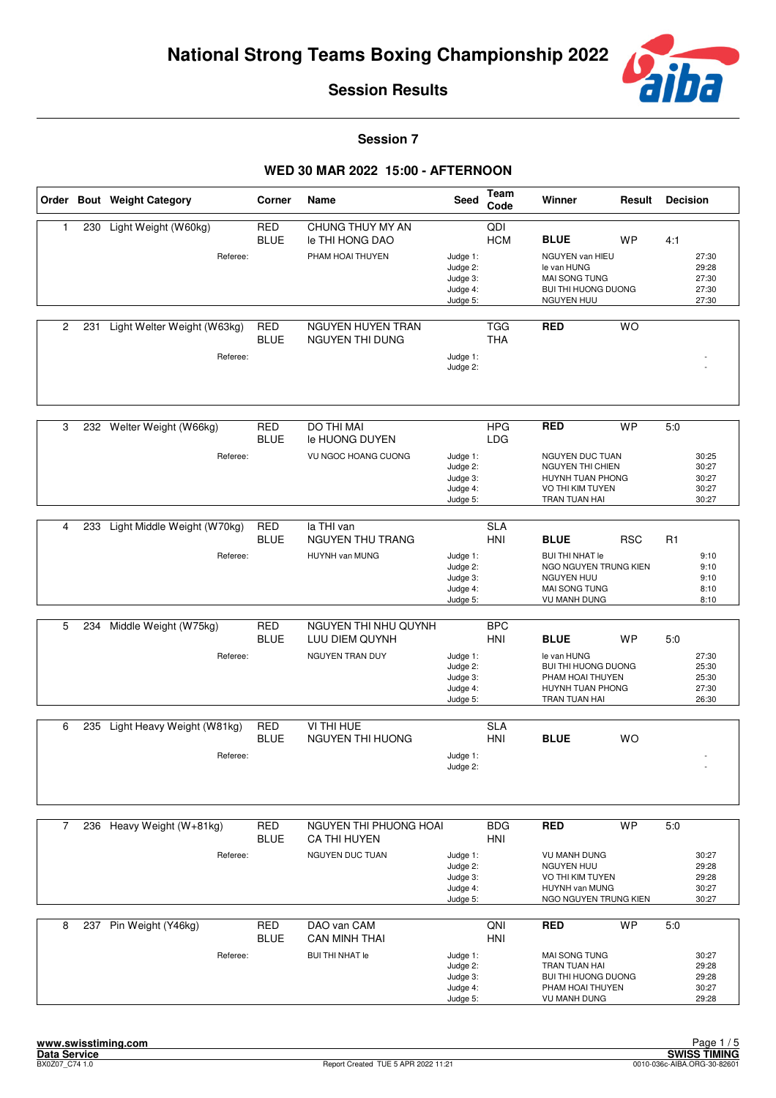

**Session 7**

|              |     | Order Bout Weight Category  | Corner                    | Name                                   | Seed                                                     | Team<br>Code                 | Winner                                                                                                       | Result     | <b>Decision</b> |                                           |
|--------------|-----|-----------------------------|---------------------------|----------------------------------------|----------------------------------------------------------|------------------------------|--------------------------------------------------------------------------------------------------------------|------------|-----------------|-------------------------------------------|
| $\mathbf{1}$ | 230 | Light Weight (W60kg)        | <b>RED</b><br><b>BLUE</b> | CHUNG THUY MY AN<br>le THI HONG DAO    |                                                          | $\overline{Q}$<br><b>HCM</b> | <b>BLUE</b>                                                                                                  | <b>WP</b>  | 4:1             |                                           |
|              |     | Referee:                    |                           | PHAM HOAI THUYEN                       | Judge 1:<br>Judge 2:<br>Judge 3:<br>Judge 4:<br>Judge 5: |                              | NGUYEN van HIEU<br>le van HUNG<br>MAI SONG TUNG<br><b>BUI THI HUONG DUONG</b><br>NGUYEN HUU                  |            |                 | 27:30<br>29:28<br>27:30<br>27:30<br>27:30 |
| 2            | 231 | Light Welter Weight (W63kg) | <b>RED</b><br><b>BLUE</b> | NGUYEN HUYEN TRAN<br>NGUYEN THI DUNG   |                                                          | <b>TGG</b><br><b>THA</b>     | <b>RED</b>                                                                                                   | <b>WO</b>  |                 |                                           |
|              |     | Referee:                    |                           |                                        | Judge 1:<br>Judge 2:                                     |                              |                                                                                                              |            |                 |                                           |
| 3            |     | 232 Welter Weight (W66kg)   | <b>RED</b><br><b>BLUE</b> | DO THI MAI<br>le HUONG DUYEN           |                                                          | <b>HPG</b><br><b>LDG</b>     | <b>RED</b>                                                                                                   | <b>WP</b>  | 5:0             |                                           |
|              |     | Referee:                    |                           | VU NGOC HOANG CUONG                    | Judge 1:<br>Judge 2:<br>Judge 3:<br>Judge 4:<br>Judge 5: |                              | NGUYEN DUC TUAN<br><b>NGUYEN THI CHIEN</b><br><b>HUYNH TUAN PHONG</b><br>VO THI KIM TUYEN<br>TRAN TUAN HAI   |            |                 | 30:25<br>30:27<br>30:27<br>30:27<br>30:27 |
| 4            | 233 | Light Middle Weight (W70kg) | <b>RED</b>                | la THI van                             |                                                          | <b>SLA</b>                   |                                                                                                              |            |                 |                                           |
|              |     |                             | <b>BLUE</b>               | <b>NGUYEN THU TRANG</b>                |                                                          | HNI                          | <b>BLUE</b>                                                                                                  | <b>RSC</b> | R1              |                                           |
|              |     | Referee:                    |                           | HUYNH van MUNG                         | Judge 1:<br>Judge 2:<br>Judge 3:<br>Judge 4:<br>Judge 5: |                              | <b>BUI THI NHAT le</b><br>NGO NGUYEN TRUNG KIEN<br><b>NGUYEN HUU</b><br>MAI SONG TUNG<br><b>VU MANH DUNG</b> |            |                 | 9:10<br>9:10<br>9:10<br>8:10<br>8:10      |
| 5            | 234 | Middle Weight (W75kg)       | <b>RED</b>                | NGUYEN THI NHU QUYNH                   |                                                          | <b>BPC</b>                   |                                                                                                              |            |                 |                                           |
|              |     |                             | <b>BLUE</b>               | LUU DIEM QUYNH                         |                                                          | <b>HNI</b>                   | <b>BLUE</b>                                                                                                  | <b>WP</b>  | 5:0             |                                           |
|              |     | Referee:                    |                           | NGUYEN TRAN DUY                        | Judge 1:<br>Judge 2:<br>Judge 3:<br>Judge 4:<br>Judge 5: |                              | le van HUNG<br><b>BUI THI HUONG DUONG</b><br>PHAM HOAI THUYEN<br>HUYNH TUAN PHONG<br>TRAN TUAN HAI           |            |                 | 27:30<br>25:30<br>25:30<br>27:30<br>26:30 |
| 6            | 235 | Light Heavy Weight (W81kg)  | <b>RED</b>                | VI THI HUE                             |                                                          | <b>SLA</b>                   |                                                                                                              |            |                 |                                           |
|              |     |                             | <b>BLUE</b>               | NGUYEN THI HUONG                       |                                                          | HNI                          | <b>BLUE</b>                                                                                                  | <b>WO</b>  |                 |                                           |
|              |     | Referee:                    |                           |                                        | Judge 1:<br>Judge 2:                                     |                              |                                                                                                              |            |                 |                                           |
| 7            |     | 236 Heavy Weight (W+81kg)   | <b>RED</b><br><b>BLUE</b> | NGUYEN THI PHUONG HOAI<br>CA THI HUYEN |                                                          | <b>BDG</b><br><b>HNI</b>     | <b>RED</b>                                                                                                   | <b>WP</b>  | 5.0             |                                           |
|              |     | Referee:                    |                           | NGUYEN DUC TUAN                        | Judge 1:<br>Judge 2:<br>Judge 3:<br>Judge 4:<br>Judge 5: |                              | <b>VU MANH DUNG</b><br><b>NGUYEN HUU</b><br>VO THI KIM TUYEN<br>HUYNH van MUNG<br>NGO NGUYEN TRUNG KIEN      |            |                 | 30:27<br>29:28<br>29:28<br>30:27<br>30:27 |
| 8            | 237 | Pin Weight (Y46kg)          | <b>RED</b><br><b>BLUE</b> | DAO van CAM<br><b>CAN MINH THAI</b>    |                                                          | QNI<br><b>HNI</b>            | <b>RED</b>                                                                                                   | <b>WP</b>  | 5:0             |                                           |
|              |     | Referee:                    |                           | <b>BUI THI NHAT le</b>                 | Judge 1:<br>Judge 2:<br>Judge 3:<br>Judge 4:<br>Judge 5: |                              | MAI SONG TUNG<br>TRAN TUAN HAI<br><b>BUI THI HUONG DUONG</b><br>PHAM HOAI THUYEN<br><b>VU MANH DUNG</b>      |            |                 | 30:27<br>29:28<br>29:28<br>30:27<br>29:28 |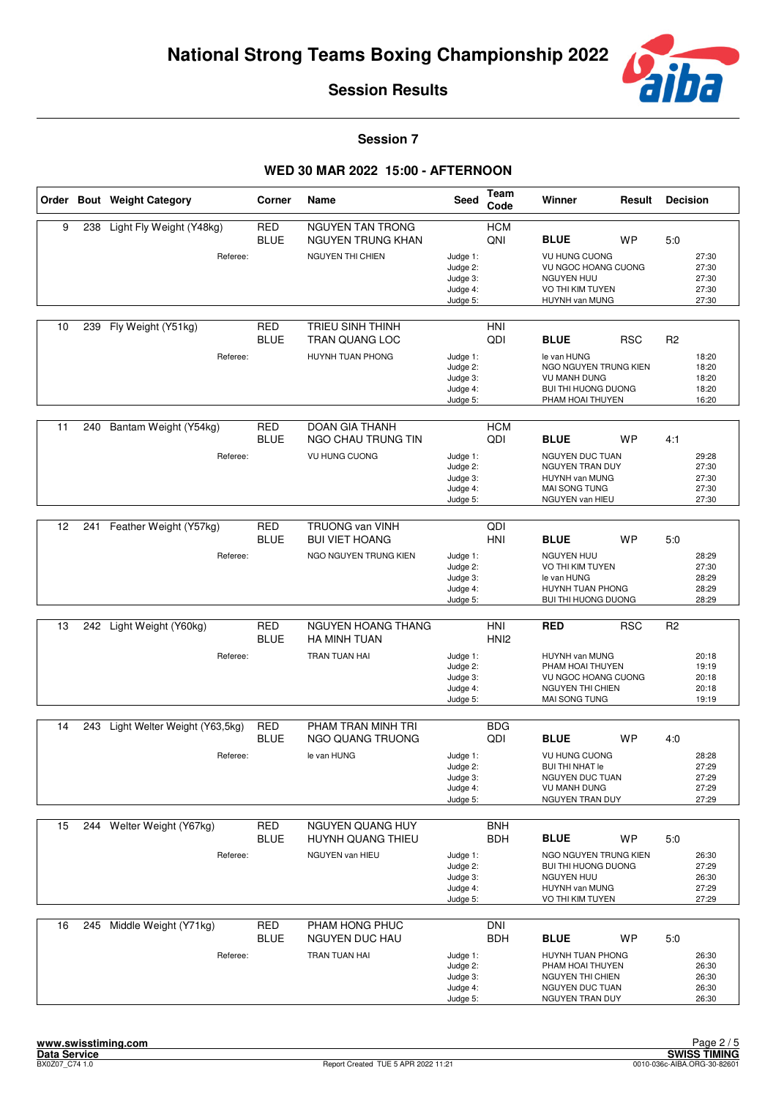

**Session 7**

|    |     | Order Bout Weight Category                | Corner                    | Name                                                                     | Seed                                                     | Team<br>Code             | Winner                                                                                                                       | Result     | <b>Decision</b> |                                           |
|----|-----|-------------------------------------------|---------------------------|--------------------------------------------------------------------------|----------------------------------------------------------|--------------------------|------------------------------------------------------------------------------------------------------------------------------|------------|-----------------|-------------------------------------------|
| 9  | 238 | Light Fly Weight (Y48kg)<br>Referee:      | <b>RED</b><br><b>BLUE</b> | <b>NGUYEN TAN TRONG</b><br>NGUYEN TRUNG KHAN<br><b>NGUYEN THI CHIEN</b>  | Judge 1:<br>Judge 2:<br>Judge 3:<br>Judge 4:<br>Judge 5: | <b>HCM</b><br>QNI        | <b>BLUE</b><br><b>VU HUNG CUONG</b><br>VU NGOC HOANG CUONG<br><b>NGUYEN HUU</b><br>VO THI KIM TUYEN<br>HUYNH van MUNG        | WP         | 5:0             | 27:30<br>27:30<br>27:30<br>27:30<br>27:30 |
| 10 | 239 | Fly Weight (Y51kg)<br>Referee:            | <b>RED</b><br><b>BLUE</b> | <b>TRIEU SINH THINH</b><br><b>TRAN QUANG LOC</b><br>HUYNH TUAN PHONG     | Judge 1:<br>Judge 2:<br>Judge 3:<br>Judge 4:<br>Judge 5: | <b>HNI</b><br>QDI        | <b>BLUE</b><br>le van HUNG<br>NGO NGUYEN TRUNG KIEN<br><b>VU MANH DUNG</b><br><b>BUI THI HUONG DUONG</b><br>PHAM HOAI THUYEN | <b>RSC</b> | R <sub>2</sub>  | 18:20<br>18:20<br>18:20<br>18:20<br>16:20 |
| 11 | 240 | Bantam Weight (Y54kg)<br>Referee:         | <b>RED</b><br><b>BLUE</b> | <b>DOAN GIA THANH</b><br>NGO CHAU TRUNG TIN<br>VU HUNG CUONG             | Judge 1:<br>Judge 2:<br>Judge 3:<br>Judge 4:<br>Judge 5: | <b>HCM</b><br>QDI        | <b>BLUE</b><br>NGUYEN DUC TUAN<br>NGUYEN TRAN DUY<br>HUYNH van MUNG<br>MAI SONG TUNG<br>NGUYEN van HIEU                      | <b>WP</b>  | 4:1             | 29:28<br>27:30<br>27:30<br>27:30<br>27:30 |
| 12 | 241 | Feather Weight (Y57kg)<br>Referee:        | <b>RED</b><br><b>BLUE</b> | <b>TRUONG van VINH</b><br><b>BUI VIET HOANG</b><br>NGO NGUYEN TRUNG KIEN | Judge 1:<br>Judge 2:<br>Judge 3:<br>Judge 4:<br>Judge 5: | QDI<br><b>HNI</b>        | <b>BLUE</b><br>NGUYEN HUU<br>VO THI KIM TUYEN<br>le van HUNG<br>HUYNH TUAN PHONG<br>BUI THI HUONG DUONG                      | WP         | 5:0             | 28:29<br>27:30<br>28:29<br>28:29<br>28:29 |
| 13 | 242 | Light Weight (Y60kg)<br>Referee:          | <b>RED</b><br><b>BLUE</b> | NGUYEN HOANG THANG<br>HA MINH TUAN<br>TRAN TUAN HAI                      | Judge 1:<br>Judge 2:<br>Judge 3:<br>Judge 4:<br>Judge 5: | HNI<br>HNI <sub>2</sub>  | <b>RED</b><br>HUYNH van MUNG<br>PHAM HOAI THUYEN<br><b>VU NGOC HOANG CUONG</b><br><b>NGUYEN THI CHIEN</b><br>MAI SONG TUNG   | <b>RSC</b> | R <sub>2</sub>  | 20:18<br>19:19<br>20:18<br>20:18<br>19:19 |
| 14 | 243 | Light Welter Weight (Y63,5kg)<br>Referee: | <b>RED</b><br><b>BLUE</b> | PHAM TRAN MINH TRI<br>NGO QUANG TRUONG<br>le van HUNG                    | Judge 1:<br>Judge 2:<br>Judge 3:<br>Judge 4:<br>Judge 5: | <b>BDG</b><br>QDI        | <b>BLUE</b><br><b>VU HUNG CUONG</b><br><b>BUI THI NHAT le</b><br>NGUYEN DUC TUAN<br><b>VU MANH DUNG</b><br>NGUYEN TRAN DUY   | WP         | 4:0             | 28:28<br>27:29<br>27:29<br>27:29<br>27:29 |
| 15 |     | 244 Welter Weight (Y67kg)<br>Referee:     | <b>RED</b><br><b>BLUE</b> | NGUYEN QUANG HUY<br>HUYNH QUANG THIEU<br>NGUYEN van HIEU                 | Judge 1:<br>Judge 2:<br>Judge 3:<br>Judge 4:<br>Judge 5: | <b>BNH</b><br><b>BDH</b> | <b>BLUE</b><br>NGO NGUYEN TRUNG KIEN<br><b>BUI THI HUONG DUONG</b><br>NGUYEN HUU<br>HUYNH van MUNG<br>VO THI KIM TUYEN       | WP         | 5:0             | 26:30<br>27:29<br>26:30<br>27:29<br>27:29 |
| 16 | 245 | Middle Weight (Y71kg)<br>Referee:         | <b>RED</b><br><b>BLUE</b> | PHAM HONG PHUC<br>NGUYEN DUC HAU<br>TRAN TUAN HAI                        | Judge 1:<br>Judge 2:<br>Judge 3:<br>Judge 4:<br>Judge 5: | <b>DNI</b><br><b>BDH</b> | <b>BLUE</b><br>HUYNH TUAN PHONG<br>PHAM HOAI THUYEN<br>NGUYEN THI CHIEN<br>NGUYEN DUC TUAN<br>NGUYEN TRAN DUY                | WP         | 5:0             | 26:30<br>26:30<br>26:30<br>26:30<br>26:30 |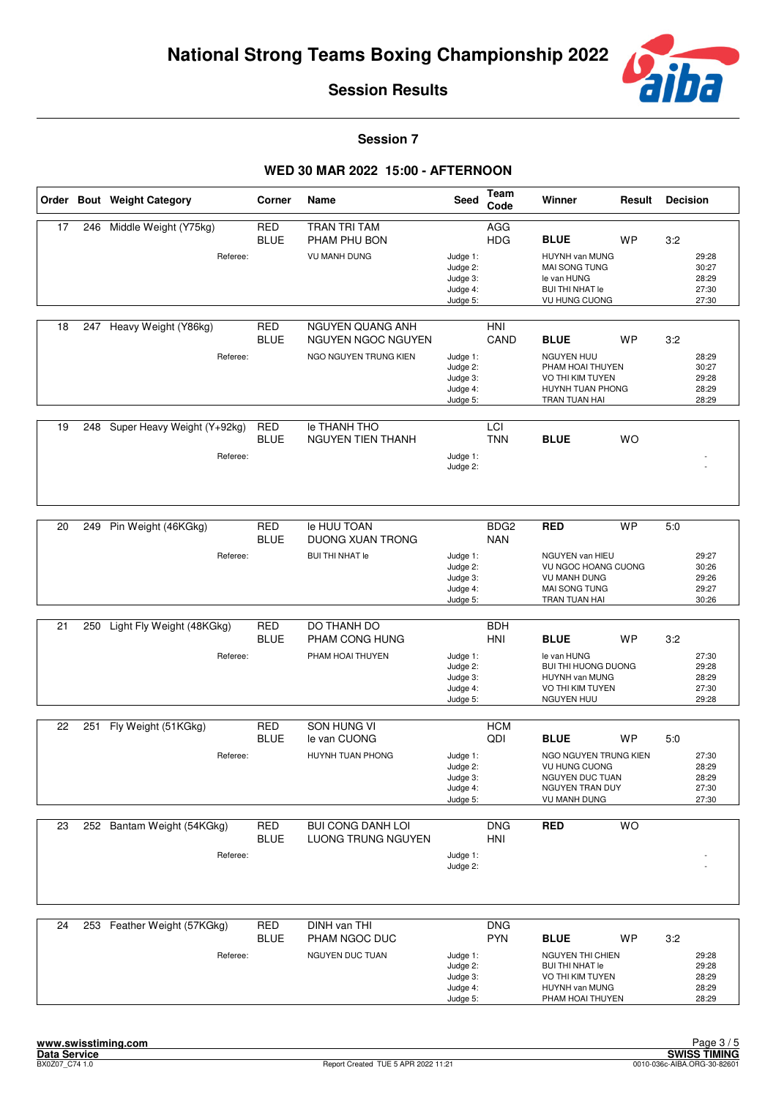

**Session 7**

|    |     | Order Bout Weight Category              | Corner                    | Name                                                            | Seed                                                     | <b>Team</b><br>Code            | Winner                                                                                                                           | Result    | <b>Decision</b> |                                           |
|----|-----|-----------------------------------------|---------------------------|-----------------------------------------------------------------|----------------------------------------------------------|--------------------------------|----------------------------------------------------------------------------------------------------------------------------------|-----------|-----------------|-------------------------------------------|
| 17 | 246 | Middle Weight (Y75kg)<br>Referee:       | <b>RED</b><br><b>BLUE</b> | TRAN TRI TAM<br>PHAM PHU BON<br><b>VU MANH DUNG</b>             | Judge 1:<br>Judge 2:<br>Judge 3:<br>Judge 4:<br>Judge 5: | AGG<br><b>HDG</b>              | <b>BLUE</b><br>HUYNH van MUNG<br>MAI SONG TUNG<br>le van HUNG<br><b>BUI THI NHAT le</b><br><b>VU HUNG CUONG</b>                  | <b>WP</b> | 3:2             | 29:28<br>30:27<br>28:29<br>27:30<br>27:30 |
| 18 |     | 247 Heavy Weight (Y86kg)<br>Referee:    | <b>RED</b><br><b>BLUE</b> | NGUYEN QUANG ANH<br>NGUYEN NGOC NGUYEN<br>NGO NGUYEN TRUNG KIEN | Judge 1:<br>Judge 2:<br>Judge 3:<br>Judge 4:<br>Judge 5: | HNI<br>CAND                    | <b>BLUE</b><br><b>NGUYEN HUU</b><br>PHAM HOAI THUYEN<br>VO THI KIM TUYEN<br>HUYNH TUAN PHONG<br>TRAN TUAN HAI                    | <b>WP</b> | 3:2             | 28:29<br>30:27<br>29:28<br>28:29<br>28:29 |
| 19 | 248 | Super Heavy Weight (Y+92kg)<br>Referee: | <b>RED</b><br><b>BLUE</b> | le THANH THO<br><b>NGUYEN TIEN THANH</b>                        | Judge 1:<br>Judge 2:                                     | LCI<br><b>TNN</b>              | <b>BLUE</b>                                                                                                                      | <b>WO</b> |                 |                                           |
| 20 | 249 | Pin Weight (46KGkg)<br>Referee:         | <b>RED</b><br><b>BLUE</b> | le HUU TOAN<br>DUONG XUAN TRONG<br><b>BUI THI NHAT le</b>       | Judge 1:<br>Judge 2:<br>Judge 3:<br>Judge 4:<br>Judge 5: | BDG <sub>2</sub><br><b>NAN</b> | <b>RED</b><br><b>NGUYEN van HIEU</b><br>VU NGOC HOANG CUONG<br><b>VU MANH DUNG</b><br>MAI SONG TUNG<br>TRAN TUAN HAI             | <b>WP</b> | 5:0             | 29:27<br>30:26<br>29:26<br>29:27<br>30:26 |
| 21 | 250 | Light Fly Weight (48KGkg)<br>Referee:   | <b>RED</b><br><b>BLUE</b> | DO THANH DO<br>PHAM CONG HUNG<br>PHAM HOAI THUYEN               | Judge 1:<br>Judge 2:<br>Judge 3:<br>Judge 4:<br>Judge 5: | <b>BDH</b><br>HNI              | <b>BLUE</b><br>le van HUNG<br><b>BUI THI HUONG DUONG</b><br>HUYNH van MUNG<br>VO THI KIM TUYEN<br><b>NGUYEN HUU</b>              | <b>WP</b> | 3:2             | 27:30<br>29:28<br>28:29<br>27:30<br>29:28 |
| 22 |     | 251 Fly Weight (51KGkg)<br>Referee:     | <b>RED</b><br><b>BLUE</b> | SON HUNG VI<br>le van CUONG<br>HUYNH TUAN PHONG                 | Judge 1:<br>Judge 2:<br>Judge 3:<br>Judge 4:<br>Judge 5: | <b>HCM</b><br>QDI              | <b>BLUE</b><br>NGO NGUYEN TRUNG KIEN<br><b>VU HUNG CUONG</b><br><b>NGUYEN DUC TUAN</b><br>NGUYEN TRAN DUY<br><b>VU MANH DUNG</b> | <b>WP</b> | 5:0             | 27:30<br>28:29<br>28:29<br>27:30<br>27:30 |
| 23 |     | 252 Bantam Weight (54KGkg)<br>Referee:  | RED<br><b>BLUE</b>        | <b>BUI CONG DANH LOI</b><br>LUONG TRUNG NGUYEN                  | Judge 1:<br>Judge 2:                                     | <b>DNG</b><br>HNI              | <b>RED</b>                                                                                                                       | <b>WO</b> |                 |                                           |
| 24 |     | 253 Feather Weight (57KGkg)<br>Referee: | RED<br><b>BLUE</b>        | <b>DINH van THI</b><br>PHAM NGOC DUC<br>NGUYEN DUC TUAN         | Judge 1:<br>Judge 2:<br>Judge 3:<br>Judge 4:<br>Judge 5: | <b>DNG</b><br><b>PYN</b>       | <b>BLUE</b><br>NGUYEN THI CHIEN<br><b>BUI THI NHAT le</b><br>VO THI KIM TUYEN<br>HUYNH van MUNG<br>PHAM HOAI THUYEN              | WP        | 3:2             | 29:28<br>29:28<br>28:29<br>28:29<br>28:29 |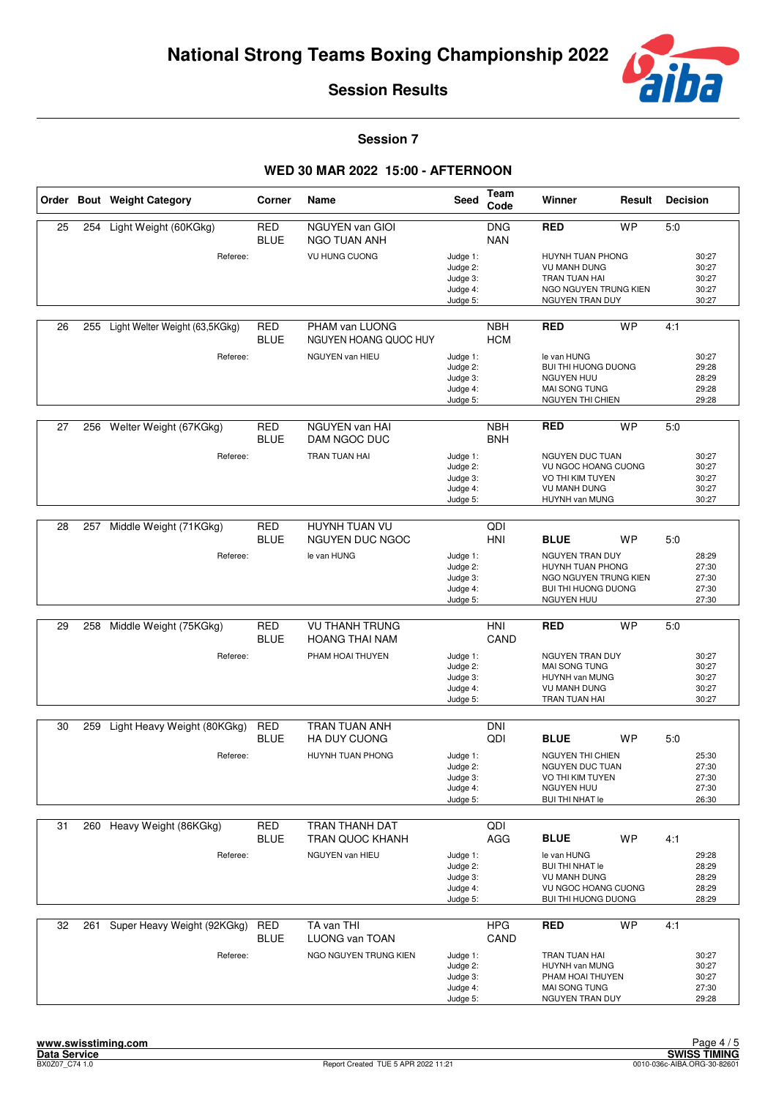

**Session 7**

|    |     | Order Bout Weight Category     | <b>Corner</b>             | Name                                           | <b>Seed</b>                                              | Team<br>Code             | Winner                                                                                                            | Result    | <b>Decision</b> |                                           |
|----|-----|--------------------------------|---------------------------|------------------------------------------------|----------------------------------------------------------|--------------------------|-------------------------------------------------------------------------------------------------------------------|-----------|-----------------|-------------------------------------------|
| 25 | 254 | Light Weight (60KGkg)          | <b>RED</b><br><b>BLUE</b> | <b>NGUYEN van GIOI</b><br>NGO TUAN ANH         |                                                          | <b>DNG</b><br><b>NAN</b> | <b>RED</b>                                                                                                        | <b>WP</b> | 5:0             |                                           |
|    |     | Referee:                       |                           | VU HUNG CUONG                                  | Judge 1:<br>Judge 2:<br>Judge 3:<br>Judge 4:<br>Judge 5: |                          | HUYNH TUAN PHONG<br><b>VU MANH DUNG</b><br>TRAN TUAN HAI<br>NGO NGUYEN TRUNG KIEN<br>NGUYEN TRAN DUY              |           |                 | 30:27<br>30:27<br>30:27<br>30:27<br>30:27 |
| 26 | 255 | Light Welter Weight (63,5KGkg) | RED<br><b>BLUE</b>        | PHAM van LUONG<br>NGUYEN HOANG QUOC HUY        |                                                          | <b>NBH</b><br><b>HCM</b> | <b>RED</b>                                                                                                        | <b>WP</b> | 4:1             |                                           |
|    |     | Referee:                       |                           | NGUYEN van HIEU                                | Judge 1:<br>Judge 2:<br>Judge 3:<br>Judge 4:<br>Judge 5: |                          | le van HUNG<br><b>BUI THI HUONG DUONG</b><br><b>NGUYEN HUU</b><br>MAI SONG TUNG<br>NGUYEN THI CHIEN               |           |                 | 30:27<br>29:28<br>28:29<br>29:28<br>29:28 |
| 27 | 256 | Welter Weight (67KGkg)         | <b>RED</b><br><b>BLUE</b> | NGUYEN van HAI<br>DAM NGOC DUC                 |                                                          | <b>NBH</b><br><b>BNH</b> | <b>RED</b>                                                                                                        | <b>WP</b> | 5.0             |                                           |
|    |     | Referee:                       |                           | <b>TRAN TUAN HAI</b>                           | Judge 1:<br>Judge 2:<br>Judge 3:<br>Judge 4:<br>Judge 5: |                          | <b>NGUYEN DUC TUAN</b><br>VU NGOC HOANG CUONG<br>VO THI KIM TUYEN<br><b>VU MANH DUNG</b><br>HUYNH van MUNG        |           |                 | 30:27<br>30:27<br>30:27<br>30:27<br>30:27 |
| 28 | 257 | Middle Weight (71KGkg)         | <b>RED</b>                | HUYNH TUAN VU                                  |                                                          | QDI                      |                                                                                                                   |           |                 |                                           |
|    |     |                                | <b>BLUE</b>               | <b>NGUYEN DUC NGOC</b>                         |                                                          | HNI                      | <b>BLUE</b>                                                                                                       | <b>WP</b> | 5:0             |                                           |
|    |     | Referee:                       |                           | le van HUNG                                    | Judge 1:<br>Judge 2:<br>Judge 3:<br>Judge 4:<br>Judge 5: |                          | NGUYEN TRAN DUY<br>HUYNH TUAN PHONG<br>NGO NGUYEN TRUNG KIEN<br><b>BUI THI HUONG DUONG</b><br>NGUYEN HUU          |           |                 | 28:29<br>27:30<br>27:30<br>27:30<br>27:30 |
| 29 |     | 258 Middle Weight (75KGkg)     | <b>RED</b><br><b>BLUE</b> | <b>VU THANH TRUNG</b><br><b>HOANG THAI NAM</b> |                                                          | HNI<br>CAND              | <b>RED</b>                                                                                                        | <b>WP</b> | 5.0             |                                           |
|    |     | Referee:                       |                           | PHAM HOAI THUYEN                               | Judge 1:<br>Judge 2:<br>Judge 3:<br>Judge 4:<br>Judge 5: |                          | NGUYEN TRAN DUY<br><b>MAI SONG TUNG</b><br>HUYNH van MUNG<br><b>VU MANH DUNG</b><br>TRAN TUAN HAI                 |           |                 | 30:27<br>30:27<br>30:27<br>30:27<br>30:27 |
| 30 | 259 | Light Heavy Weight (80KGkg)    | <b>RED</b>                | TRAN TUAN ANH                                  |                                                          | <b>DNI</b>               |                                                                                                                   |           |                 |                                           |
|    |     |                                | <b>BLUE</b>               | HA DUY CUONG                                   |                                                          | QDI                      | <b>BLUE</b>                                                                                                       | <b>WP</b> | 5:0             |                                           |
|    |     | Referee:                       |                           | HUYNH TUAN PHONG                               | Judge 1:<br>Judge 2:<br>Judge 3:<br>Judge 4:<br>Judge 5: |                          | <b>NGUYEN THI CHIEN</b><br>NGUYEN DUC TUAN<br>VO THI KIM TUYEN<br><b>NGUYEN HUU</b><br><b>BUI THI NHAT le</b>     |           |                 | 25:30<br>27:30<br>27:30<br>27:30<br>26:30 |
| 31 |     | 260 Heavy Weight (86KGkg)      | <b>RED</b>                | TRAN THANH DAT                                 |                                                          | QDI                      |                                                                                                                   |           |                 |                                           |
|    |     |                                | <b>BLUE</b>               | <b>TRAN QUOC KHANH</b>                         |                                                          | AGG                      | <b>BLUE</b>                                                                                                       | <b>WP</b> | 4:1             |                                           |
|    |     | Referee:                       |                           | NGUYEN van HIEU                                | Judge 1:<br>Judge 2:<br>Judge 3:<br>Judge 4:<br>Judge 5: |                          | le van HUNG<br><b>BUI THI NHAT le</b><br><b>VU MANH DUNG</b><br>VU NGOC HOANG CUONG<br><b>BUI THI HUONG DUONG</b> |           |                 | 29:28<br>28:29<br>28:29<br>28:29<br>28:29 |
| 32 | 261 | Super Heavy Weight (92KGkg)    | <b>RED</b><br><b>BLUE</b> | TA van THI<br><b>LUONG van TOAN</b>            |                                                          | <b>HPG</b><br>CAND       | <b>RED</b>                                                                                                        | <b>WP</b> | 4:1             |                                           |
|    |     | Referee:                       |                           | NGO NGUYEN TRUNG KIEN                          | Judge 1:<br>Judge 2:<br>Judge 3:<br>Judge 4:<br>Judge 5: |                          | TRAN TUAN HAI<br>HUYNH van MUNG<br>PHAM HOAI THUYEN<br>MAI SONG TUNG<br>NGUYEN TRAN DUY                           |           |                 | 30:27<br>30:27<br>30:27<br>27:30<br>29:28 |